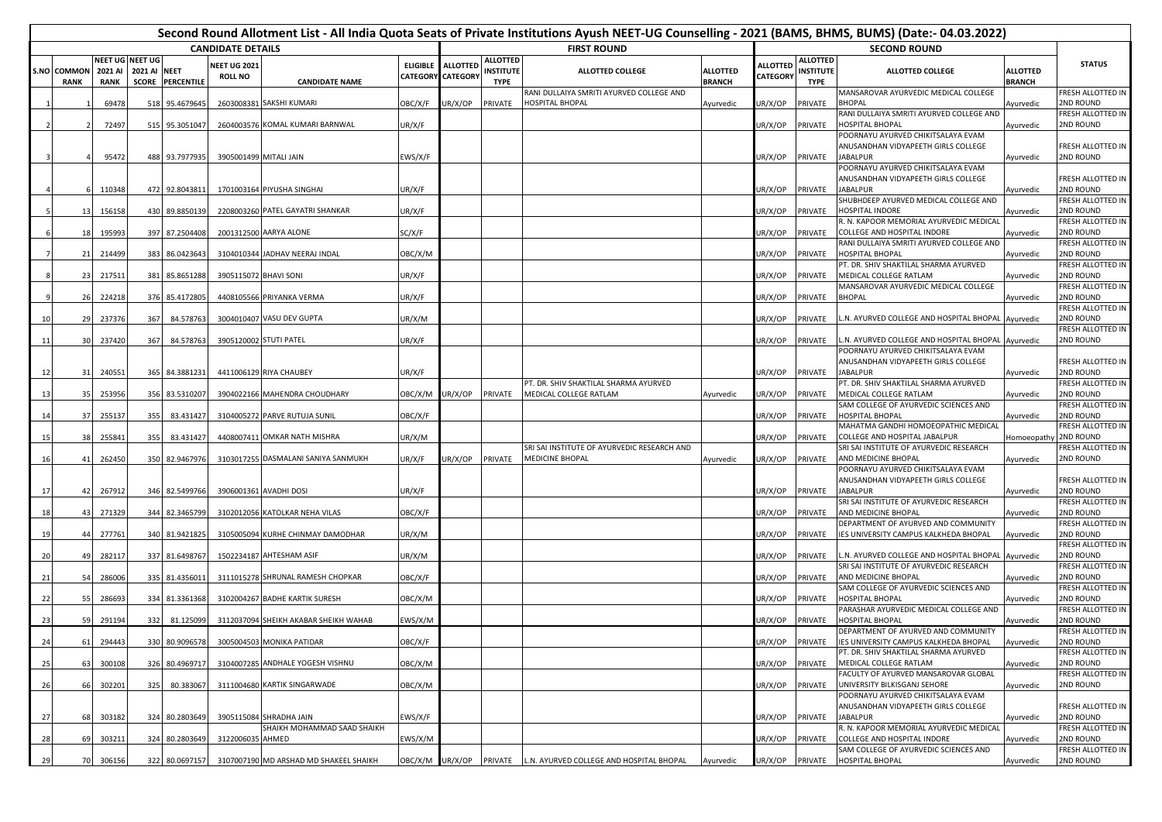|     |                            |                        |                                                 |                |                                       |                                        |                                      |                 |                                             | Second Round Allotment List - All India Quota Seats of Private Institutions Ayush NEET-UG Counselling - 2021 (BAMS, BHMS, BUMS) (Date:- 04.03.2022) |                                  |                                    |                                                    |                                                                                         |                                  |                                       |
|-----|----------------------------|------------------------|-------------------------------------------------|----------------|---------------------------------------|----------------------------------------|--------------------------------------|-----------------|---------------------------------------------|-----------------------------------------------------------------------------------------------------------------------------------------------------|----------------------------------|------------------------------------|----------------------------------------------------|-----------------------------------------------------------------------------------------|----------------------------------|---------------------------------------|
|     |                            |                        |                                                 |                | <b>CANDIDATE DETAILS</b>              |                                        |                                      |                 |                                             | <b>FIRST ROUND</b>                                                                                                                                  |                                  |                                    |                                                    | <b>SECOND ROUND</b>                                                                     |                                  |                                       |
|     | S.NO COMMON<br><b>RANK</b> | 2021 AI<br><b>RANK</b> | NEET UG NEET UG<br>2021 AI NEET<br><b>SCORE</b> | PERCENTILE     | <b>VEET UG 2021</b><br><b>ROLL NO</b> | <b>CANDIDATE NAME</b>                  | <b>ELIGIBLE</b><br>CATEGORY CATEGORY | <b>ALLOTTED</b> | <b>ALLOTTED</b><br>INSTITUTE<br><b>TYPE</b> | <b>ALLOTTED COLLEGE</b>                                                                                                                             | <b>ALLOTTED</b><br><b>BRANCH</b> | <b>ALLOTTED</b><br><b>CATEGORY</b> | <b>ALLOTTED</b><br><b>INSTITUTE</b><br><b>TYPE</b> | <b>ALLOTTED COLLEGE</b>                                                                 | <b>ALLOTTED</b><br><b>BRANCH</b> | <b>STATUS</b>                         |
|     |                            | 69478                  | 518                                             | 95.467964      |                                       | 2603008381 SAKSHI KUMARI               | OBC/X/F                              | UR/X/OP         | PRIVATE                                     | RANI DULLAIYA SMRITI AYURVED COLLEGE AND<br>HOSPITAL BHOPAL                                                                                         | Ayurvedic                        | JR/X/OP                            | PRIVATE                                            | <b>MANSAROVAR AYURVEDIC MEDICAL COLLEGE</b><br><b>BHOPAL</b>                            | Ayurvedic                        | FRESH ALLOTTED IN<br>2ND ROUND        |
|     |                            |                        |                                                 |                |                                       |                                        |                                      |                 |                                             |                                                                                                                                                     |                                  |                                    |                                                    | RANI DULLAIYA SMRITI AYURVED COLLEGE AND                                                |                                  | FRESH ALLOTTED IN                     |
|     |                            | 72497                  | 515                                             | 95.3051047     |                                       | 2604003576 KOMAL KUMARI BARNWAL        | UR/X/F                               |                 |                                             |                                                                                                                                                     |                                  | UR/X/OP                            | PRIVATE                                            | HOSPITAL BHOPAL                                                                         | Ayurvedic                        | 2ND ROUND                             |
|     |                            |                        |                                                 |                |                                       |                                        |                                      |                 |                                             |                                                                                                                                                     |                                  |                                    |                                                    | POORNAYU AYURVED CHIKITSALAYA EVAM<br>ANUSANDHAN VIDYAPEETH GIRLS COLLEGE               |                                  | FRESH ALLOTTED IN                     |
|     |                            | 95472                  | 488                                             | 93.7977935     |                                       | 3905001499 MITALI JAIN                 | EWS/X/F                              |                 |                                             |                                                                                                                                                     |                                  | JR/X/OP                            | PRIVATE                                            | <b>JABALPUR</b>                                                                         | Ayurvedic                        | 2ND ROUND                             |
|     |                            |                        |                                                 |                |                                       |                                        |                                      |                 |                                             |                                                                                                                                                     |                                  |                                    |                                                    | POORNAYU AYURVED CHIKITSALAYA EVAM                                                      |                                  |                                       |
|     |                            |                        |                                                 |                |                                       |                                        |                                      |                 |                                             |                                                                                                                                                     |                                  |                                    |                                                    | ANUSANDHAN VIDYAPEETH GIRLS COLLEGE                                                     |                                  | FRESH ALLOTTED IN                     |
|     |                            | 110348                 |                                                 | 472 92.8043811 |                                       | 1701003164 PIYUSHA SINGHAI             | UR/X/F                               |                 |                                             |                                                                                                                                                     |                                  | UR/X/OP                            | PRIVATE                                            | JABALPUR<br>SHUBHDEEP AYURVED MEDICAL COLLEGE AND                                       | Ayurvedic                        | 2ND ROUND<br>FRESH ALLOTTED IN        |
|     | 13                         | 156158                 | 430                                             | 89.8850139     |                                       | 2208003260 PATEL GAYATRI SHANKAR       | UR/X/F                               |                 |                                             |                                                                                                                                                     |                                  | JR/X/OP                            | PRIVATE                                            | HOSPITAL INDORE                                                                         | Ayurvedic                        | <b>2ND ROUND</b>                      |
|     |                            |                        |                                                 |                |                                       |                                        |                                      |                 |                                             |                                                                                                                                                     |                                  |                                    |                                                    | R. N. KAPOOR MEMORIAL AYURVEDIC MEDICAL                                                 |                                  | FRESH ALLOTTED IN                     |
|     | 18                         | 195993                 | 397                                             | 87.2504408     |                                       | 2001312500 AARYA ALONE                 | SC/X/F                               |                 |                                             |                                                                                                                                                     |                                  | UR/X/OP                            | PRIVATE                                            | COLLEGE AND HOSPITAL INDORE<br>RANI DULLAIYA SMRITI AYURVED COLLEGE AND                 | Ayurvedic                        | 2ND ROUND<br>FRESH ALLOTTED IN        |
|     | 21                         | 214499                 | 383                                             | 86.0423643     |                                       | 3104010344 JADHAV NEERAJ INDAL         | OBC/X/M                              |                 |                                             |                                                                                                                                                     |                                  | UR/X/OP                            | PRIVATE                                            | HOSPITAL BHOPAL                                                                         | Ayurvedic                        | 2ND ROUND                             |
|     |                            |                        |                                                 |                |                                       |                                        |                                      |                 |                                             |                                                                                                                                                     |                                  |                                    |                                                    | PT. DR. SHIV SHAKTILAL SHARMA AYURVED                                                   |                                  | FRESH ALLOTTED IN                     |
|     | 23                         | 217511                 | 381                                             | 85.8651288     | 3905115072 BHAVI SONI                 |                                        | UR/X/F                               |                 |                                             |                                                                                                                                                     |                                  | JR/X/OP                            | PRIVATE                                            | MEDICAL COLLEGE RATLAM                                                                  | Ayurvedic                        | 2ND ROUND                             |
|     | 26                         | 224218                 | 376                                             | 85.4172805     |                                       | 4408105566 PRIYANKA VERMA              | UR/X/F                               |                 |                                             |                                                                                                                                                     |                                  | UR/X/OP                            | PRIVATE                                            | MANSAROVAR AYURVEDIC MEDICAL COLLEGE<br><b>BHOPAL</b>                                   | Ayurvedic                        | FRESH ALLOTTED IN<br>2ND ROUND        |
|     |                            |                        |                                                 |                |                                       |                                        |                                      |                 |                                             |                                                                                                                                                     |                                  |                                    |                                                    |                                                                                         |                                  | FRESH ALLOTTED IN                     |
| 10  | 29                         | 237376                 | 367                                             | 84.578763      |                                       | 3004010407 VASU DEV GUPTA              | UR/X/M                               |                 |                                             |                                                                                                                                                     |                                  | JR/X/OP                            | PRIVATE                                            | L.N. AYURVED COLLEGE AND HOSPITAL BHOPAL Ayurvedic                                      |                                  | <b>2ND ROUND</b>                      |
|     |                            |                        |                                                 |                |                                       |                                        |                                      |                 |                                             |                                                                                                                                                     |                                  |                                    |                                                    |                                                                                         |                                  | FRESH ALLOTTED IN                     |
| 11  | 30                         | 237420                 | 367                                             | 84.578763      |                                       | 3905120002 STUTI PATEL                 | UR/X/F                               |                 |                                             |                                                                                                                                                     |                                  | UR/X/OP                            | PRIVATE                                            | .N. AYURVED COLLEGE AND HOSPITAL BHOPAL Ayurvedic<br>POORNAYU AYURVED CHIKITSALAYA EVAM |                                  | 2ND ROUND                             |
|     |                            |                        |                                                 |                |                                       |                                        |                                      |                 |                                             |                                                                                                                                                     |                                  |                                    |                                                    | ANUSANDHAN VIDYAPEETH GIRLS COLLEGE                                                     |                                  | FRESH ALLOTTED IN                     |
| 12  | 31                         | 240551                 | 365                                             | 84.3881231     |                                       | 4411006129 RIYA CHAUBEY                | UR/X/F                               |                 |                                             |                                                                                                                                                     |                                  | UR/X/OP                            | <b>PRIVATE</b>                                     | <b>JABALPUR</b>                                                                         | Ayurvedic                        | <b>2ND ROUND</b>                      |
|     |                            |                        |                                                 |                |                                       |                                        |                                      |                 |                                             | PT. DR. SHIV SHAKTILAL SHARMA AYURVED                                                                                                               |                                  |                                    |                                                    | PT. DR. SHIV SHAKTILAL SHARMA AYURVED                                                   |                                  | FRESH ALLOTTED IN                     |
| 13  | 35                         | 253956                 | 356                                             | 83.5310207     |                                       | 3904022166 MAHENDRA CHOUDHARY          | OBC/X/M                              | JR/X/OP         | PRIVATE                                     | <b>MEDICAL COLLEGE RATLAM</b>                                                                                                                       | Ayurvedic                        | JR/X/OP                            | PRIVATE                                            | MEDICAL COLLEGE RATLAM<br>SAM COLLEGE OF AYURVEDIC SCIENCES AND                         | Ayurvedic                        | 2ND ROUND<br>FRESH ALLOTTED IN        |
| 14  | 37                         | 255137                 | 355                                             | 83.431427      |                                       | 3104005272 PARVE RUTUJA SUNIL          | OBC/X/F                              |                 |                                             |                                                                                                                                                     |                                  | JR/X/OP                            | PRIVATE                                            | <b>HOSPITAL BHOPAL</b>                                                                  | Ayurvedic                        | 2ND ROUND                             |
|     |                            |                        |                                                 |                |                                       |                                        |                                      |                 |                                             |                                                                                                                                                     |                                  |                                    |                                                    | <b>MAHATMA GANDHI HOMOEOPATHIC MEDICAL</b>                                              |                                  | FRESH ALLOTTED IN                     |
| 15  | 38                         | 255841                 | 355                                             | 83.431427      |                                       | 4408007411 OMKAR NATH MISHRA           | UR/X/M                               |                 |                                             |                                                                                                                                                     |                                  | UR/X/OP                            | PRIVATE                                            | COLLEGE AND HOSPITAL JABALPUR                                                           | Homoeopathy                      | <b>2ND ROUND</b>                      |
| 16  | 41                         | 262450                 | 350                                             | 82.9467976     |                                       | 3103017255 DASMALANI SANIYA SANMUKH    | UR/X/F                               | JR/X/OP         | PRIVATE                                     | SRI SAI INSTITUTE OF AYURVEDIC RESEARCH AND<br>MEDICINE BHOPAL                                                                                      |                                  | JR/X/OP                            | PRIVATE                                            | SRI SAI INSTITUTE OF AYURVEDIC RESEARCH<br>AND MEDICINE BHOPAL                          |                                  | FRESH ALLOTTED IN<br>2ND ROUND        |
|     |                            |                        |                                                 |                |                                       |                                        |                                      |                 |                                             |                                                                                                                                                     | Ayurvedic                        |                                    |                                                    | POORNAYU AYURVED CHIKITSALAYA EVAM                                                      | Ayurvedic                        |                                       |
|     |                            |                        |                                                 |                |                                       |                                        |                                      |                 |                                             |                                                                                                                                                     |                                  |                                    |                                                    | ANUSANDHAN VIDYAPEETH GIRLS COLLEGE                                                     |                                  | FRESH ALLOTTED IN                     |
| 17  | 42                         | 26791                  | 346                                             | 82.5499766     |                                       | 3906001361 AVADHI DOSI                 | JR/X/F                               |                 |                                             |                                                                                                                                                     |                                  | JR/X/OP                            | PRIVATE                                            | JABALPUR<br>SRI SAI INSTITUTE OF AYURVEDIC RESEARCH                                     | Ayurvedic                        | 2ND ROUND<br>FRESH ALLOTTED IN        |
|     | 43                         | 271329                 | 344                                             | 82.3465799     |                                       | 3102012056 KATOLKAR NEHA VILAS         | OBC/X/F                              |                 |                                             |                                                                                                                                                     |                                  | UR/X/OP                            | PRIVATE                                            | AND MEDICINE BHOPAL                                                                     | Ayurvedic                        | 2ND ROUND                             |
|     |                            |                        |                                                 |                |                                       |                                        |                                      |                 |                                             |                                                                                                                                                     |                                  |                                    |                                                    | DEPARTMENT OF AYURVED AND COMMUNITY                                                     |                                  | FRESH ALLOTTED IN                     |
| 19  | 44                         | 277761                 | 340                                             | 81.942182      |                                       | 3105005094 KURHE CHINMAY DAMODHAR      | UR/X/M                               |                 |                                             |                                                                                                                                                     |                                  | JR/X/OP                            | PRIVATE                                            | IES UNIVERSITY CAMPUS KALKHEDA BHOPAL                                                   | Ayurvedic                        | 2ND ROUND                             |
|     | 49                         | 282117                 |                                                 | 337 81.6498767 |                                       | 1502234187 AHTESHAM ASIF               | UR/X/M                               |                 |                                             |                                                                                                                                                     |                                  | JR/X/OP                            | PRIVATE                                            | .N. AYURVED COLLEGE AND HOSPITAL BHOPAL Ayurvedic                                       |                                  | FRESH ALLOTTED IN<br>2ND ROUND        |
| 20  |                            |                        |                                                 |                |                                       |                                        |                                      |                 |                                             |                                                                                                                                                     |                                  |                                    |                                                    | SRI SAI INSTITUTE OF AYURVEDIC RESEARCH                                                 |                                  | FRESH ALLOTTED IN                     |
| 21  | 54                         | 286006                 |                                                 | 335 81.4356011 |                                       | 3111015278 SHRUNAL RAMESH CHOPKAR      | OBC/X/F                              |                 |                                             |                                                                                                                                                     |                                  | UR/X/OP                            | PRIVATE                                            | AND MEDICINE BHOPAL                                                                     | Ayurvedic                        | 2ND ROUND                             |
|     |                            |                        |                                                 |                |                                       |                                        |                                      |                 |                                             |                                                                                                                                                     |                                  |                                    |                                                    | SAM COLLEGE OF AYURVEDIC SCIENCES AND                                                   |                                  | FRESH ALLOTTED IN                     |
| 22  | 55                         | 286693                 | 334                                             | 81.3361368     |                                       | 3102004267 BADHE KARTIK SURESH         | OBC/X/M                              |                 |                                             |                                                                                                                                                     |                                  | JR/X/OP                            | PRIVATE                                            | <b>HOSPITAL BHOPAL</b><br>PARASHAR AYURVEDIC MEDICAL COLLEGE AND                        | Ayurvedic                        | 2ND ROUND<br>FRESH ALLOTTED IN        |
| -23 | 59                         | 291194                 | 332                                             | 81.125099      |                                       | 3112037094 SHEIKH AKABAR SHEIKH WAHAB  | EWS/X/M                              |                 |                                             |                                                                                                                                                     |                                  | JR/X/OP                            | PRIVATE                                            | HOSPITAL BHOPAL                                                                         | Ayurvedic                        | 2ND ROUND                             |
|     |                            |                        |                                                 |                |                                       |                                        |                                      |                 |                                             |                                                                                                                                                     |                                  |                                    |                                                    | DEPARTMENT OF AYURVED AND COMMUNITY                                                     |                                  | FRESH ALLOTTED IN                     |
| 24  | 61                         | 294443                 |                                                 | 330 80.9096578 |                                       | 3005004503 MONIKA PATIDAR              | OBC/X/F                              |                 |                                             |                                                                                                                                                     |                                  | UR/X/OP                            | PRIVATE                                            | IES UNIVERSITY CAMPUS KALKHEDA BHOPAL                                                   | Ayurvedic                        | 2ND ROUND                             |
| 25  | 63                         | 300108                 | 326                                             | 80.4969717     |                                       | 3104007285 ANDHALE YOGESH VISHNU       | OBC/X/M                              |                 |                                             |                                                                                                                                                     |                                  | JR/X/OP                            | PRIVATE                                            | PT. DR. SHIV SHAKTILAL SHARMA AYURVED<br>MEDICAL COLLEGE RATLAM                         | Ayurvedic                        | FRESH ALLOTTED IN<br>2ND ROUND        |
|     |                            |                        |                                                 |                |                                       |                                        |                                      |                 |                                             |                                                                                                                                                     |                                  |                                    |                                                    | ACULTY OF AYURVED MANSAROVAR GLOBAL                                                     |                                  | FRESH ALLOTTED IN                     |
| 26  | 66                         | 302201                 | 325                                             | 80.383067      |                                       | 3111004680 KARTIK SINGARWADE           | OBC/X/M                              |                 |                                             |                                                                                                                                                     |                                  | UR/X/OP                            | PRIVATE                                            | UNIVERSITY BILKISGANJ SEHORE                                                            | Ayurvedic                        | 2ND ROUND                             |
|     |                            |                        |                                                 |                |                                       |                                        |                                      |                 |                                             |                                                                                                                                                     |                                  |                                    |                                                    | POORNAYU AYURVED CHIKITSALAYA EVAM                                                      |                                  |                                       |
| 27  | 68                         | 303182                 | 324                                             | 80.2803649     |                                       | 3905115084 SHRADHA JAIN                | EWS/X/F                              |                 |                                             |                                                                                                                                                     |                                  | JR/X/OP                            | PRIVATE                                            | ANUSANDHAN VIDYAPEETH GIRLS COLLEGE<br><b>JABALPUR</b>                                  | Ayurvedic                        | FRESH ALLOTTED IN<br>2ND ROUND        |
|     |                            |                        |                                                 |                |                                       | SHAIKH MOHAMMAD SAAD SHAIKH            |                                      |                 |                                             |                                                                                                                                                     |                                  |                                    |                                                    | R. N. KAPOOR MEMORIAL AYURVEDIC MEDICAL                                                 |                                  | FRESH ALLOTTED IN                     |
| 28  | 69                         | 303211                 | 324                                             | 80.2803649     | 312200603                             | AHMED                                  | EWS/X/M                              |                 |                                             |                                                                                                                                                     |                                  | JR/X/OP                            | PRIVATE                                            | COLLEGE AND HOSPITAL INDORE                                                             | Ayurvedic                        | 2ND ROUND                             |
| 29  |                            | 70 306156              |                                                 | 322 80.0697157 |                                       | 3107007190 MD ARSHAD MD SHAKEEL SHAIKH | OBC/X/M UR/X/OP                      |                 | <b>PRIVATE</b>                              | L.N. AYURVED COLLEGE AND HOSPITAL BHOPAL                                                                                                            | Ayurvedic                        | UR/X/OP                            | PRIVATE                                            | SAM COLLEGE OF AYURVEDIC SCIENCES AND<br>HOSPITAL BHOPAL                                |                                  | <b>FRESH ALLOTTED IN</b><br>2ND ROUND |
|     |                            |                        |                                                 |                |                                       |                                        |                                      |                 |                                             |                                                                                                                                                     |                                  |                                    |                                                    |                                                                                         | Ayurvedic                        |                                       |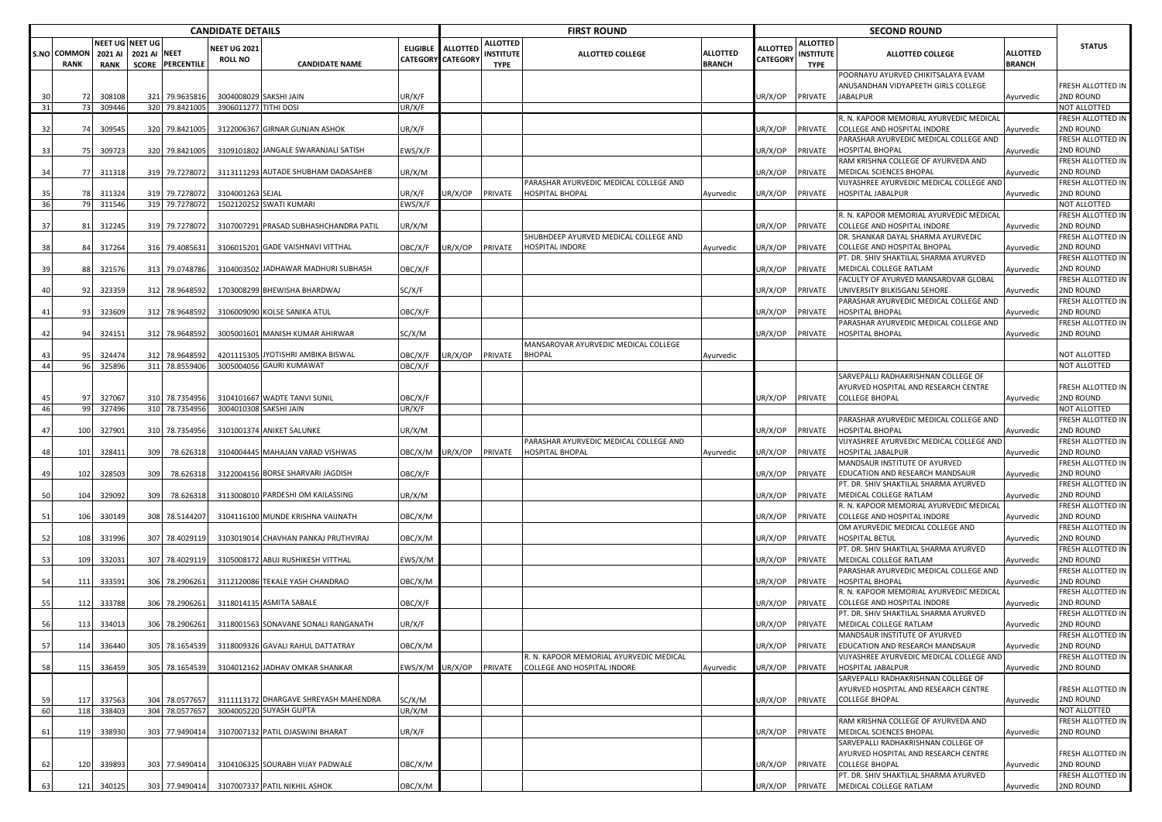|    |                            |                        |                                 |                  | <b>CANDIDATE DETAILS</b>              |                                        |                   |                          |                                                    | <b>FIRST ROUND</b>                                        |                           |                             |                                             | <b>SECOND ROUND</b>                                                         |                           |                                |
|----|----------------------------|------------------------|---------------------------------|------------------|---------------------------------------|----------------------------------------|-------------------|--------------------------|----------------------------------------------------|-----------------------------------------------------------|---------------------------|-----------------------------|---------------------------------------------|-----------------------------------------------------------------------------|---------------------------|--------------------------------|
|    | S.NO COMMON<br><b>RANK</b> | 2021 AI<br><b>RANK</b> | VEET UG NEET UG<br>2021 AI NEET | SCORE PERCENTILE | <b>NEET UG 2021</b><br><b>ROLL NO</b> | <b>CANDIDATE NAME</b>                  | ELIGIBLE ALLOTTED | <b>CATEGORY CATEGORY</b> | <b>ALLOTTED</b><br><b>INSTITUTE</b><br><b>TYPE</b> | <b>ALLOTTED COLLEGE</b>                                   | ALLOTTED<br><b>BRANCH</b> | <b>ALLOTTED</b><br>CATEGORY | <b>ALLOTTED</b><br>INSTITUTE<br><b>TYPE</b> | <b>ALLOTTED COLLEGE</b>                                                     | ALLOTTED<br><b>BRANCH</b> | <b>STATUS</b>                  |
|    |                            |                        |                                 |                  |                                       |                                        |                   |                          |                                                    |                                                           |                           |                             |                                             | POORNAYU AYURVED CHIKITSALAYA EVAM<br>ANUSANDHAN VIDYAPEETH GIRLS COLLEGE   |                           | FRESH ALLOTTED IN              |
| 30 |                            | 308108                 |                                 | 321 79.9635816   | 3004008029 SAKSHI JAIN                |                                        | JR/X/F            |                          |                                                    |                                                           |                           | UR/X/OP                     | PRIVATE                                     | <b>JABALPUR</b>                                                             | Ayurvedic                 | 2ND ROUND                      |
| 31 | 73                         | 309446                 |                                 | 320 79.8421005   | 3906011277 TITHI DOSI                 |                                        | JR/X/F            |                          |                                                    |                                                           |                           |                             |                                             |                                                                             |                           | NOT ALLOTTED                   |
|    |                            |                        |                                 |                  |                                       |                                        |                   |                          |                                                    |                                                           |                           |                             |                                             | R. N. KAPOOR MEMORIAL AYURVEDIC MEDICAL                                     |                           | FRESH ALLOTTED IN              |
| 32 | 74                         | 309545                 |                                 | 320 79.8421005   |                                       | 3122006367 GIRNAR GUNJAN ASHOK         | JR/X/F            |                          |                                                    |                                                           |                           | JR/X/OP                     | PRIVATE                                     | <b>COLLEGE AND HOSPITAL INDORE</b>                                          | Ayurvedic                 | 2ND ROUND                      |
|    |                            |                        |                                 |                  |                                       |                                        |                   |                          |                                                    |                                                           |                           |                             |                                             | PARASHAR AYURVEDIC MEDICAL COLLEGE AND                                      |                           | FRESH ALLOTTED IN              |
| 33 | -75                        | 309723                 |                                 | 320 79.8421005   |                                       | 3109101802 JANGALE SWARANJALI SATISH   | :WS/X/F           |                          |                                                    |                                                           |                           | JR/X/OP                     | PRIVATE                                     | <b>HOSPITAL BHOPAL</b>                                                      | Ayurvedic                 | 2ND ROUND                      |
|    |                            |                        |                                 |                  |                                       |                                        |                   |                          |                                                    |                                                           |                           |                             |                                             | RAM KRISHNA COLLEGE OF AYURVEDA AND                                         |                           | FRESH ALLOTTED IN              |
| 34 | 77                         | 311318                 |                                 | 319 79.7278072   |                                       | 3113111293 AUTADE SHUBHAM DADASAHEB    | JR/X/M            |                          |                                                    |                                                           |                           | JR/X/OP                     | PRIVATE                                     | MEDICAL SCIENCES BHOPAL                                                     | Ayurvedic                 | 2ND ROUND<br>FRESH ALLOTTED IN |
| 35 |                            | 311324                 |                                 | 319 79.7278072   | 3104001263 SEJAL                      |                                        | JR/X/F            | JR/X/OP                  | PRIVATE                                            | PARASHAR AYURVEDIC MEDICAL COLLEGE AND<br>HOSPITAL BHOPAL | Ayurvedic                 | JR/X/OP                     | PRIVATE                                     | VIJYASHREE AYURVEDIC MEDICAL COLLEGE AND<br><b>HOSPITAL JABALPUR</b>        | Ayurvedic                 | 2ND ROUND                      |
| 36 | - 79                       | 311546                 |                                 | 319 79.7278072   |                                       | 1502120252 SWATI KUMARI                | EWS/X/F           |                          |                                                    |                                                           |                           |                             |                                             |                                                                             |                           | NOT ALLOTTED                   |
|    |                            |                        |                                 |                  |                                       |                                        |                   |                          |                                                    |                                                           |                           |                             |                                             | R. N. KAPOOR MEMORIAL AYURVEDIC MEDICAL                                     |                           | FRESH ALLOTTED IN              |
| 37 | 8                          | 312245                 | 319                             | 79.7278072       |                                       | 3107007291 PRASAD SUBHASHCHANDRA PATIL | JR/X/M            |                          |                                                    |                                                           |                           | JR/X/OP                     | PRIVATE                                     | COLLEGE AND HOSPITAL INDORE                                                 | Ayurvedic                 | 2ND ROUND                      |
|    |                            |                        |                                 |                  |                                       |                                        |                   |                          |                                                    | SHUBHDEEP AYURVED MEDICAL COLLEGE AND                     |                           |                             |                                             | DR. SHANKAR DAYAL SHARMA AYURVEDIC                                          |                           | FRESH ALLOTTED IN              |
| 38 |                            | 317264                 |                                 | 316 79.4085631   |                                       | 3106015201 GADE VAISHNAVI VITTHAL      | OBC/X/F           | JR/X/OP                  | PRIVATE                                            | <b>HOSPITAL INDORE</b>                                    | Ayurvedic                 | JR/X/OP                     | PRIVATE                                     | COLLEGE AND HOSPITAL BHOPAL                                                 | <b>Ayurvedic</b>          | 2ND ROUND                      |
|    |                            |                        |                                 |                  |                                       |                                        |                   |                          |                                                    |                                                           |                           |                             |                                             | PT. DR. SHIV SHAKTILAL SHARMA AYURVED                                       |                           | FRESH ALLOTTED IN              |
| 39 |                            | 321576                 |                                 | 313 79.0748786   |                                       | 3104003502 JADHAWAR MADHURI SUBHASH    | OBC/X/F           |                          |                                                    |                                                           |                           | JR/X/OP                     | PRIVATE                                     | MEDICAL COLLEGE RATLAM                                                      | Ayurvedic                 | 2ND ROUND                      |
| 40 | 9.                         | 323359                 | 312                             | 78.9648592       |                                       | 1703008299 BHEWISHA BHARDWAJ           | SC/X/F            |                          |                                                    |                                                           |                           | JR/X/OP                     | PRIVATE                                     | FACULTY OF AYURVED MANSAROVAR GLOBAL<br>UNIVERSITY BILKISGANJ SEHORE        | lyurvedic                 | FRESH ALLOTTED IN<br>2ND ROUND |
|    |                            |                        |                                 |                  |                                       |                                        |                   |                          |                                                    |                                                           |                           |                             |                                             | PARASHAR AYURVEDIC MEDICAL COLLEGE AND                                      |                           | FRESH ALLOTTED IN              |
| 41 | 93                         | 323609                 |                                 | 312 78.9648592   |                                       | 3106009090 KOLSE SANIKA ATUL           | OBC/X/F           |                          |                                                    |                                                           |                           | JR/X/OP                     | PRIVATE                                     | <b>HOSPITAL BHOPAL</b>                                                      | Ayurvedic                 | 2ND ROUND                      |
|    |                            |                        |                                 |                  |                                       |                                        |                   |                          |                                                    |                                                           |                           |                             |                                             | PARASHAR AYURVEDIC MEDICAL COLLEGE AND                                      |                           | FRESH ALLOTTED IN              |
| 42 |                            | 324151                 |                                 | 312 78.964859    |                                       | 3005001601 MANISH KUMAR AHIRWAR        | SC/X/M            |                          |                                                    |                                                           |                           | JR/X/OP                     | PRIVATE                                     | <b>HOSPITAL BHOPAL</b>                                                      | Ayurvedic                 | 2ND ROUND                      |
|    |                            |                        |                                 |                  |                                       |                                        |                   |                          |                                                    | MANSAROVAR AYURVEDIC MEDICAL COLLEGE                      |                           |                             |                                             |                                                                             |                           |                                |
| 43 |                            | 32447                  |                                 | 312 78.9648592   |                                       | 4201115305 JYOTISHRI AMBIKA BISWAL     | OBC/X/F           | JR/X/OP                  | PRIVATE                                            | <b>BHOPAL</b>                                             | Ayurvedic                 |                             |                                             |                                                                             |                           | NOT ALLOTTED                   |
| 44 | 96                         | 325896                 |                                 | 311 78.8559406   |                                       | 3005004056 GAURI KUMAWAT               | OBC/X/F           |                          |                                                    |                                                           |                           |                             |                                             |                                                                             |                           | NOT ALLOTTED                   |
|    |                            |                        |                                 |                  |                                       |                                        |                   |                          |                                                    |                                                           |                           |                             |                                             | SARVEPALLI RADHAKRISHNAN COLLEGE OF<br>AYURVED HOSPITAL AND RESEARCH CENTRE |                           |                                |
| 45 | 97                         | 327067                 |                                 | 310 78.7354956   |                                       | 3104101667 WADTE TANVI SUNIL           | OBC/X/F           |                          |                                                    |                                                           |                           | JR/X/OP                     | PRIVATE                                     | <b>COLLEGE BHOPAL</b>                                                       | Ayurvedic                 | FRESH ALLOTTED IN<br>2ND ROUND |
| 46 | 99                         | 327496                 |                                 | 310 78.7354956   | 3004010308 SAKSHI JAIN                |                                        | UR/X/F            |                          |                                                    |                                                           |                           |                             |                                             |                                                                             |                           | NOT ALLOTTED                   |
|    |                            |                        |                                 |                  |                                       |                                        |                   |                          |                                                    |                                                           |                           |                             |                                             | PARASHAR AYURVEDIC MEDICAL COLLEGE AND                                      |                           | FRESH ALLOTTED IN              |
| 47 | 100                        | 327901                 |                                 | 310 78.7354956   |                                       | 3101001374 ANIKET SALUNKE              | JR/X/M            |                          |                                                    |                                                           |                           | JR/X/OP                     | PRIVATE                                     | HOSPITAL BHOPAL                                                             | Ayurvedic                 | 2ND ROUND                      |
|    |                            |                        |                                 |                  |                                       |                                        |                   |                          |                                                    | PARASHAR AYURVEDIC MEDICAL COLLEGE AND                    |                           |                             |                                             | VIJYASHREE AYURVEDIC MEDICAL COLLEGE AND                                    |                           | FRESH ALLOTTED IN              |
| 48 | 101                        | 328411                 | 309                             | 78.626318        |                                       | 3104004445 MAHAJAN VARAD VISHWAS       | OBC/X/M           | JR/X/OP                  | PRIVATE                                            | <b>HOSPITAL BHOPAL</b>                                    | Ayurvedic                 | JR/X/OP                     | PRIVATE                                     | <b>HOSPITAL JABALPUR</b>                                                    | Ayurvedic                 | 2ND ROUND                      |
|    |                            |                        |                                 |                  |                                       |                                        |                   |                          |                                                    |                                                           |                           |                             |                                             | MANDSAUR INSTITUTE OF AYURVED                                               |                           | FRESH ALLOTTED IN              |
| 49 | 102                        | 328503                 | 309                             | 78.62631         |                                       | 3122004156 BORSE SHARVARI JAGDISH      | OBC/X/F           |                          |                                                    |                                                           |                           | JR/X/OP                     | PRIVATE                                     | EDUCATION AND RESEARCH MANDSAUR                                             | Ayurvedic                 | 2ND ROUND                      |
| 50 | 104                        | 329092                 | 309                             | 78.626318        |                                       | 3113008010 PARDESHI OM KAILASSING      | JR/X/M            |                          |                                                    |                                                           |                           | JR/X/OP                     | PRIVATE                                     | PT. DR. SHIV SHAKTILAL SHARMA AYURVED<br>MEDICAL COLLEGE RATLAM             | <i><b>\yurvedic</b></i>   | FRESH ALLOTTED IN<br>2ND ROUND |
|    |                            |                        |                                 |                  |                                       |                                        |                   |                          |                                                    |                                                           |                           |                             |                                             | R. N. KAPOOR MEMORIAL AYURVEDIC MEDICAL                                     |                           | FRESH ALLOTTED IN              |
| 51 | 106                        | 330149                 |                                 | 308 78.5144207   |                                       | 3104116100 MUNDE KRISHNA VAIJNATH      | ОВС/Х/М           |                          |                                                    |                                                           |                           | JR/X/OP                     | PRIVATE                                     | COLLEGE AND HOSPITAL INDORE                                                 | Ayurvedic                 | 2ND ROUND                      |
|    |                            |                        |                                 |                  |                                       |                                        |                   |                          |                                                    |                                                           |                           |                             |                                             | OM AYURVEDIC MEDICAL COLLEGE AND                                            |                           | FRESH ALLOTTED IN              |
| 52 | 108                        | 331996                 |                                 | 307 78.4029119   |                                       | 3103019014 CHAVHAN PANKAJ PRUTHVIRAJ   | ОВС/Х/М           |                          |                                                    |                                                           |                           | JR/X/OP                     | PRIVATE                                     | <b>HOSPITAL BETUL</b>                                                       | Ayurvedic                 | 2ND ROUND                      |
|    |                            |                        |                                 |                  |                                       |                                        |                   |                          |                                                    |                                                           |                           |                             |                                             | PT. DR. SHIV SHAKTILAL SHARMA AYURVED                                       |                           | FRESH ALLOTTED IN              |
| 53 | 109                        | 332031                 |                                 | 307 78.4029119   |                                       | 3105008172 ABUJ RUSHIKESH VITTHAL      | EWS/X/M           |                          |                                                    |                                                           |                           | JR/X/OP                     | PRIVATE                                     | MEDICAL COLLEGE RATLAM                                                      | Ayurvedic                 | 2ND ROUND                      |
|    |                            |                        |                                 |                  |                                       |                                        |                   |                          |                                                    |                                                           |                           |                             |                                             | PARASHAR AYURVEDIC MEDICAL COLLEGE AND                                      |                           | FRESH ALLOTTED IN              |
| 54 | 11                         | 333591                 |                                 | 306 78.2906261   |                                       | 3112120086 TEKALE YASH CHANDRAO        | ОВС/Х/М           |                          |                                                    |                                                           |                           | JR/X/OP                     | PRIVATE                                     | <b>HOSPITAL BHOPAL</b><br>R. N. KAPOOR MEMORIAL AYURVEDIC MEDICAL           | Ayurvedic                 | 2ND ROUND<br>FRESH ALLOTTED IN |
| 55 | 11                         | 333788                 |                                 | 306 78.2906261   |                                       | 3118014135 ASMITA SABALE               | OBC/X/F           |                          |                                                    |                                                           |                           | JR/X/OP                     | PRIVATE                                     | <b>COLLEGE AND HOSPITAL INDORE</b>                                          | Ayurvedic                 | 2ND ROUND                      |
|    |                            |                        |                                 |                  |                                       |                                        |                   |                          |                                                    |                                                           |                           |                             |                                             | PT. DR. SHIV SHAKTILAL SHARMA AYURVED                                       |                           | FRESH ALLOTTED IN              |
| 56 | 113                        | 334013                 |                                 | 306 78.2906261   |                                       | 3118001563 SONAVANE SONALI RANGANATH   | JR/X/F            |                          |                                                    |                                                           |                           | JR/X/OP                     | PRIVATE                                     | MEDICAL COLLEGE RATLAM                                                      | Ayurvedic                 | 2ND ROUND                      |
|    |                            |                        |                                 |                  |                                       |                                        |                   |                          |                                                    |                                                           |                           |                             |                                             | MANDSAUR INSTITUTE OF AYURVED                                               |                           | FRESH ALLOTTED IN              |
| 57 | 114                        | 336440                 |                                 | 305 78.1654539   |                                       | 3118009326 GAVALI RAHUL DATTATRAY      | OBC/X/M           |                          |                                                    |                                                           |                           | UR/X/OP-                    |                                             | PRIVATE EDUCATION AND RESEARCH MANDSAUR                                     | Ayurvedic                 | <b>ZND ROUND</b>               |
|    |                            |                        |                                 |                  |                                       |                                        |                   |                          |                                                    | R. N. KAPOOR MEMORIAL AYURVEDIC MEDICAL                   |                           |                             |                                             | VIJYASHREE AYURVEDIC MEDICAL COLLEGE AND                                    |                           | FRESH ALLOTTED IN              |
| 58 | 115                        | 336459                 |                                 | 305 78.1654539   |                                       | 3104012162 JADHAV OMKAR SHANKAR        | EWS/X/M L         | JR/X/OP                  | PRIVATE                                            | COLLEGE AND HOSPITAL INDORE                               | Ayurvedic                 | UR/X/OP                     | PRIVATE                                     | <b>HOSPITAL JABALPUR</b>                                                    | Ayurvedic                 | 2ND ROUND                      |
|    |                            |                        |                                 |                  |                                       |                                        |                   |                          |                                                    |                                                           |                           |                             |                                             | SARVEPALLI RADHAKRISHNAN COLLEGE OF                                         |                           |                                |
| 59 | 11                         | 337563                 |                                 | 304 78.0577657   |                                       | 3111113172 DHARGAVE SHREYASH MAHENDRA  | SC/X/M            |                          |                                                    |                                                           |                           | UR/X/OP                     | PRIVATE                                     | AYURVED HOSPITAL AND RESEARCH CENTRE<br><b>COLLEGE BHOPAL</b>               | Ayurvedic                 | FRESH ALLOTTED IN<br>2ND ROUND |
| 60 | 118                        | 338403                 |                                 | 304 78.0577657   |                                       | 3004005220 SUYASH GUPTA                | JR/X/M            |                          |                                                    |                                                           |                           |                             |                                             |                                                                             |                           | NOT ALLOTTED                   |
|    |                            |                        |                                 |                  |                                       |                                        |                   |                          |                                                    |                                                           |                           |                             |                                             | RAM KRISHNA COLLEGE OF AYURVEDA AND                                         |                           | FRESH ALLOTTED IN              |
| 61 | 119                        | 338930                 |                                 | 303 77.9490414   |                                       | 3107007132 PATIL OJASWINI BHARAT       | JR/X/F            |                          |                                                    |                                                           |                           | JR/X/OP                     | PRIVATE                                     | MEDICAL SCIENCES BHOPAL                                                     | Ayurvedic                 | 2ND ROUND                      |
|    |                            |                        |                                 |                  |                                       |                                        |                   |                          |                                                    |                                                           |                           |                             |                                             | SARVEPALLI RADHAKRISHNAN COLLEGE OF                                         |                           |                                |
|    |                            |                        |                                 |                  |                                       |                                        |                   |                          |                                                    |                                                           |                           |                             |                                             | AYURVED HOSPITAL AND RESEARCH CENTRE                                        |                           | FRESH ALLOTTED IN              |
| 62 | 12C                        | 339893                 |                                 | 303 77.9490414   |                                       | 3104106325 SOURABH VIJAY PADWALE       | OBC/X/M           |                          |                                                    |                                                           |                           | JR/X/OP                     | PRIVATE                                     | <b>COLLEGE BHOPAL</b>                                                       | Ayurvedic                 | 2ND ROUND                      |
|    |                            |                        |                                 |                  |                                       |                                        |                   |                          |                                                    |                                                           |                           |                             |                                             | PT. DR. SHIV SHAKTILAL SHARMA AYURVED                                       |                           | FRESH ALLOTTED IN              |
| 63 | 121                        | 340125                 |                                 | 303 77.9490414   |                                       | 3107007337 PATIL NIKHIL ASHOK          | OBC/X/M           |                          |                                                    |                                                           |                           | UR/X/OP                     | PRIVATE                                     | MEDICAL COLLEGE RATLAM                                                      | Ayurvedic                 | 2ND ROUND                      |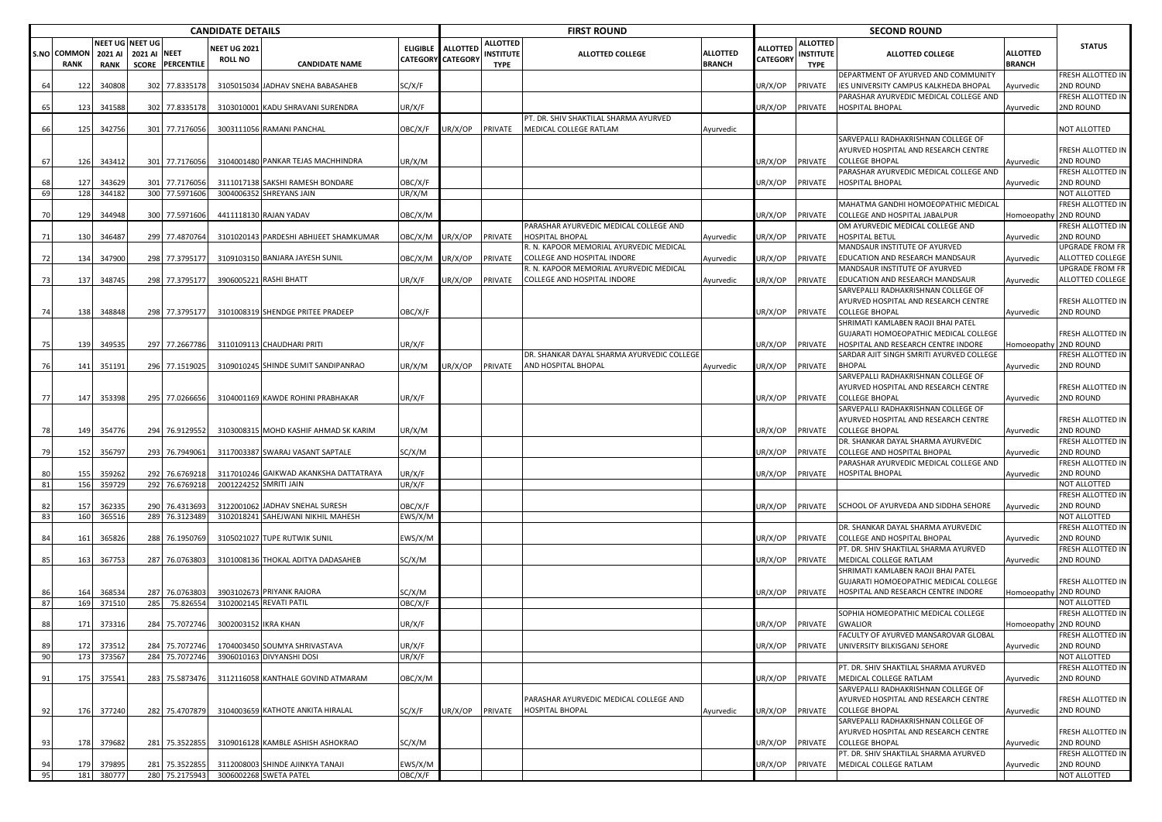|      |                                   |                                                  |                     |                                  | <b>CANDIDATE DETAILS</b>              |                                                              |                                               |         |                                             | <b>FIRST ROUND</b>                                                |                           |                             |                                             | <b>SECOND ROUND</b>                                                             |                           |                                     |
|------|-----------------------------------|--------------------------------------------------|---------------------|----------------------------------|---------------------------------------|--------------------------------------------------------------|-----------------------------------------------|---------|---------------------------------------------|-------------------------------------------------------------------|---------------------------|-----------------------------|---------------------------------------------|---------------------------------------------------------------------------------|---------------------------|-------------------------------------|
|      | <b>S.NO COMMON</b><br><b>RANK</b> | <b>NEET UG NEET UG</b><br>2021 AI<br><b>RANK</b> | <b>2021 AI NEET</b> | <b>SCORE PERCENTILE</b>          | <b>NEET UG 2021</b><br><b>ROLL NO</b> | <b>CANDIDATE NAME</b>                                        | ELIGIBLE ALLOTTED<br><b>CATEGORY CATEGORY</b> |         | ALLOTTED<br><b>INSTITUTE</b><br><b>TYPE</b> | <b>ALLOTTED COLLEGE</b>                                           | ALLOTTED<br><b>BRANCH</b> | ALLOTTED<br><b>CATEGORY</b> | <b>ALLOTTED</b><br>INSTITUTE<br><b>TYPE</b> | <b>ALLOTTED COLLEGE</b>                                                         | ALLOTTED<br><b>BRANCH</b> | <b>STATUS</b>                       |
| 64   | 122                               | 340808                                           |                     | 302 77.8335178                   |                                       | 3105015034 JADHAV SNEHA BABASAHEB                            | SC/X/F                                        |         |                                             |                                                                   |                           | JR/X/OP                     | PRIVATE                                     | DEPARTMENT OF AYURVED AND COMMUNITY<br>IES UNIVERSITY CAMPUS KALKHEDA BHOPAL    | Ayurvedic                 | FRESH ALLOTTED IN<br>2ND ROUND      |
| 65   | 123                               | 341588                                           |                     | 302 77.8335178                   |                                       | 3103010001 KADU SHRAVANI SURENDRA                            | UR/X/F                                        |         |                                             |                                                                   |                           | JR/X/OP                     | PRIVATE                                     | PARASHAR AYURVEDIC MEDICAL COLLEGE AND<br><b>HOSPITAL BHOPAL</b>                | Ayurvedic                 | FRESH ALLOTTED IN<br>2ND ROUND      |
|      |                                   |                                                  |                     |                                  |                                       |                                                              |                                               |         |                                             | PT. DR. SHIV SHAKTILAL SHARMA AYURVED                             |                           |                             |                                             |                                                                                 |                           |                                     |
| 66   | 125                               | 342756                                           |                     | 301 77.7176056                   |                                       | 3003111056 RAMANI PANCHAL                                    | OBC/X/F                                       | JR/X/OP | PRIVATE                                     | MEDICAL COLLEGE RATLAM                                            | Ayurvedic                 |                             |                                             | SARVEPALLI RADHAKRISHNAN COLLEGE OF                                             |                           | NOT ALLOTTED                        |
|      |                                   |                                                  |                     |                                  |                                       |                                                              |                                               |         |                                             |                                                                   |                           |                             |                                             | AYURVED HOSPITAL AND RESEARCH CENTRE                                            |                           | FRESH ALLOTTED IN                   |
| 67   | 126                               | 343412                                           |                     | 301 77.7176056                   |                                       | 3104001480 PANKAR TEJAS MACHHINDRA                           | UR/X/M                                        |         |                                             |                                                                   |                           | JR/X/OP                     | PRIVATE                                     | <b>COLLEGE BHOPAL</b>                                                           | Ayurvedic                 | 2ND ROUND                           |
|      |                                   |                                                  |                     |                                  |                                       |                                                              |                                               |         |                                             |                                                                   |                           |                             |                                             | PARASHAR AYURVEDIC MEDICAL COLLEGE AND                                          |                           | FRESH ALLOTTED IN                   |
| 69   | 127<br>128                        | 343629<br>344182                                 |                     | 301 77.7176056<br>300 77.5971606 |                                       | 3111017138 SAKSHI RAMESH BONDARE<br>3004006352 SHREYANS JAIN | OBC/X/F<br>UR/X/M                             |         |                                             |                                                                   |                           | JR/X/OP                     | PRIVATE                                     | <b>HOSPITAL BHOPAL</b>                                                          | <b>Nyurvedic</b>          | 2ND ROUND<br>NOT ALLOTTED           |
|      |                                   |                                                  |                     |                                  |                                       |                                                              |                                               |         |                                             |                                                                   |                           |                             |                                             | MAHATMA GANDHI HOMOEOPATHIC MEDICAL                                             |                           | FRESH ALLOTTED IN                   |
| 70   | 129                               | 344948                                           |                     | 300 77.5971606                   |                                       | 4411118130 RAJAN YADAV                                       | OBC/X/M                                       |         |                                             |                                                                   |                           | JR/X/OP                     | PRIVATE                                     | COLLEGE AND HOSPITAL JABALPUR                                                   | Iomoeopath                | <b>2ND ROUND</b>                    |
|      |                                   |                                                  |                     |                                  |                                       |                                                              |                                               |         |                                             | PARASHAR AYURVEDIC MEDICAL COLLEGE AND                            |                           |                             |                                             | OM AYURVEDIC MEDICAL COLLEGE AND                                                |                           | FRESH ALLOTTED IN                   |
| 71   | 130                               | 346487                                           |                     | 299 77.4870764                   |                                       | 3101020143 PARDESHI ABHIJEET SHAMKUMAR                       | OBC/X/M                                       | UR/X/OP | PRIVATE                                     | <b>HOSPITAL BHOPAL</b><br>R. N. KAPOOR MEMORIAL AYURVEDIC MEDICAL | Ayurvedic                 | JR/X/OP                     | PRIVATE                                     | HOSPITAL BETUL<br>MANDSAUR INSTITUTE OF AYURVED                                 | Ayurvedic                 | 2ND ROUND<br><b>UPGRADE FROM FR</b> |
| 72   | 134                               | 347900                                           |                     | 298 77.3795177                   |                                       | 3109103150 BANJARA JAYESH SUNIL                              | OBC/X/M                                       | UR/X/OP | PRIVATE                                     | COLLEGE AND HOSPITAL INDORE                                       | Ayurvedic                 | JR/X/OP                     | PRIVATE                                     | EDUCATION AND RESEARCH MANDSAUR                                                 | Ayurvedic                 | ALLOTTED COLLEGE                    |
|      |                                   |                                                  |                     |                                  |                                       |                                                              |                                               |         |                                             | R. N. KAPOOR MEMORIAL AYURVEDIC MEDICAL                           |                           |                             |                                             | MANDSAUR INSTITUTE OF AYURVED                                                   |                           | UPGRADE FROM FR                     |
| - 73 | 137                               | 348745                                           |                     | 298 77.3795177                   | 3906005221 RASHI BHATT                |                                                              | UR/X/F                                        | UR/X/OP | PRIVATE                                     | COLLEGE AND HOSPITAL INDORE                                       | Ayurvedic                 | JR/X/OP                     | PRIVATE                                     | EDUCATION AND RESEARCH MANDSAUR                                                 | Ayurvedic                 | ALLOTTED COLLEGE                    |
|      |                                   |                                                  |                     |                                  |                                       |                                                              |                                               |         |                                             |                                                                   |                           |                             |                                             | SARVEPALLI RADHAKRISHNAN COLLEGE OF                                             |                           |                                     |
| -74  | 138                               | 348848                                           |                     | 298 77.3795177                   |                                       | 3101008319 SHENDGE PRITEE PRADEEP                            | OBC/X/F                                       |         |                                             |                                                                   |                           | JR/X/OP                     | PRIVATE                                     | AYURVED HOSPITAL AND RESEARCH CENTRE<br><b>COLLEGE BHOPAL</b>                   | Ayurvedic                 | FRESH ALLOTTED IN<br>2ND ROUND      |
|      |                                   |                                                  |                     |                                  |                                       |                                                              |                                               |         |                                             |                                                                   |                           |                             |                                             | SHRIMATI KAMLABEN RAOJI BHAI PATEL                                              |                           |                                     |
|      |                                   |                                                  |                     |                                  |                                       |                                                              |                                               |         |                                             |                                                                   |                           |                             |                                             | GUJARATI HOMOEOPATHIC MEDICAL COLLEGE                                           |                           | FRESH ALLOTTED IN                   |
| 75   | 139                               | 349535                                           |                     | 297 77.2667786                   |                                       | 3110109113 CHAUDHARI PRITI                                   | UR/X/F                                        |         |                                             |                                                                   |                           | JR/X/OP                     | PRIVATE                                     | HOSPITAL AND RESEARCH CENTRE INDORE<br>SARDAR AJIT SINGH SMRITI AYURVED COLLEGE | Iomoeopathy 2ND ROUND     |                                     |
| 76   | 141                               | 351191                                           |                     | 296 77.1519025                   |                                       | 3109010245 SHINDE SUMIT SANDIPANRAO                          | UR/X/M                                        | JR/X/OP | PRIVATE                                     | DR. SHANKAR DAYAL SHARMA AYURVEDIC COLLEGE<br>AND HOSPITAL BHOPAL | Ayurvedic                 | JR/X/OP                     | PRIVATE                                     | <b>BHOPAL</b>                                                                   | Ayurvedic                 | RESH ALLOTTED IN<br>2ND ROUND       |
|      |                                   |                                                  |                     |                                  |                                       |                                                              |                                               |         |                                             |                                                                   |                           |                             |                                             | SARVEPALLI RADHAKRISHNAN COLLEGE OF                                             |                           |                                     |
|      |                                   |                                                  |                     |                                  |                                       |                                                              |                                               |         |                                             |                                                                   |                           |                             |                                             | AYURVED HOSPITAL AND RESEARCH CENTRE                                            |                           | FRESH ALLOTTED IN                   |
| 77   | 147                               | 353398                                           |                     | 295 77.0266656                   |                                       | 3104001169 KAWDE ROHINI PRABHAKAR                            | UR/X/F                                        |         |                                             |                                                                   |                           | JR/X/OP                     | PRIVATE                                     | <b>COLLEGE BHOPAL</b>                                                           | Ayurvedic                 | 2ND ROUND                           |
|      |                                   |                                                  |                     |                                  |                                       |                                                              |                                               |         |                                             |                                                                   |                           |                             |                                             | SARVEPALLI RADHAKRISHNAN COLLEGE OF<br>AYURVED HOSPITAL AND RESEARCH CENTRE     |                           | FRESH ALLOTTED IN                   |
| 78   | 149                               | 354776                                           |                     | 294 76.9129552                   |                                       | 3103008315 MOHD KASHIF AHMAD SK KARIM                        | UR/X/M                                        |         |                                             |                                                                   |                           | JR/X/OP                     | PRIVATE                                     | <b>COLLEGE BHOPAL</b>                                                           | Ayurvedic                 | 2ND ROUND                           |
|      |                                   |                                                  |                     |                                  |                                       |                                                              |                                               |         |                                             |                                                                   |                           |                             |                                             | DR. SHANKAR DAYAL SHARMA AYURVEDIC                                              |                           | FRESH ALLOTTED IN                   |
| -79  | 152                               | 356797                                           |                     | 293 76.7949061                   |                                       | 3117003387 SWARAJ VASANT SAPTALE                             | SC/X/M                                        |         |                                             |                                                                   |                           | JR/X/OP                     | PRIVATE                                     | COLLEGE AND HOSPITAL BHOPAL                                                     | Ayurvedic                 | 2ND ROUND                           |
|      | 155                               | 359262                                           |                     | 292 76.6769218                   |                                       | 3117010246 GAIKWAD AKANKSHA DATTATRAYA                       | UR/X/F                                        |         |                                             |                                                                   |                           | JR/X/OP                     | PRIVATE                                     | PARASHAR AYURVEDIC MEDICAL COLLEGE AND<br>HOSPITAL BHOPAL                       | Ayurvedic                 | FRESH ALLOTTED IN<br>2ND ROUND      |
| 81   | 156                               | 359729                                           |                     | 292 76.6769218                   | 2001224252 SMRITI JAIN                |                                                              | UR/X/F                                        |         |                                             |                                                                   |                           |                             |                                             |                                                                                 |                           | NOT ALLOTTED                        |
|      |                                   |                                                  |                     |                                  |                                       |                                                              |                                               |         |                                             |                                                                   |                           |                             |                                             |                                                                                 |                           | FRESH ALLOTTED IN                   |
| 82   | 157                               | 362335                                           |                     | 290 76.4313693                   |                                       | 3122001062 JADHAV SNEHAL SURESH                              | OBC/X/F                                       |         |                                             |                                                                   |                           | JR/X/OP                     | PRIVATE                                     | SCHOOL OF AYURVEDA AND SIDDHA SEHORE                                            | Ayurvedic                 | 2ND ROUND                           |
| 83   | 160                               | 365516                                           |                     | 289 76.3123489                   | 3102018241                            | SAHEJWANI NIKHIL MAHESH                                      | EWS/X/M                                       |         |                                             |                                                                   |                           |                             |                                             | DR. SHANKAR DAYAL SHARMA AYURVEDIC                                              |                           | NOT ALLOTTED<br>FRESH ALLOTTED IN   |
| 84   | 161                               | 365826                                           |                     | 288 76.1950769                   |                                       | 3105021027 TUPE RUTWIK SUNIL                                 | EWS/X/M                                       |         |                                             |                                                                   |                           | JR/X/OP                     | PRIVATE                                     | <b>COLLEGE AND HOSPITAL BHOPAL</b>                                              | Ayurvedic                 | 2ND ROUND                           |
|      |                                   |                                                  |                     |                                  |                                       |                                                              |                                               |         |                                             |                                                                   |                           |                             |                                             | PT. DR. SHIV SHAKTILAL SHARMA AYURVED                                           |                           | FRESH ALLOTTED IN                   |
| 85   | 163                               | 367753                                           |                     | 287 76.0763803                   |                                       | 3101008136 THOKAL ADITYA DADASAHEB                           | SC/X/M                                        |         |                                             |                                                                   |                           | JR/X/OP                     | PRIVATE                                     | MEDICAL COLLEGE RATLAM                                                          | Ayurvedic                 | 2ND ROUND                           |
|      |                                   |                                                  |                     |                                  |                                       |                                                              |                                               |         |                                             |                                                                   |                           |                             |                                             | SHRIMATI KAMLABEN RAOJI BHAI PATEL<br>GUJARATI HOMOEOPATHIC MEDICAL COLLEGE     |                           | FRESH ALLOTTED IN                   |
| 86   | 164                               | 368534                                           |                     | 287 76.0763803                   |                                       | 3903102673 PRIYANK RAJORA                                    | SC/X/M                                        |         |                                             |                                                                   |                           | JR/X/OP                     | PRIVATE                                     | HOSPITAL AND RESEARCH CENTRE INDORE                                             | Homoeopathy 2ND ROUND     |                                     |
| 87   | 169                               | 371510                                           | 285                 | 75.826554                        | 3102002145 REVATI PATIL               |                                                              | OBC/X/F                                       |         |                                             |                                                                   |                           |                             |                                             |                                                                                 |                           | NOT ALLOTTED                        |
|      |                                   |                                                  |                     |                                  |                                       |                                                              |                                               |         |                                             |                                                                   |                           |                             |                                             | SOPHIA HOMEOPATHIC MEDICAL COLLEGE                                              |                           | FRESH ALLOTTED IN                   |
| 88   | 171                               | 373316                                           |                     | 284 75.7072746                   | 3002003152                            | <b>IKRA KHAN</b>                                             | UR/X/F                                        |         |                                             |                                                                   |                           | JR/X/OP                     | PRIVATE                                     | <b>GWALIOR</b><br>FACULTY OF AYURVED MANSAROVAR GLOBAL                          | Iomoeopath                | 2ND ROUND<br>FRESH ALLOTTED IN      |
| 89   |                                   | 172 373512                                       |                     |                                  |                                       | 284 75.7072746 1704003450 SOUMYA SHRIVASTAVA                 | UR/X/F                                        |         |                                             |                                                                   |                           |                             |                                             | JR/X/OP PRIVATE UNIVERSITY BILKISGANJ SEHORE                                    | Ayurvealc                 | 2ND ROUND                           |
| 90   | 173                               | 373567                                           |                     | 284 75.7072746                   |                                       | 3906010163 DIVYANSHI DOSI                                    | UR/X/F                                        |         |                                             |                                                                   |                           |                             |                                             |                                                                                 |                           | NOT ALLOTTED                        |
|      |                                   |                                                  |                     |                                  |                                       |                                                              |                                               |         |                                             |                                                                   |                           |                             |                                             | PT. DR. SHIV SHAKTILAL SHARMA AYURVED                                           |                           | FRESH ALLOTTED IN                   |
| 91   | 175                               | 375541                                           |                     | 283 75.5873476                   |                                       | 3112116058 KANTHALE GOVIND ATMARAM                           | OBC/X/M                                       |         |                                             |                                                                   |                           | UR/X/OP                     | PRIVATE                                     | MEDICAL COLLEGE RATLAM<br>SARVEPALLI RADHAKRISHNAN COLLEGE OF                   | Ayurvedic                 | 2ND ROUND                           |
|      |                                   |                                                  |                     |                                  |                                       |                                                              |                                               |         |                                             | PARASHAR AYURVEDIC MEDICAL COLLEGE AND                            |                           |                             |                                             | AYURVED HOSPITAL AND RESEARCH CENTRE                                            |                           | FRESH ALLOTTED IN                   |
| 92   | 176                               | 377240                                           |                     | 282 75.4707879                   |                                       | 3104003659 KATHOTE ANKITA HIRALAL                            | SC/X/F                                        | UR/X/OP | PRIVATE                                     | <b>HOSPITAL BHOPAL</b>                                            | Ayurvedic                 | UR/X/OP                     | PRIVATE                                     | <b>COLLEGE BHOPAL</b>                                                           | Ayurvedic                 | 2ND ROUND                           |
|      |                                   |                                                  |                     |                                  |                                       |                                                              |                                               |         |                                             |                                                                   |                           |                             |                                             | SARVEPALLI RADHAKRISHNAN COLLEGE OF                                             |                           |                                     |
|      |                                   |                                                  |                     |                                  |                                       |                                                              |                                               |         |                                             |                                                                   |                           |                             |                                             | AYURVED HOSPITAL AND RESEARCH CENTRE                                            |                           | FRESH ALLOTTED IN                   |
| 93   | 178                               | 379682                                           |                     | 281 75.3522855                   |                                       | 3109016128 KAMBLE ASHISH ASHOKRAO                            | SC/X/M                                        |         |                                             |                                                                   |                           | UR/X/OP                     | PRIVATE                                     | <b>COLLEGE BHOPAL</b><br>PT. DR. SHIV SHAKTILAL SHARMA AYURVED                  | Ayurvedic                 | 2ND ROUND<br>FRESH ALLOTTED IN      |
| 94   | 179                               | 379895                                           |                     | 281 75.3522855                   |                                       | 3112008003 SHINDE AJINKYA TANAJI                             | EWS/X/M                                       |         |                                             |                                                                   |                           | JR/X/OP                     | PRIVATE                                     | MEDICAL COLLEGE RATLAM                                                          | Ayurvedic                 | 2ND ROUND                           |
| 95   |                                   | 181 380777                                       |                     | 280 75.2175943                   |                                       | 3006002268 SWETA PATEL                                       | OBC/X/F                                       |         |                                             |                                                                   |                           |                             |                                             |                                                                                 |                           | NOT ALLOTTED                        |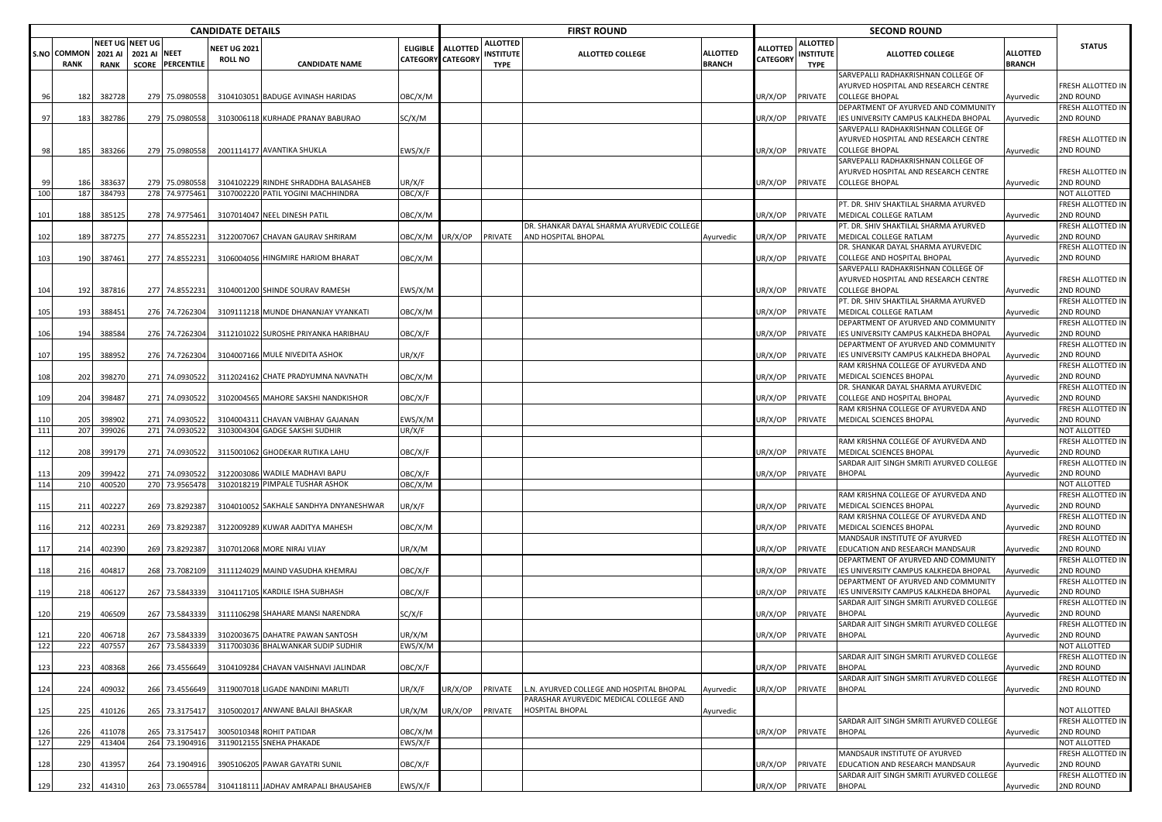|            |                            |                        |                                                 |                                  | <b>CANDIDATE DETAILS</b>              |                                                                      |                                             |                 |                                             | <b>FIRST ROUND</b>                                                |                                  |                      |                                             | <b>SECOND ROUND</b>                                                                                     |                           |                                             |
|------------|----------------------------|------------------------|-------------------------------------------------|----------------------------------|---------------------------------------|----------------------------------------------------------------------|---------------------------------------------|-----------------|---------------------------------------------|-------------------------------------------------------------------|----------------------------------|----------------------|---------------------------------------------|---------------------------------------------------------------------------------------------------------|---------------------------|---------------------------------------------|
|            | S.NO COMMON<br><b>RANK</b> | 2021 AI<br><b>RANK</b> | NEET UG NEET UG<br>2021 AI NEET<br><b>SCORE</b> | <b>PERCENTILE</b>                | <b>NEET UG 2021</b><br><b>ROLL NO</b> | <b>CANDIDATE NAME</b>                                                | <b>ELIGIBLE</b><br><b>CATEGORY CATEGORY</b> | <b>ALLOTTED</b> | <b>ALLOTTED</b><br>INSTITUTE<br><b>TYPE</b> | <b>ALLOTTED COLLEGE</b>                                           | <b>ALLOTTED</b><br><b>BRANCH</b> | ALLOTTED<br>CATEGORY | <b>ALLOTTED</b><br>INSTITUTE<br><b>TYPE</b> | <b>ALLOTTED COLLEGE</b>                                                                                 | ALLOTTED<br><b>BRANCH</b> | <b>STATUS</b>                               |
| 96         | 182                        | 382728                 |                                                 | 279 75.0980558                   |                                       | 3104103051 BADUGE AVINASH HARIDAS                                    | OBC/X/M                                     |                 |                                             |                                                                   |                                  | JR/X/OP              | PRIVATE                                     | SARVEPALLI RADHAKRISHNAN COLLEGE OF<br>AYURVED HOSPITAL AND RESEARCH CENTRE<br><b>COLLEGE BHOPAL</b>    | Ayurvedic                 | FRESH ALLOTTED IN<br>2ND ROUND              |
| 97         | 183                        | 382786                 |                                                 | 279 75.0980558                   |                                       | 3103006118 KURHADE PRANAY BABURAO                                    | SC/X/M                                      |                 |                                             |                                                                   |                                  | JR/X/OP              | PRIVATE                                     | DEPARTMENT OF AYURVED AND COMMUNITY<br>IES UNIVERSITY CAMPUS KALKHEDA BHOPAL                            | Ayurvedic                 | FRESH ALLOTTED IN<br>2ND ROUND              |
| 98         | 185                        | 383266                 |                                                 | 279 75.0980558                   |                                       | 2001114177 AVANTIKA SHUKLA                                           | EWS/X/F                                     |                 |                                             |                                                                   |                                  | JR/X/OP              | PRIVATE                                     | SARVEPALLI RADHAKRISHNAN COLLEGE OF<br>AYURVED HOSPITAL AND RESEARCH CENTRE<br><b>COLLEGE BHOPAL</b>    | Ayurvedic                 | FRESH ALLOTTED IN<br>2ND ROUND              |
| 99         | 186                        | 38363                  |                                                 | 279 75.0980558                   |                                       | 3104102229 RINDHE SHRADDHA BALASAHEB                                 | UR/X/F                                      |                 |                                             |                                                                   |                                  | JR/X/OP              | PRIVATE                                     | SARVEPALLI RADHAKRISHNAN COLLEGE OF<br>AYURVED HOSPITAL AND RESEARCH CENTRE<br><b>COLLEGE BHOPAL</b>    | Ayurvedic                 | FRESH ALLOTTED IN<br>2ND ROUND              |
| 100        | 187                        | 384793                 | 278                                             | 74.9775461                       |                                       | 3107002220 PATIL YOGINI MACHHINDRA                                   | OBC/X/F                                     |                 |                                             |                                                                   |                                  |                      |                                             |                                                                                                         |                           | NOT ALLOTTED                                |
| 101        | 188                        | 385125                 |                                                 | 278 74.9775461                   |                                       | 3107014047 NEEL DINESH PATIL                                         | OBC/X/M                                     |                 |                                             |                                                                   |                                  | JR/X/OP              | PRIVATE                                     | PT. DR. SHIV SHAKTILAL SHARMA AYURVED<br>MEDICAL COLLEGE RATLAM                                         | <b>vurvedic</b>           | FRESH ALLOTTED IN<br>2ND ROUND              |
| 102        | 189                        | 387275                 |                                                 | 277 74.8552231                   |                                       | 3122007067 CHAVAN GAURAV SHRIRAM                                     | OBC/X/M                                     | IR/X/OP         | PRIVATE                                     | DR. SHANKAR DAYAL SHARMA AYURVEDIC COLLEGE<br>AND HOSPITAL BHOPAL | Ayurvedic                        | JR/X/OP              | PRIVATE                                     | PT. DR. SHIV SHAKTILAL SHARMA AYURVED<br>MEDICAL COLLEGE RATLAM                                         | Ayurvedic                 | FRESH ALLOTTED IN<br>2ND ROUND              |
| 103        | 190                        | 387461                 |                                                 | 277 74.8552231                   |                                       | 3106004056 HINGMIRE HARIOM BHARAT                                    | OBC/X/M                                     |                 |                                             |                                                                   |                                  | JR/X/OP              | PRIVATE                                     | DR. SHANKAR DAYAL SHARMA AYURVEDIC<br>COLLEGE AND HOSPITAL BHOPAL                                       | Ayurvedic                 | FRESH ALLOTTED IN<br>2ND ROUND              |
|            |                            |                        |                                                 |                                  |                                       |                                                                      |                                             |                 |                                             |                                                                   |                                  |                      |                                             | SARVEPALLI RADHAKRISHNAN COLLEGE OF<br>AYURVED HOSPITAL AND RESEARCH CENTRE                             |                           | FRESH ALLOTTED IN                           |
| 104        | 192                        | 387816                 |                                                 | 277 74.8552231                   |                                       | 3104001200 SHINDE SOURAV RAMESH                                      | EWS/X/M                                     |                 |                                             |                                                                   |                                  | JR/X/OP              | PRIVATE                                     | <b>COLLEGE BHOPAL</b><br>PT. DR. SHIV SHAKTILAL SHARMA AYURVED                                          | <b>\yurvedic</b>          | 2ND ROUND<br>FRESH ALLOTTED IN              |
| 105        | 193                        | 388451                 |                                                 | 276 74.7262304                   |                                       | 3109111218 MUNDE DHANANJAY VYANKATI                                  | OBC/X/M                                     |                 |                                             |                                                                   |                                  | JR/X/OP              | PRIVATE                                     | MEDICAL COLLEGE RATLAM                                                                                  | Ayurvedic                 | 2ND ROUND                                   |
| 106        | 194                        | 388584                 |                                                 | 276 74.7262304                   |                                       | 3112101022 SUROSHE PRIYANKA HARIBHAU                                 | OBC/X/F                                     |                 |                                             |                                                                   |                                  | JR/X/OP              | PRIVATE                                     | DEPARTMENT OF AYURVED AND COMMUNITY<br>IES UNIVERSITY CAMPUS KALKHEDA BHOPAL                            | <b>\yurvedic</b>          | FRESH ALLOTTED IN<br>2ND ROUND              |
|            |                            |                        |                                                 |                                  |                                       |                                                                      |                                             |                 |                                             |                                                                   |                                  |                      |                                             | DEPARTMENT OF AYURVED AND COMMUNITY                                                                     |                           | FRESH ALLOTTED IN                           |
| 107<br>108 | 195<br>202                 | 388952<br>398270       |                                                 | 276 74.7262304<br>271 74.0930522 |                                       | 3104007166 MULE NIVEDITA ASHOK<br>3112024162 CHATE PRADYUMNA NAVNATH | UR/X/F<br>OBC/X/M                           |                 |                                             |                                                                   |                                  | JR/X/OP<br>JR/X/OP   | PRIVATE<br>PRIVATE                          | IES UNIVERSITY CAMPUS KALKHEDA BHOPAL<br>RAM KRISHNA COLLEGE OF AYURVEDA AND<br>MEDICAL SCIENCES BHOPAL | <b>\yurvedic</b>          | 2ND ROUND<br>FRESH ALLOTTED IN<br>2ND ROUND |
|            |                            |                        |                                                 |                                  |                                       |                                                                      |                                             |                 |                                             |                                                                   |                                  |                      |                                             | DR. SHANKAR DAYAL SHARMA AYURVEDIC                                                                      | <b>\yurvedic</b>          | FRESH ALLOTTED IN                           |
| 109        | 204                        | 39848                  |                                                 | 271 74.0930522                   |                                       | 3102004565 MAHORE SAKSHI NANDKISHOR                                  | OBC/X/F                                     |                 |                                             |                                                                   |                                  | JR/X/OP              | PRIVATE                                     | COLLEGE AND HOSPITAL BHOPAL<br>RAM KRISHNA COLLEGE OF AYURVEDA AND                                      | <b>\yurvedic</b>          | 2ND ROUND                                   |
| 110        | 205                        | 398902                 |                                                 | 271 74.0930522                   |                                       | 3104004311 CHAVAN VAIBHAV GAJANAN                                    | EWS/X/M                                     |                 |                                             |                                                                   |                                  | JR/X/OP              | PRIVATE                                     | MEDICAL SCIENCES BHOPAL                                                                                 | Ayurvedic                 | FRESH ALLOTTED IN<br>2ND ROUND              |
| 111        | 207                        | 399026                 |                                                 | 271 74.0930522                   |                                       | 3103004304 GADGE SAKSHI SUDHIR                                       | UR/X/F                                      |                 |                                             |                                                                   |                                  |                      |                                             |                                                                                                         |                           | NOT ALLOTTED                                |
|            |                            |                        |                                                 |                                  |                                       |                                                                      |                                             |                 |                                             |                                                                   |                                  |                      |                                             | RAM KRISHNA COLLEGE OF AYURVEDA AND                                                                     |                           | FRESH ALLOTTED IN                           |
| 112        | 208                        | 39917                  |                                                 | 271 74.0930522                   |                                       | 3115001062 GHODEKAR RUTIKA LAHU                                      | OBC/X/F                                     |                 |                                             |                                                                   |                                  | JR/X/OP              | PRIVATE                                     | MEDICAL SCIENCES BHOPAL<br>SARDAR AJIT SINGH SMRITI AYURVED COLLEGE                                     | Ayurvedic                 | 2ND ROUND<br>FRESH ALLOTTED IN              |
| 113        | 209                        | 399422                 |                                                 | 271 74.0930522                   |                                       | 3122003086 WADILE MADHAVI BAPU                                       | OBC/X/F                                     |                 |                                             |                                                                   |                                  | JR/X/OP              | PRIVATE                                     | <b>BHOPAL</b>                                                                                           | Ayurvedic                 | 2ND ROUND                                   |
| 114        | 210                        | 400520                 |                                                 | 270 73.9565478                   |                                       | 3102018219 PIMPALE TUSHAR ASHOK                                      | OBC/X/M                                     |                 |                                             |                                                                   |                                  |                      |                                             |                                                                                                         |                           | NOT ALLOTTED                                |
| 115        | 211                        | 40222                  | 269                                             | 73.8292387                       |                                       | 3104010052 SAKHALE SANDHYA DNYANESHWAR                               | UR/X/F                                      |                 |                                             |                                                                   |                                  | JR/X/OP              | PRIVATE                                     | RAM KRISHNA COLLEGE OF AYURVEDA AND<br>MEDICAL SCIENCES BHOPAL                                          | <b>\yurvedic</b>          | FRESH ALLOTTED IN<br>2ND ROUND              |
| 116        | 212                        | 40223                  |                                                 | 269 73.8292387                   |                                       | 3122009289 KUWAR AADITYA MAHESH                                      | OBC/X/M                                     |                 |                                             |                                                                   |                                  | JR/X/OP              | PRIVATE                                     | RAM KRISHNA COLLEGE OF AYURVEDA AND<br>MEDICAL SCIENCES BHOPAL                                          | Ayurvedic                 | FRESH ALLOTTED IN<br>2ND ROUND              |
|            |                            |                        |                                                 |                                  |                                       |                                                                      |                                             |                 |                                             |                                                                   |                                  |                      |                                             | MANDSAUR INSTITUTE OF AYURVED                                                                           |                           | FRESH ALLOTTED IN                           |
| 117        | 214                        | 402390                 |                                                 | 269 73.8292387                   |                                       | 3107012068 MORE NIRAJ VIJAY                                          | UR/X/M                                      |                 |                                             |                                                                   |                                  | JR/X/OP              | PRIVATE                                     | EDUCATION AND RESEARCH MANDSAUR<br>DEPARTMENT OF AYURVED AND COMMUNITY                                  | <b>\yurvedic</b>          | 2ND ROUND<br>FRESH ALLOTTED IN              |
| 118        | 216                        | 40481                  |                                                 | 268 73.7082109                   |                                       | 3111124029 MAIND VASUDHA KHEMRAJ                                     | OBC/X/F                                     |                 |                                             |                                                                   |                                  | JR/X/OP              | PRIVATE                                     | IES UNIVERSITY CAMPUS KALKHEDA BHOPAL<br>DEPARTMENT OF AYURVED AND COMMUNITY                            | <b>Nyurvedic</b>          | 2ND ROUND<br>FRESH ALLOTTED IN              |
| 119        | 218                        | 40612                  |                                                 | 267 73.5843339                   |                                       | 3104117105 KARDILE ISHA SUBHASH                                      | OBC/X/F                                     |                 |                                             |                                                                   |                                  | JR/X/OP              | PRIVATE                                     | ES UNIVERSITY CAMPUS KALKHEDA BHOPAL                                                                    | <b>\yurvedic</b>          | 2ND ROUND                                   |
| 120        | 219                        | 406509                 | 267                                             | 73.5843339                       |                                       | 3111106298 SHAHARE MANSI NARENDRA                                    | SC/X/F                                      |                 |                                             |                                                                   |                                  | JR/X/OP              | PRIVATE                                     | SARDAR AJIT SINGH SMRITI AYURVED COLLEGE<br><b>BHOPAL</b>                                               | vurvedic                  | FRESH ALLOTTED IN<br>2ND ROUND              |
| 121        | 220                        | 406718                 |                                                 | 267 73.5843339                   |                                       | 3102003675 DAHATRE PAWAN SANTOSH                                     | UR/X/M                                      |                 |                                             |                                                                   |                                  | UR/X/OP              | PRIVATE                                     | SARDAR AJIT SINGH SMRITI AYURVED COLLEGE<br><b>BHOPAL</b>                                               | Ayurvedic                 | FRESH ALLOTTED IN<br>2ND ROUND              |
| 122        | 222                        | 407557                 |                                                 |                                  |                                       | 267 73.5843339 3117003036 BHALWANKAR SUDIP SUDHIR                    | EWS/X/M                                     |                 |                                             |                                                                   |                                  |                      |                                             |                                                                                                         |                           | NOT ALLOTTED                                |
| 123        | 223                        | 408368                 |                                                 | 266 73.4556649                   |                                       | 3104109284 CHAVAN VAISHNAVI JALINDAR                                 | OBC/X/F                                     |                 |                                             |                                                                   |                                  | JR/X/OP              | PRIVATE                                     | SARDAR AJIT SINGH SMRITI AYURVED COLLEGE<br><b>BHOPAL</b>                                               | Ayurvedic                 | FRESH ALLOTTED IN<br>2ND ROUND              |
| 124        | 224                        | 409032                 |                                                 | 266 73.4556649                   |                                       | 3119007018 LIGADE NANDINI MARUTI                                     | UR/X/F                                      | JR/X/OP         | PRIVATE                                     | L.N. AYURVED COLLEGE AND HOSPITAL BHOPAL                          | Ayurvedic                        | JR/X/OP              | PRIVATE                                     | SARDAR AJIT SINGH SMRITI AYURVED COLLEGE<br><b>BHOPAL</b>                                               | Ayurvedic                 | FRESH ALLOTTED IN<br>2ND ROUND              |
| 125        | 225                        | 410126                 |                                                 | 265 73.3175417                   |                                       | 3105002017 ANWANE BALAJI BHASKAR                                     | UR/X/M                                      | UR/X/OP         | PRIVATE                                     | PARASHAR AYURVEDIC MEDICAL COLLEGE AND<br><b>HOSPITAL BHOPAL</b>  | Ayurvedic                        |                      |                                             |                                                                                                         |                           | NOT ALLOTTED                                |
| 126        | 226                        | 411078                 |                                                 | 265 73.3175417                   |                                       | 3005010348 ROHIT PATIDAR                                             | OBC/X/M                                     |                 |                                             |                                                                   |                                  | JR/X/OP              | PRIVATE                                     | SARDAR AJIT SINGH SMRITI AYURVED COLLEGE<br><b>BHOPAL</b>                                               | Ayurvedic                 | FRESH ALLOTTED IN<br>2ND ROUND              |
| 127        | 229                        | 413404                 |                                                 | 264 73.1904916                   |                                       | 3119012155 SNEHA PHAKADE                                             | EWS/X/F                                     |                 |                                             |                                                                   |                                  |                      |                                             |                                                                                                         |                           | NOT ALLOTTED                                |
| 128        | 230                        | 413957                 |                                                 | 264 73.1904916                   |                                       | 3905106205 PAWAR GAYATRI SUNIL                                       | OBC/X/F                                     |                 |                                             |                                                                   |                                  | JR/X/OP              | PRIVATE                                     | MANDSAUR INSTITUTE OF AYURVED<br>EDUCATION AND RESEARCH MANDSAUR                                        | Ayurvedic                 | FRESH ALLOTTED IN<br>2ND ROUND              |
|            |                            |                        |                                                 |                                  |                                       |                                                                      |                                             |                 |                                             |                                                                   |                                  |                      |                                             | SARDAR AJIT SINGH SMRITI AYURVED COLLEGE                                                                |                           | FRESH ALLOTTED IN                           |
| 129        |                            | 232 414310             |                                                 | 263 73.0655784                   |                                       | 3104118111 JADHAV AMRAPALI BHAUSAHEB                                 | EWS/X/F                                     |                 |                                             |                                                                   |                                  | UR/X/OP PRIVATE      |                                             | <b>BHOPAL</b>                                                                                           | Ayurvedic                 | 2ND ROUND                                   |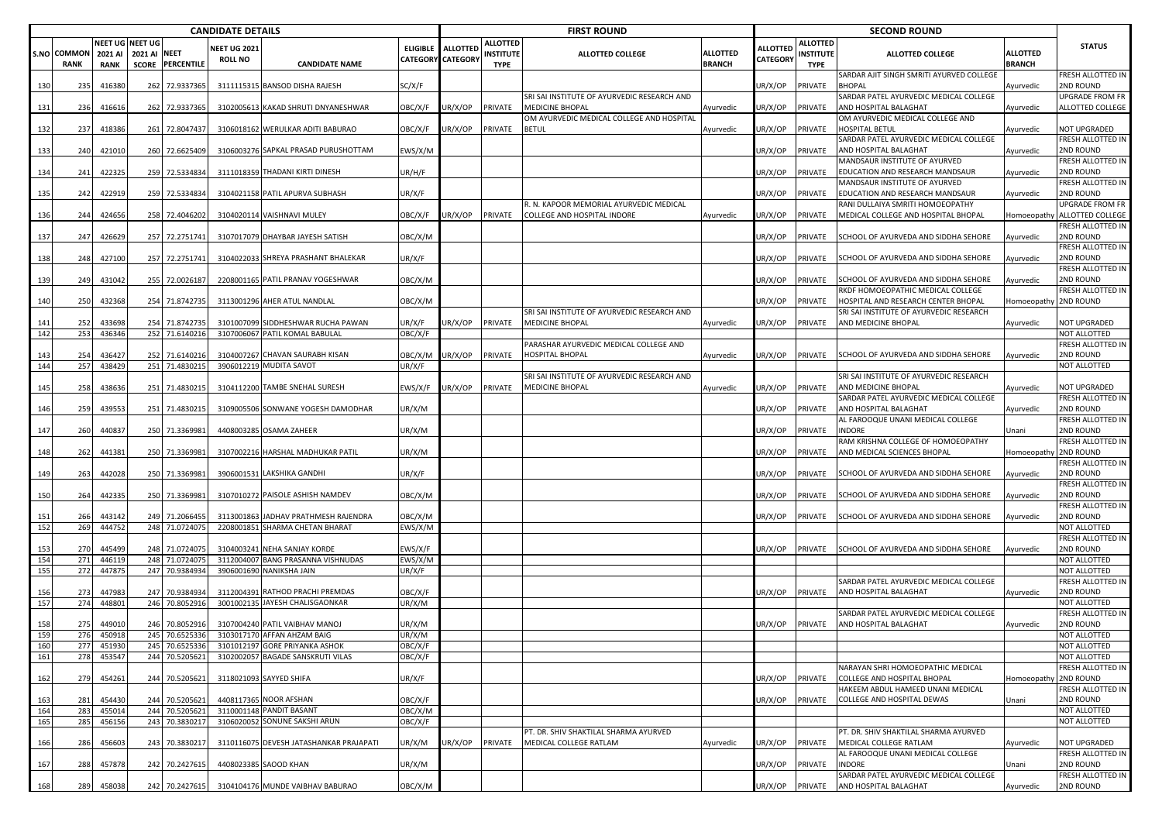|            |                                   |                        |                                        |                                  | <b>CANDIDATE DETAILS</b>              |                                                                         |                    |                                        |                                                    | <b>FIRST ROUND</b>                                                    |                                  |                             |                                                    | <b>SECOND ROUND</b>                                                            |                           |                                      |
|------------|-----------------------------------|------------------------|----------------------------------------|----------------------------------|---------------------------------------|-------------------------------------------------------------------------|--------------------|----------------------------------------|----------------------------------------------------|-----------------------------------------------------------------------|----------------------------------|-----------------------------|----------------------------------------------------|--------------------------------------------------------------------------------|---------------------------|--------------------------------------|
|            | <b>S.NO COMMON</b><br><b>RANK</b> | 2021 AI<br><b>RANK</b> | <b>NEET UG NEET UG</b><br>2021 AI NEET | <b>SCORE PERCENTILE</b>          | <b>VEET UG 2021</b><br><b>ROLL NO</b> | <b>CANDIDATE NAME</b>                                                   |                    | ELIGIBLE ALLOTTED<br>CATEGORY CATEGORY | <b>ALLOTTED</b><br><b>INSTITUTE</b><br><b>TYPE</b> | ALLOTTED COLLEGE                                                      | <b>ALLOTTED</b><br><b>BRANCH</b> | <b>ALLOTTED</b><br>CATEGORY | <b>ALLOTTED</b><br><b>INSTITUTE</b><br><b>TYPE</b> | <b>ALLOTTED COLLEGE</b>                                                        | ALLOTTED<br><b>BRANCH</b> | <b>STATUS</b>                        |
| 130        | 235                               | 416380                 | 262                                    | 72.9337365                       |                                       | 3111115315 BANSOD DISHA RAJESH                                          | SC/X/F             |                                        |                                                    |                                                                       |                                  | JR/X/OP                     | PRIVATE                                            | SARDAR AJIT SINGH SMRITI AYURVED COLLEGE<br>BHOPAL                             | Ayurvedic                 | RESH ALLOTTED IN<br><b>ND ROUND</b>  |
| 131        | 236                               | 416616                 |                                        | 262 72.9337365                   |                                       | 3102005613 KAKAD SHRUTI DNYANESHWAR                                     | OBC/X/F            | JR/X/OP                                | PRIVATE                                            | SRI SAI INSTITUTE OF AYURVEDIC RESEARCH AND<br><b>MEDICINE BHOPAL</b> | Ayurvedic                        | JR/X/OP                     | PRIVATE                                            | SARDAR PATEL AYURVEDIC MEDICAL COLLEGE<br>AND HOSPITAL BALAGHAT                | Ayurvedic                 | UPGRADE FROM FR<br>ALLOTTED COLLEGE  |
| 132        | 237                               | 418386                 |                                        | 261 72.804743                    |                                       | 3106018162 WERULKAR ADITI BABURAO                                       | OBC/X/F            | JR/X/OP                                | PRIVATE                                            | OM AYURVEDIC MEDICAL COLLEGE AND HOSPITAL<br><b>BETUL</b>             | Ayurvedic                        | JR/X/OP                     | PRIVATE                                            | OM AYURVEDIC MEDICAL COLLEGE AND<br><b>HOSPITAL BETUL</b>                      | Ayurvedic                 | NOT UPGRADED                         |
|            | 240                               |                        |                                        |                                  |                                       |                                                                         |                    |                                        |                                                    |                                                                       |                                  | JR/X/OP                     | PRIVATE                                            | SARDAR PATEL AYURVEDIC MEDICAL COLLEGE<br>AND HOSPITAL BALAGHAT                |                           | FRESH ALLOTTED IN<br>2ND ROUND       |
| 133        |                                   | 421010                 |                                        | 260 72.6625409                   |                                       | 3106003276 SAPKAL PRASAD PURUSHOTTAM                                    | EWS/X/M            |                                        |                                                    |                                                                       |                                  |                             |                                                    | MANDSAUR INSTITUTE OF AYURVED                                                  | Ayurvedic                 | FRESH ALLOTTED IN                    |
| 134        | 241                               | 422325                 |                                        | 259 72.5334834                   |                                       | 3111018359 THADANI KIRTI DINESH                                         | JR/H/F             |                                        |                                                    |                                                                       |                                  | UR/X/OP                     | PRIVATE                                            | EDUCATION AND RESEARCH MANDSAUR<br>MANDSAUR INSTITUTE OF AYURVED               | Ayurvedic                 | <b>ND ROUND</b><br>RESH ALLOTTED IN  |
| 135        | 242                               | 422919                 |                                        | 259 72.5334834                   |                                       | 3104021158 PATIL APURVA SUBHASH                                         | JR/X/F             |                                        |                                                    | I. N. KAPOOR MEMORIAL AYURVEDIC MEDICAL                               |                                  | JR/X/OP                     | PRIVATE                                            | EDUCATION AND RESEARCH MANDSAUR<br>RANI DULLAIYA SMRITI HOMOEOPATHY            | Ayurvedic                 | <b>ND ROUND</b><br>UPGRADE FROM FR   |
| 136        | 244                               | 424656                 |                                        | 258 72.4046202                   |                                       | 3104020114 VAISHNAVI MULEY                                              | OBC/X/F            | JR/X/OP                                | PRIVATE                                            | COLLEGE AND HOSPITAL INDORE                                           | Ayurvedic                        | JR/X/OP                     | PRIVATE                                            | MEDICAL COLLEGE AND HOSPITAL BHOPAL                                            | Iomoeopath                | ALLOTTED COLLEGE<br>RESH ALLOTTED IN |
| 137        | 247                               | 426629                 |                                        | 257 72.2751741                   |                                       | 3107017079 DHAYBAR JAYESH SATISH                                        | ОВС/Х/М            |                                        |                                                    |                                                                       |                                  | JR/X/OP                     | PRIVATE                                            | SCHOOL OF AYURVEDA AND SIDDHA SEHORE                                           | Ayurvedic                 | <b>ND ROUND</b><br>FRESH ALLOTTED IN |
| 138        | 248                               | 427100                 |                                        | 257 72.2751741                   |                                       | 3104022033 SHREYA PRASHANT BHALEKAR                                     | JR/X/F             |                                        |                                                    |                                                                       |                                  | JR/X/OP                     | PRIVATE                                            | SCHOOL OF AYURVEDA AND SIDDHA SEHORE                                           | Ayurvedic                 | 2ND ROUND<br>FRESH ALLOTTED IN       |
| 139        | 249                               | 431042                 |                                        | 255 72.0026187                   |                                       | 2208001165 PATIL PRANAV YOGESHWAR                                       | OBC/X/M            |                                        |                                                    |                                                                       |                                  | JR/X/OP                     | PRIVATE                                            | SCHOOL OF AYURVEDA AND SIDDHA SEHORE<br>RKDF HOMOEOPATHIC MEDICAL COLLEGE      | Ayurvedic                 | 2ND ROUND<br>FRESH ALLOTTED IN       |
| 140        | 250                               | 432368                 |                                        | 254 71.874273                    |                                       | 3113001296 AHER ATUL NANDLAL                                            | ОВС/Х/М            |                                        |                                                    | SRI SAI INSTITUTE OF AYURVEDIC RESEARCH AND                           |                                  | JR/X/OP                     | PRIVATE                                            | HOSPITAL AND RESEARCH CENTER BHOPAL<br>SRI SAI INSTITUTE OF AYURVEDIC RESEARCH | Homoeopathy 2ND ROUND     |                                      |
| 141        | 252                               | 433698                 |                                        | 254 71.8742735                   |                                       | 3101007099 SIDDHESHWAR RUCHA PAWAN                                      | JR/X/F             | JR/X/OP                                | PRIVATE                                            | <b>MEDICINE BHOPAL</b>                                                | Ayurvedic                        | JR/X/OP                     | PRIVATE                                            | AND MEDICINE BHOPAL                                                            | Ayurvedic                 | NOT UPGRADED                         |
| 142        | 253                               | 436346                 |                                        | 252 71.6140216                   |                                       | 3107006067 PATIL KOMAL BABULAL                                          | OBC/X/F            |                                        |                                                    | PARASHAR AYURVEDIC MEDICAL COLLEGE AND                                |                                  |                             |                                                    |                                                                                |                           | NOT ALLOTTED<br>FRESH ALLOTTED IN    |
| 143<br>144 | 254<br>257                        | 436427<br>438429       |                                        | 252 71.6140216<br>251 71.4830215 |                                       | 3104007267 CHAVAN SAURABH KISAN<br>3906012219 MUDITA SAVOT              | ЭВС/Х/М<br>JR/X/F  | JR/X/OP                                | PRIVATE                                            | <b>HOSPITAL BHOPAL</b>                                                | Ayurvedic                        | JR/X/OP                     | PRIVATE                                            | SCHOOL OF AYURVEDA AND SIDDHA SEHORE                                           | Ayurvedic                 | 2ND ROUND<br>NOT ALLOTTED            |
| 145        | 258                               | 438636                 |                                        | 251 71.4830215                   |                                       | 3104112200 TAMBE SNEHAL SURESH                                          | :WS/X/F            | JR/X/OP                                | PRIVATE                                            | SRI SAI INSTITUTE OF AYURVEDIC RESEARCH AND<br><b>MEDICINE BHOPAL</b> | Ayurvedic                        | JR/X/OP                     | PRIVATE                                            | SRI SAI INSTITUTE OF AYURVEDIC RESEARCH<br>AND MEDICINE BHOPAL                 | Ayurvedic                 | NOT UPGRADED                         |
| 146        | 259                               | 439553                 |                                        | 251 71.483021                    |                                       | 3109005506 SONWANE YOGESH DAMODHAR                                      | JR/X/M             |                                        |                                                    |                                                                       |                                  | JR/X/OP                     | PRIVATE                                            | SARDAR PATEL AYURVEDIC MEDICAL COLLEGE<br>AND HOSPITAL BALAGHAT                | Ayurvedic                 | FRESH ALLOTTED IN<br><b>ND ROUND</b> |
| 147        | 260                               | 440837                 |                                        | 250 71.336998                    |                                       | 4408003285 OSAMA ZAHEER                                                 | JR/X/M             |                                        |                                                    |                                                                       |                                  | JR/X/OP                     | PRIVATE                                            | AL FAROOQUE UNANI MEDICAL COLLEGE<br>NDORE                                     | Jnani                     | FRESH ALLOTTED IN<br><b>ND ROUND</b> |
| 148        | 262                               | 441381                 |                                        | 250 71.336998                    |                                       | 3107002216 HARSHAL MADHUKAR PATIL                                       | JR/X/M             |                                        |                                                    |                                                                       |                                  | JR/X/OP                     | PRIVATE                                            | RAM KRISHNA COLLEGE OF HOMOEOPATHY<br>AND MEDICAL SCIENCES BHOPAL              | Iomoeopathy 2ND ROUND     | FRESH ALLOTTED IN                    |
|            |                                   |                        |                                        |                                  |                                       |                                                                         |                    |                                        |                                                    |                                                                       |                                  |                             |                                                    |                                                                                |                           | RESH ALLOTTED IN                     |
| 149        | 263                               | 442028                 |                                        | 250 71.336998                    |                                       | 3906001531 LAKSHIKA GANDHI                                              | JR/X/F             |                                        |                                                    |                                                                       |                                  | JR/X/OP                     | PRIVATE                                            | SCHOOL OF AYURVEDA AND SIDDHA SEHORE                                           | Ayurvedic                 | <b>ND ROUND</b><br>FRESH ALLOTTED IN |
| 150        | 264                               | 442335                 |                                        | 250 71.3369981                   |                                       | 3107010272 PAISOLE ASHISH NAMDEV                                        | OBC/X/M            |                                        |                                                    |                                                                       |                                  | JR/X/OP                     | PRIVATE                                            | SCHOOL OF AYURVEDA AND SIDDHA SEHORE                                           | Ayurvedic                 | 2ND ROUND<br>FRESH ALLOTTED IN       |
| 151<br>152 | 266<br>269                        | 44314<br>444752        |                                        | 249 71.206645<br>248 71.0724075  |                                       | 3113001863 JADHAV PRATHMESH RAJENDRA<br>2208001851 SHARMA CHETAN BHARAT | ОВС/Х/М<br>EWS/X/M |                                        |                                                    |                                                                       |                                  | JR/X/OP                     | PRIVATE                                            | SCHOOL OF AYURVEDA AND SIDDHA SEHORE                                           | Ayurvedic                 | 2ND ROUND<br>NOT ALLOTTED            |
| 153        | 270                               | 445499                 |                                        | 248 71.0724075                   |                                       | 3104003241 NEHA SANJAY KORDE                                            | :WS/X/F            |                                        |                                                    |                                                                       |                                  | JR/X/OP                     | PRIVATE                                            | SCHOOL OF AYURVEDA AND SIDDHA SEHORE                                           | Ayurvedic                 | FRESH ALLOTTED IN<br>2ND ROUND       |
| 154<br>155 | 271<br>272                        | 446119<br>447875       |                                        | 248 71.0724075<br>247 70.9384934 |                                       | 3112004007 BANG PRASANNA VISHNUDAS<br>3906001690 NANIKSHA JAIN          | EWS/X/M<br>JR/X/F  |                                        |                                                    |                                                                       |                                  |                             |                                                    |                                                                                |                           | NOT ALLOTTED<br>NOT ALLOTTED         |
| 156        | 273                               | 447983                 |                                        | 247 70.9384934                   |                                       | 3112004391 RATHOD PRACHI PREMDAS                                        | <b>JBC/X/F</b>     |                                        |                                                    |                                                                       |                                  | JR/X/OP                     | PRIVATE                                            | SARDAR PATEL AYURVEDIC MEDICAL COLLEGE<br>AND HOSPITAL BALAGHAT                | Ayurvedic                 | FRESH ALLOTTED IN<br><b>ND ROUND</b> |
| 157        | 274                               | 448801                 |                                        | 246 70.8052916                   |                                       | 3001002135 JAYESH CHALISGAONKAR                                         | JR/X/M             |                                        |                                                    |                                                                       |                                  |                             |                                                    | ARDAR PATEL AYURVEDIC MEDICAL COLLEGE                                          |                           | NOT ALLOTTED<br>RESH ALLOTTED IN     |
| 158<br>159 | 275                               | 449010                 |                                        | 246 70.8052916                   |                                       | 3107004240 PATIL VAIBHAV MANOJ                                          | JR/X/M             |                                        |                                                    |                                                                       |                                  | UR/X/OP                     | PRIVATE                                            | AND HOSPITAL BALAGHAT                                                          | Ayurvedic                 | 2ND ROUND                            |
| 160        | 276<br>277                        | 450918<br>451930       |                                        | 245 70.6525336<br>245 70.6525336 |                                       | 3103017170 AFFAN AHZAM BAIG<br>3101012197 GORE PRIYANKA ASHOK           | UR/X/M<br>OBC/X/F  |                                        |                                                    |                                                                       |                                  |                             |                                                    |                                                                                |                           | <b>NOT ALLOTTED</b><br>NOT ALLOTTED  |
| 161        | 278                               | 453547                 |                                        | 244 70.5205621                   |                                       | 3102002057 BAGADE SANSKRUTI VILAS                                       | OBC/X/F            |                                        |                                                    |                                                                       |                                  |                             |                                                    | <b>NARAYAN SHRI HOMOEOPATHIC MEDICAL</b>                                       |                           | NOT ALLOTTED<br>FRESH ALLOTTED IN    |
| 162        | 279                               | 454261                 |                                        | 244 70.5205621                   |                                       | 3118021093 SAYYED SHIFA                                                 | JR/X/F             |                                        |                                                    |                                                                       |                                  | JR/X/OP                     | PRIVATE                                            | COLLEGE AND HOSPITAL BHOPAL<br>HAKEEM ABDUL HAMEED UNANI MEDICAL               | Iomoeopathy 2ND ROUND     | FRESH ALLOTTED IN                    |
| 163<br>164 | 281<br>283                        | 454430<br>455014       |                                        | 244 70.5205621<br>244 70.5205621 |                                       | 4408117365 NOOR AFSHAN<br>3110001148 PANDIT BASANT                      | OBC/X/F<br>OBC/X/M |                                        |                                                    |                                                                       |                                  | JR/X/OP                     | PRIVATE                                            | COLLEGE AND HOSPITAL DEWAS                                                     | Unani                     | 2ND ROUND<br>NOT ALLOTTED            |
| 165        | 285                               | 456156                 |                                        | 243 70.3830217                   |                                       | 3106020052 SONUNE SAKSHI ARUN                                           | OBC/X/F            |                                        |                                                    |                                                                       |                                  |                             |                                                    |                                                                                |                           | NOT ALLOTTED                         |
| 166        | 286                               | 456603                 |                                        | 243 70.3830217                   |                                       | 3110116075 DEVESH JATASHANKAR PRAJAPATI                                 | JR/X/M             | JR/X/OP                                | PRIVATE                                            | PT. DR. SHIV SHAKTILAL SHARMA AYURVED<br>MEDICAL COLLEGE RATLAM       | Ayurvedic                        | UR/X/OP                     | PRIVATE                                            | PT. DR. SHIV SHAKTILAL SHARMA AYURVED<br>MEDICAL COLLEGE RATLAM                | Ayurvedic                 | NOT UPGRADED                         |
| 167        | 288                               | 457878                 |                                        | 242 70.2427619                   |                                       | 4408023385 SAOOD KHAN                                                   | JR/X/M             |                                        |                                                    |                                                                       |                                  | JR/X/OP                     | PRIVATE                                            | AL FAROOQUE UNANI MEDICAL COLLEGE<br>INDORE                                    | Jnani                     | FRESH ALLOTTED IN<br>2ND ROUND       |
| 168        | 289                               | 458038                 |                                        | 242 70.2427615                   |                                       | 3104104176 MUNDE VAIBHAV BABURAO                                        | OBC/X/M            |                                        |                                                    |                                                                       |                                  | JR/X/OP                     |                                                    | SARDAR PATEL AYURVEDIC MEDICAL COLLEGE<br>PRIVATE AND HOSPITAL BALAGHAT        | Ayurvedic                 | FRESH ALLOTTED IN<br>2ND ROUND       |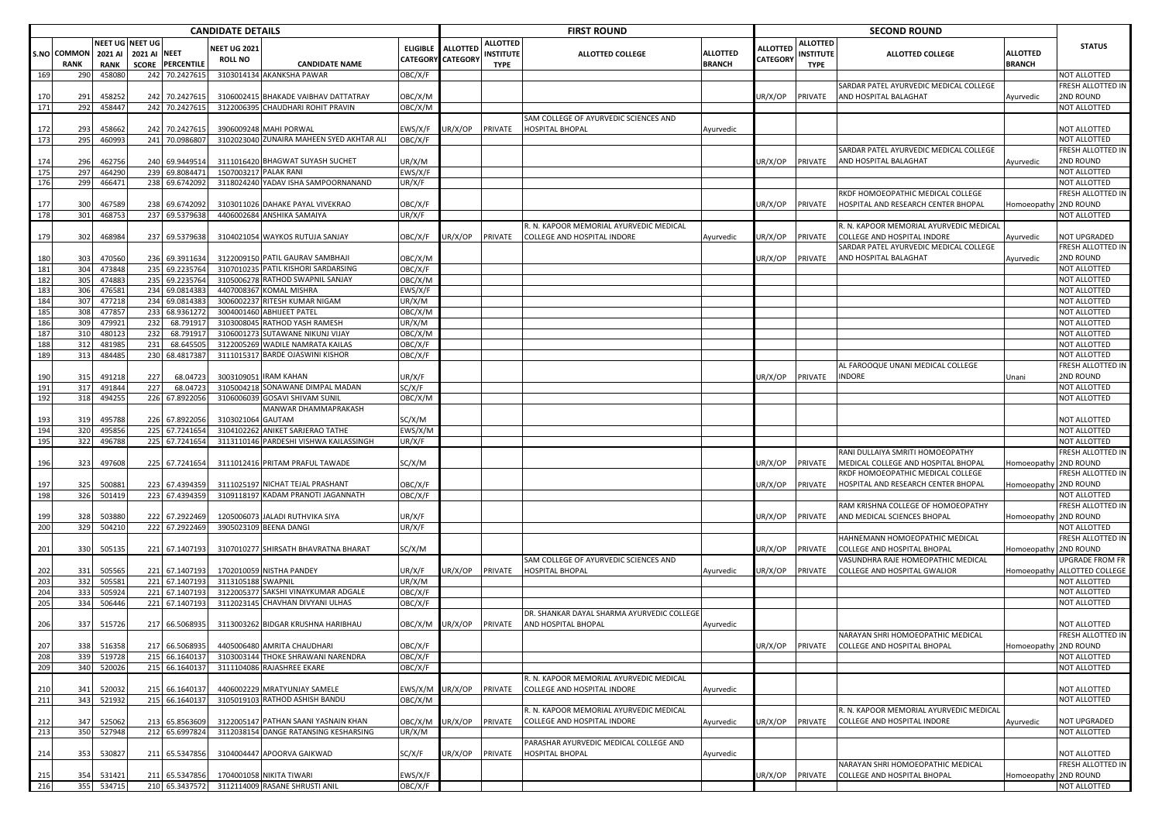|            |                                   |                        |                                                 |                                  | <b>CANDIDATE DETAILS</b>              |                                                          |                   |                                               |                                                    | <b>FIRST ROUND</b>                         |                                  |                             |                                             | <b>SECOND ROUND</b>                                                      |                                  |                                          |
|------------|-----------------------------------|------------------------|-------------------------------------------------|----------------------------------|---------------------------------------|----------------------------------------------------------|-------------------|-----------------------------------------------|----------------------------------------------------|--------------------------------------------|----------------------------------|-----------------------------|---------------------------------------------|--------------------------------------------------------------------------|----------------------------------|------------------------------------------|
|            | <b>S.NO COMMON</b><br><b>RANK</b> | 2021 AI<br><b>RANK</b> | NEET UG NEET UG<br>2021 AI NEET<br><b>SCORE</b> | <b>PERCENTILE</b>                | <b>VEET UG 2021</b><br><b>ROLL NO</b> | <b>CANDIDATE NAME</b>                                    |                   | ELIGIBLE ALLOTTED<br><b>CATEGORY CATEGORY</b> | <b>ALLOTTED</b><br><b>INSTITUTE</b><br><b>TYPE</b> | <b>ALLOTTED COLLEGE</b>                    | <b>ALLOTTED</b><br><b>BRANCH</b> | <b>ALLOTTED</b><br>CATEGORY | <b>ALLOTTED</b><br>INSTITUTE<br><b>TYPE</b> | <b>ALLOTTED COLLEGE</b>                                                  | <b>ALLOTTED</b><br><b>BRANCH</b> | <b>STATUS</b>                            |
| 169        | 290                               | 458080                 |                                                 | 242 70.2427615                   |                                       | 3103014134 AKANKSHA PAWAR                                | OBC/X/F           |                                               |                                                    |                                            |                                  |                             |                                             |                                                                          |                                  | <b>NOT ALLOTTED</b>                      |
| 170        | 291                               | 458252                 |                                                 | 242 70.2427615                   |                                       | 3106002415 BHAKADE VAIBHAV DATTATRAY                     | ОВС/Х/М           |                                               |                                                    |                                            |                                  | JR/X/OP                     | PRIVATE                                     | SARDAR PATEL AYURVEDIC MEDICAL COLLEGE<br>AND HOSPITAL BALAGHAT          | Ayurvedic                        | FRESH ALLOTTED IN<br>2ND ROUND           |
| 171        | 292                               | 458447                 |                                                 | 242 70.2427615                   |                                       | 3122006395 CHAUDHARI ROHIT PRAVIN                        | OBC/X/M           |                                               |                                                    |                                            |                                  |                             |                                             |                                                                          |                                  | NOT ALLOTTED                             |
|            |                                   |                        |                                                 |                                  |                                       |                                                          |                   |                                               |                                                    | SAM COLLEGE OF AYURVEDIC SCIENCES AND      |                                  |                             |                                             |                                                                          |                                  |                                          |
| 172        | 293<br>295                        | 458662                 |                                                 | 242 70.2427615                   |                                       | 3906009248 MAHI PORWAL                                   | EWS/X/F           | JR/X/OP                                       | PRIVATE                                            | HOSPITAL BHOPAL                            | Ayurvedic                        |                             |                                             |                                                                          |                                  | NOT ALLOTTED<br>NOT ALLOTTED             |
| 173        |                                   | 460993                 | 241                                             | 70.0986807                       |                                       | 3102023040 ZUNAIRA MAHEEN SYED AKHTAR ALI                | OBC/X/F           |                                               |                                                    |                                            |                                  |                             |                                             | SARDAR PATEL AYURVEDIC MEDICAL COLLEGE                                   |                                  | FRESH ALLOTTED IN                        |
| 174        | 296                               | 462756                 | 240                                             | 69.9449514                       |                                       | 3111016420 BHAGWAT SUYASH SUCHET                         | JR/X/M            |                                               |                                                    |                                            |                                  | JR/X/OP                     | PRIVATE                                     | AND HOSPITAL BALAGHAT                                                    | Ayurvedic                        | 2ND ROUND                                |
| 175        | 29                                | 464290                 |                                                 | 239 69.8084471                   | 1507003217 PALAK RANI                 |                                                          | EWS/X/F           |                                               |                                                    |                                            |                                  |                             |                                             |                                                                          |                                  | NOT ALLOTTED                             |
| 176        | 299                               | 466471                 | 238                                             | 69.6742092                       |                                       | 3118024240 YADAV ISHA SAMPOORNANAND                      | JR/X/F            |                                               |                                                    |                                            |                                  |                             |                                             |                                                                          |                                  | NOT ALLOTTED                             |
| 177        | 300                               | 467589                 |                                                 | 238 69.6742092                   |                                       | 3103011026 DAHAKE PAYAL VIVEKRAO                         | OBC/X/F           |                                               |                                                    |                                            |                                  | JR/X/OP                     | PRIVATE                                     | RKDF HOMOEOPATHIC MEDICAL COLLEGE<br>HOSPITAL AND RESEARCH CENTER BHOPAL | Homoeopathy 2ND ROUND            | FRESH ALLOTTED IN                        |
| 178        | 301                               | 468753                 |                                                 | 237 69.5379638                   |                                       | 4406002684 ANSHIKA SAMAIYA                               | JR/X/F            |                                               |                                                    |                                            |                                  |                             |                                             |                                                                          |                                  | NOT ALLOTTED                             |
|            |                                   |                        |                                                 |                                  |                                       |                                                          |                   |                                               |                                                    | R. N. KAPOOR MEMORIAL AYURVEDIC MEDICAL    |                                  |                             |                                             | R. N. KAPOOR MEMORIAL AYURVEDIC MEDICAL                                  |                                  |                                          |
| 179        | 302                               | 468984                 |                                                 | 237 69.5379638                   |                                       | 3104021054 WAYKOS RUTUJA SANJAY                          | OBC/X/F           | IR/X/OP                                       | PRIVATE                                            | COLLEGE AND HOSPITAL INDORE                | Ayurvedic                        | IR/X/OP                     | PRIVATE                                     | COLLEGE AND HOSPITAL INDORE<br>SARDAR PATEL AYURVEDIC MEDICAL COLLEGE    | Ayurvedic                        | <b>NOT UPGRADED</b><br>FRESH ALLOTTED IN |
| 180        | 303                               | 470560                 |                                                 | 236 69.3911634                   |                                       | 3122009150 PATIL GAURAV SAMBHAJI                         | ОВС/Х/М           |                                               |                                                    |                                            |                                  | IR/X/OP                     | PRIVATE                                     | AND HOSPITAL BALAGHAT                                                    | Ayurvedic                        | 2ND ROUND                                |
| 181        | 304                               | 473848                 |                                                 | 235 69.2235764                   |                                       | 3107010235 PATIL KISHORI SARDARSING                      | OBC/X/F           |                                               |                                                    |                                            |                                  |                             |                                             |                                                                          |                                  | NOT ALLOTTED                             |
| 182        | 305                               | 474883                 |                                                 | 235 69.2235764                   |                                       | 3105006278 RATHOD SWAPNIL SANJAY                         | OBC/X/M           |                                               |                                                    |                                            |                                  |                             |                                             |                                                                          |                                  | NOT ALLOTTED                             |
| 183<br>184 | 306<br>30                         | 476581<br>477218       | 234<br>234                                      | 69.0814383<br>69.0814383         |                                       | 4407008367 KOMAL MISHRA<br>3006002237 RITESH KUMAR NIGAM | :WS/X/F<br>JR/X/M |                                               |                                                    |                                            |                                  |                             |                                             |                                                                          |                                  | NOT ALLOTTED<br>NOT ALLOTTED             |
| 185        | 308                               | 477857                 |                                                 | 233 68.9361272                   |                                       | 3004001460 ABHIJEET PATEL                                | OBC/X/M           |                                               |                                                    |                                            |                                  |                             |                                             |                                                                          |                                  | NOT ALLOTTED                             |
| 186        | 309                               | 479921                 | 232                                             | 68.791917                        |                                       | 3103008045 RATHOD YASH RAMESH                            | JR/X/M            |                                               |                                                    |                                            |                                  |                             |                                             |                                                                          |                                  | NOT ALLOTTED                             |
| 187        | 310                               | 480123                 | 232                                             | 68.791917                        |                                       | 3106001273 SUTAWANE NIKUNJ VIJAY                         | OBC/X/M           |                                               |                                                    |                                            |                                  |                             |                                             |                                                                          |                                  | NOT ALLOTTED                             |
| 188        | 312                               | 481985                 | 231                                             | 68.645505                        |                                       | 3122005269 WADILE NAMRATA KAILAS                         | OBC/X/F           |                                               |                                                    |                                            |                                  |                             |                                             |                                                                          |                                  | NOT ALLOTTED                             |
| 189        | 31                                | 484485                 | 230                                             | 68.4817387                       |                                       | 3111015317 BARDE OJASWINI KISHOR                         | OBC/X/F           |                                               |                                                    |                                            |                                  |                             |                                             | AL FAROOQUE UNANI MEDICAL COLLEGE                                        |                                  | NOT ALLOTTED<br>FRESH ALLOTTED IN        |
| 190        | 315                               | 491218                 | 227                                             | 68.04723                         |                                       | 3003109051 IRAM KAHAN                                    | JR/X/F            |                                               |                                                    |                                            |                                  | JR/X/OP                     | PRIVATE                                     | <b>INDORE</b>                                                            | Unani                            | 2ND ROUND                                |
| 191        | 317                               | 491844                 | 227                                             | 68.04723                         |                                       | 3105004218 SONAWANE DIMPAL MADAN                         | SC/X/F            |                                               |                                                    |                                            |                                  |                             |                                             |                                                                          |                                  | NOT ALLOTTED                             |
| 192        | 318                               | 49425                  | 226                                             | 67.8922056                       |                                       | 3106006039 GOSAVI SHIVAM SUNIL                           | ЭВС/Х/М           |                                               |                                                    |                                            |                                  |                             |                                             |                                                                          |                                  | NOT ALLOTTED                             |
| 193        | 319                               | 495788                 |                                                 | 226 67.8922056                   | 3103021064 GAUTAM                     | MANWAR DHAMMAPRAKASH                                     | SC/X/M            |                                               |                                                    |                                            |                                  |                             |                                             |                                                                          |                                  | NOT ALLOTTED                             |
| 194        | 320                               | 495856                 |                                                 | 225 67.7241654                   |                                       | 3104102262 ANIKET SARJERAO TATHE                         | EWS/X/M           |                                               |                                                    |                                            |                                  |                             |                                             |                                                                          |                                  | NOT ALLOTTED                             |
| 195        | 32                                | 496788                 |                                                 | 225 67.7241654                   |                                       | 3113110146 PARDESHI VISHWA KAILASSINGH                   | UR/X/F            |                                               |                                                    |                                            |                                  |                             |                                             |                                                                          |                                  | NOT ALLOTTED                             |
|            |                                   |                        |                                                 |                                  |                                       |                                                          |                   |                                               |                                                    |                                            |                                  |                             |                                             | RANI DULLAIYA SMRITI HOMOEOPATHY                                         |                                  | FRESH ALLOTTED IN                        |
| 196        | 323                               | 497608                 |                                                 | 225 67.7241654                   |                                       | 3111012416 PRITAM PRAFUL TAWADE                          | SC/X/M            |                                               |                                                    |                                            |                                  | JR/X/OP                     | PRIVATE                                     | MEDICAL COLLEGE AND HOSPITAL BHOPAL                                      | Homoeopathy                      | 2ND ROUND                                |
| 197        | 325                               | 50088                  |                                                 | 223 67.4394359                   |                                       | 3111025197 NICHAT TEJAL PRASHANT                         | OBC/X/F           |                                               |                                                    |                                            |                                  | JR/X/OP                     | PRIVATE                                     | RKDF HOMOEOPATHIC MEDICAL COLLEGE<br>HOSPITAL AND RESEARCH CENTER BHOPAL | Iomoeopathy 2ND ROUND            | FRESH ALLOTTED IN                        |
| 198        | 326                               | 501419                 |                                                 | 223 67.4394359                   |                                       | 3109118197 KADAM PRANOTI JAGANNATH                       | OBC/X/F           |                                               |                                                    |                                            |                                  |                             |                                             |                                                                          |                                  | NOT ALLOTTED                             |
|            |                                   |                        |                                                 |                                  |                                       |                                                          |                   |                                               |                                                    |                                            |                                  |                             |                                             | RAM KRISHNA COLLEGE OF HOMOEOPATHY                                       |                                  | FRESH ALLOTTED IN                        |
| 199        | 328                               | 503880                 |                                                 | 222 67.2922469                   |                                       | 1205006073 JALADI RUTHVIKA SIYA                          | JR/X/F            |                                               |                                                    |                                            |                                  | JR/X/OP                     | PRIVATE                                     | AND MEDICAL SCIENCES BHOPAL                                              | Iomoeopathy 2ND ROUND            |                                          |
| 200        | 329                               | 504210                 |                                                 | 222 67.2922469                   |                                       | 3905023109 BEENA DANGI                                   | JR/X/F            |                                               |                                                    |                                            |                                  |                             |                                             | HAHNEMANN HOMOEOPATHIC MEDICAL                                           |                                  | NOT ALLOTTED<br>FRESH ALLOTTED IN        |
| 201        | 330                               | 50513                  |                                                 | 221 67.1407193                   |                                       | 3107010277 SHIRSATH BHAVRATNA BHARAT                     | SC/X/M            |                                               |                                                    |                                            |                                  | JR/X/OP                     | PRIVATE                                     | COLLEGE AND HOSPITAL BHOPAL                                              | Homoeopathy                      | 2ND ROUND                                |
|            |                                   |                        |                                                 |                                  |                                       |                                                          |                   |                                               |                                                    | SAM COLLEGE OF AYURVEDIC SCIENCES AND      |                                  |                             |                                             | VASUNDHRA RAJE HOMEOPATHIC MEDICAL                                       |                                  | UPGRADE FROM FR                          |
| 202        | 331                               | 505565                 |                                                 | 221 67.1407193                   |                                       | 1702010059 NISTHA PANDEY                                 | JR/X/F            | JR/X/OP                                       | PRIVATE                                            | <b>HOSPITAL BHOPAL</b>                     | Ayurvedic                        | JR/X/OP                     | PRIVATE                                     | COLLEGE AND HOSPITAL GWALIOR                                             | lomoeopathy                      | ALLOTTED COLLEGE                         |
| 203<br>204 | 332<br>333                        | 505581<br>505924       |                                                 | 221 67.1407193<br>221 67.1407193 | 3113105188 SWAPNIL                    | 3122005377 SAKSHI VINAYKUMAR ADGALE                      | JR/X/M<br>OBC/X/F |                                               |                                                    |                                            |                                  |                             |                                             |                                                                          |                                  | NOT ALLOTTED<br>NOT ALLOTTED             |
| 205        | 334                               | 506446                 |                                                 | 221 67.1407193                   |                                       | 3112023145 CHAVHAN DIVYANI ULHAS                         | OBC/X/F           |                                               |                                                    |                                            |                                  |                             |                                             |                                                                          |                                  | NOT ALLOTTED                             |
|            |                                   |                        |                                                 |                                  |                                       |                                                          |                   |                                               |                                                    | DR. SHANKAR DAYAL SHARMA AYURVEDIC COLLEGE |                                  |                             |                                             |                                                                          |                                  |                                          |
| 206        | 337                               | 515726                 |                                                 | 217 66.5068935                   |                                       | 3113003262 BIDGAR KRUSHNA HARIBHAU                       | ОВС/Х/М           | UR/X/OP                                       | PRIVATE                                            | AND HOSPITAL BHOPAL                        | Ayurvedic                        |                             |                                             |                                                                          |                                  | NOT ALLOTTED                             |
| 207        | 338                               | 516358                 |                                                 | 217 66.5068935                   |                                       | 4405006480 AMRITA CHAUDHARI                              | OBC/X/F           |                                               |                                                    |                                            |                                  | JR/X/OP                     | PRIVATE                                     | NARAYAN SHRI HOMOEOPATHIC MEDICAL<br>COLLEGE AND HOSPITAL BHOPAL         | Iomoeopathy 2ND ROUND            | <b>FRESH ALLOTTED IN</b>                 |
| 208        | 339                               | 519728                 |                                                 | 215 66.1640137                   |                                       | 3103003144 THOKE SHRAWANI NARENDRA                       | OBC/X/F           |                                               |                                                    |                                            |                                  |                             |                                             |                                                                          |                                  | NOT ALLOTTED                             |
| 209        | 340                               | 520026                 |                                                 | 215 66.1640137                   |                                       | 3111104086 RAJASHREE EKARE                               | OBC/X/F           |                                               |                                                    |                                            |                                  |                             |                                             |                                                                          |                                  | NOT ALLOTTED                             |
|            |                                   |                        |                                                 |                                  |                                       |                                                          |                   |                                               |                                                    | R. N. KAPOOR MEMORIAL AYURVEDIC MEDICAL    |                                  |                             |                                             |                                                                          |                                  |                                          |
| 210        | 341                               | 520032                 |                                                 | 215 66.1640137                   |                                       | 4406002229 MRATYUNJAY SAMELE                             | EWS/X/M           | JR/X/OP                                       | PRIVATE                                            | COLLEGE AND HOSPITAL INDORE                | Ayurvedic                        |                             |                                             |                                                                          |                                  | NOT ALLOTTED                             |
| 211        | 343                               | 521932                 |                                                 | 215 66.1640137                   |                                       | 3105019103 RATHOD ASHISH BANDU                           | OBC/X/M           |                                               |                                                    | R. N. KAPOOR MEMORIAL AYURVEDIC MEDICAL    |                                  |                             |                                             | R. N. KAPOOR MEMORIAL AYURVEDIC MEDICAL                                  |                                  | NOT ALLOTTED                             |
| 212        | 347                               | 525062                 | 213                                             | 65.8563609                       |                                       | 3122005147 PATHAN SAANI YASNAIN KHAN                     | <b>JBC/X/M</b>    | UR/X/OP                                       | PRIVATE                                            | COLLEGE AND HOSPITAL INDORE                | Ayurvedic                        | JR/X/OP                     | PRIVATE                                     | COLLEGE AND HOSPITAL INDORE                                              | Ayurvedic                        | NOT UPGRADED                             |
| 213        | 350                               | 527948                 |                                                 | 212 65.6997824                   |                                       | 3112038154 DANGE RATANSING KESHARSING                    | UR/X/M            |                                               |                                                    |                                            |                                  |                             |                                             |                                                                          |                                  | NOT ALLOTTED                             |
|            |                                   |                        |                                                 |                                  |                                       |                                                          |                   |                                               |                                                    | PARASHAR AYURVEDIC MEDICAL COLLEGE AND     |                                  |                             |                                             |                                                                          |                                  |                                          |
| 214        | 353                               | 530827                 |                                                 | 211 65.5347856                   |                                       | 3104004447 APOORVA GAIKWAD                               | SC/X/F            | UR/X/OP                                       | PRIVATE                                            | <b>HOSPITAL BHOPAL</b>                     | Ayurvedic                        |                             |                                             | NARAYAN SHRI HOMOEOPATHIC MEDICAL                                        |                                  | NOT ALLOTTED<br>FRESH ALLOTTED IN        |
| 215        | 354                               | 531421                 |                                                 | 211 65.5347856                   |                                       | 1704001058 NIKITA TIWARI                                 | EWS/X/F           |                                               |                                                    |                                            |                                  | JR/X/OP                     | PRIVATE                                     | COLLEGE AND HOSPITAL BHOPAL                                              | Homoeopathy 2ND ROUND            |                                          |
| 216        | 355                               | 534715                 |                                                 | 210 65.3437572                   |                                       | 3112114009 RASANE SHRUSTI ANIL                           | OBC/X/F           |                                               |                                                    |                                            |                                  |                             |                                             |                                                                          |                                  | NOT ALLOTTED                             |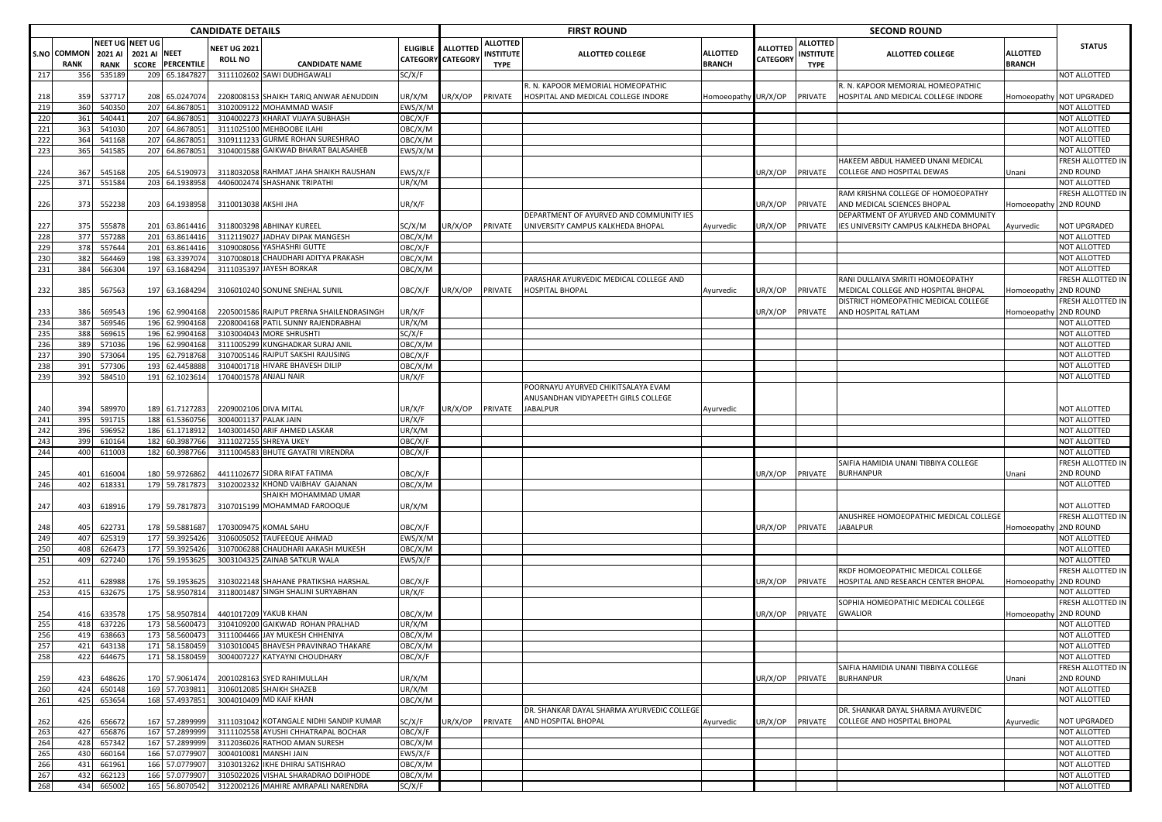|            |                            |                        |                                                                   | <b>CANDIDATE DETAILS</b>              |                                                                                |                                   |                      |                                                    | <b>FIRST ROUND</b>                                                |                           |                             |                                                   | <b>SECOND ROUND</b>                                               |                                  |                                     |
|------------|----------------------------|------------------------|-------------------------------------------------------------------|---------------------------------------|--------------------------------------------------------------------------------|-----------------------------------|----------------------|----------------------------------------------------|-------------------------------------------------------------------|---------------------------|-----------------------------|---------------------------------------------------|-------------------------------------------------------------------|----------------------------------|-------------------------------------|
|            | S.NO COMMON<br><b>RANK</b> | 2021 AI<br><b>RANK</b> | NEET UG NEET UG<br><b>2021 AI NEET</b><br><b>SCORE PERCENTILE</b> | <b>JEET UG 2021</b><br><b>ROLL NO</b> | <b>CANDIDATE NAME</b>                                                          | <b>ELIGIBLE</b><br><b>CATEGOR</b> | ALLOTTEI<br>CATEGORY | <b>ALLOTTED</b><br><b>INSTITUTE</b><br><b>TYPE</b> | <b>ALLOTTED COLLEGE</b>                                           | <b>ALLOTTED</b><br>BRANCH | <b>ALLOTTED</b><br>CATEGORY | <b>ALLOTTED</b><br><b>NSTITUTE</b><br><b>TYPE</b> | <b>ALLOTTED COLLEGE</b>                                           | <b>ALLOTTED</b><br><b>BRANCH</b> | <b>STATUS</b>                       |
| 217        | 356                        | 535189                 | 65.1847827<br>209                                                 |                                       | 3111102602 SAWI DUDHGAWALI                                                     | SC/X/F                            |                      |                                                    |                                                                   |                           |                             |                                                   |                                                                   |                                  | NOT ALLOTTED                        |
|            |                            |                        |                                                                   |                                       |                                                                                |                                   |                      |                                                    | . N. KAPOOR MEMORIAL HOMEOPATHIC                                  |                           |                             |                                                   | R. N. KAPOOR MEMORIAL HOMEOPATHIC                                 |                                  |                                     |
| 218        | 359                        | 53771                  | 65.0247074<br>208                                                 |                                       | 2208008153 SHAIKH TARIQ ANWAR AENUDDIN                                         | UR/X/M                            | IR/X/OP              | PRIVATE                                            | HOSPITAL AND MEDICAL COLLEGE INDORE                               | Homoeopathy               | UR/X/OP                     | PRIVATE                                           | HOSPITAL AND MEDICAL COLLEGE INDORE                               | Homoeopath                       | <b>NOT UPGRADED</b>                 |
| 219        | 360                        | 54035                  | 207 64.867805                                                     |                                       | 3102009122 MOHAMMAD WASIF                                                      | EWS/X/N                           |                      |                                                    |                                                                   |                           |                             |                                                   |                                                                   |                                  | NOT ALLOTTED                        |
| 220        | 361                        | 540441                 | 207 64.8678051                                                    |                                       | 3104002273 KHARAT VIJAYA SUBHASH                                               | OBC/X/F                           |                      |                                                    |                                                                   |                           |                             |                                                   |                                                                   |                                  | NOT ALLOTTED                        |
| 221        | 363                        | 541030                 | 207<br>64.8678051                                                 |                                       | 3111025100 MEHBOOBE ILAHI                                                      | OBC/X/M                           |                      |                                                    |                                                                   |                           |                             |                                                   |                                                                   |                                  | NOT ALLOTTED                        |
| 222        | 364                        | 541168                 | 207<br>64.8678051                                                 |                                       | 3109111233 GURME ROHAN SURESHRAO                                               | OBC/X/M                           |                      |                                                    |                                                                   |                           |                             |                                                   |                                                                   |                                  | NOT ALLOTTED                        |
| 223        | 365                        | 541585                 | 207 64.8678051                                                    |                                       | 3104001588 GAIKWAD BHARAT BALASAHEB                                            | EWS/X/M                           |                      |                                                    |                                                                   |                           |                             |                                                   |                                                                   |                                  | NOT ALLOTTED                        |
|            |                            |                        |                                                                   |                                       |                                                                                |                                   |                      |                                                    |                                                                   |                           |                             |                                                   | HAKEEM ABDUL HAMEED UNANI MEDICAL                                 |                                  | FRESH ALLOTTED IN                   |
| 224        | 367                        | 545168                 | 64.5190973<br>205                                                 |                                       | 3118032058 RAHMAT JAHA SHAIKH RAUSHAN                                          | EWS/X/F                           |                      |                                                    |                                                                   |                           | JR/X/OP                     | PRIVATE                                           | COLLEGE AND HOSPITAL DEWAS                                        | Unani                            | 2ND ROUND                           |
| 225        | 371                        | 551584                 | 203<br>64.193895                                                  |                                       | 4406002474 SHASHANK TRIPATHI                                                   | UR/X/M                            |                      |                                                    |                                                                   |                           |                             |                                                   |                                                                   |                                  | NOT ALLOTTED                        |
|            |                            |                        |                                                                   |                                       |                                                                                |                                   |                      |                                                    |                                                                   |                           |                             |                                                   | RAM KRISHNA COLLEGE OF HOMOEOPATHY<br>AND MEDICAL SCIENCES BHOPAI |                                  | FRESH ALLOTTED IN                   |
| 226        | 373                        | 552238                 | 203 64.1938958                                                    | 3110013038 AKSHI JHA                  |                                                                                | UR/X/F                            |                      |                                                    | DEPARTMENT OF AYURVED AND COMMUNITY IES                           |                           | JR/X/OP                     | PRIVATE                                           | DEPARTMENT OF AYURVED AND COMMUNITY                               | Iomoeopathy                      | 2ND ROUND                           |
| 227        | 375                        | 55587                  | 201 63.8614416                                                    |                                       | 3118003298 ABHINAY KUREEL                                                      | SC/X/M                            | JR/X/OP              | PRIVATE                                            | UNIVERSITY CAMPUS KALKHEDA BHOPAL                                 | Ayurvedic                 | JR/X/OP                     | PRIVATE                                           | IES UNIVERSITY CAMPUS KALKHEDA BHOPAL                             | Ayurvedic                        | NOT UPGRADED                        |
| 228        | 377                        | 557288                 | 201<br>63.8614416                                                 |                                       | 3112119027 JADHAV DIPAK MANGESH                                                | OBC/X/M                           |                      |                                                    |                                                                   |                           |                             |                                                   |                                                                   |                                  | NOT ALLOTTED                        |
| 229        | 378                        | 557644                 | 201<br>63.8614416                                                 |                                       | 3109008056 YASHASHRI GUTTE                                                     | OBC/X/F                           |                      |                                                    |                                                                   |                           |                             |                                                   |                                                                   |                                  | NOT ALLOTTED                        |
| 230        | 382                        | 564469                 | 198<br>63.3397074                                                 |                                       | 3107008018 CHAUDHARI ADITYA PRAKASH                                            | OBC/X/M                           |                      |                                                    |                                                                   |                           |                             |                                                   |                                                                   |                                  | NOT ALLOTTED                        |
| 231        | 384                        | 566304                 | 197 63.1684294                                                    |                                       | 3111035397 JAYESH BORKAR                                                       | OBC/X/M                           |                      |                                                    |                                                                   |                           |                             |                                                   |                                                                   |                                  | NOT ALLOTTED                        |
|            |                            |                        |                                                                   |                                       |                                                                                |                                   |                      |                                                    | PARASHAR AYURVEDIC MEDICAL COLLEGE AND                            |                           |                             |                                                   | RANI DULLAIYA SMRITI HOMOEOPATHY                                  |                                  | FRESH ALLOTTED IN                   |
| 232        | 385                        | 567563                 | 197<br>63.1684294                                                 |                                       | 3106010240 SONUNE SNEHAL SUNIL                                                 | OBC/X/F                           | JR/X/OP              | PRIVATE                                            | HOSPITAL BHOPAL                                                   | Ayurvedic                 | JR/X/OP                     | PRIVATE                                           | MEDICAL COLLEGE AND HOSPITAL BHOPAL                               | Homoeopath <sup>.</sup>          | 2ND ROUND                           |
|            |                            |                        |                                                                   |                                       |                                                                                |                                   |                      |                                                    |                                                                   |                           |                             |                                                   | DISTRICT HOMEOPATHIC MEDICAL COLLEGE                              |                                  | FRESH ALLOTTED IN                   |
| 233        | 386                        | 569543                 | 196 62.9904168                                                    |                                       | 2205001586 RAJPUT PRERNA SHAILENDRASINGH                                       | UR/X/F                            |                      |                                                    |                                                                   |                           | JR/X/OP                     | PRIVATE                                           | AND HOSPITAL RATLAM                                               | Iomoeopath                       | <b>2ND ROUND</b>                    |
| 234        | 387                        | 569546                 | 196 62.9904168                                                    |                                       | 2208004168 PATIL SUNNY RAJENDRABHAI                                            | UR/X/M                            |                      |                                                    |                                                                   |                           |                             |                                                   |                                                                   |                                  | NOT ALLOTTED                        |
| 235        | 388                        | 56961                  | 196 62.9904168                                                    |                                       | 3103004043 MORE SHRUSHTI                                                       | SC/X/F                            |                      |                                                    |                                                                   |                           |                             |                                                   |                                                                   |                                  | NOT ALLOTTED                        |
| 236        | 38                         | 57103                  | 196<br>62.990416                                                  |                                       | 3111005299 KUNGHADKAR SURAJ ANII                                               | OBC/X/M                           |                      |                                                    |                                                                   |                           |                             |                                                   |                                                                   |                                  | NOT ALLOTTED                        |
| 237        | 390                        | 573064                 | 195 62.7918768                                                    |                                       | 3107005146 RAJPUT SAKSHI RAJUSING                                              | OBC/X/F                           |                      |                                                    |                                                                   |                           |                             |                                                   |                                                                   |                                  | NOT ALLOTTED                        |
| 238        | 391                        | 577306                 | 193 62.4458888                                                    |                                       | 3104001718 HIVARE BHAVESH DILIP                                                | OBC/X/M                           |                      |                                                    |                                                                   |                           |                             |                                                   |                                                                   |                                  | NOT ALLOTTED                        |
| 239        | 392                        | 58451                  | 191 62.1023614                                                    |                                       | 1704001578 ANJALI NAIR                                                         | UR/X/F                            |                      |                                                    |                                                                   |                           |                             |                                                   |                                                                   |                                  | NOT ALLOTTED                        |
|            |                            |                        |                                                                   |                                       |                                                                                |                                   |                      |                                                    | POORNAYU AYURVED CHIKITSALAYA EVAM                                |                           |                             |                                                   |                                                                   |                                  |                                     |
|            |                            |                        |                                                                   |                                       |                                                                                |                                   |                      |                                                    | ANUSANDHAN VIDYAPEETH GIRLS COLLEGE                               |                           |                             |                                                   |                                                                   |                                  |                                     |
| 240        | 394                        | 58997                  | 189 61.7127283                                                    | 2209002106 DIVA MITAL                 |                                                                                | UR/X/F                            | JR/X/OP              | PRIVATE                                            | JABALPUR                                                          | Ayurvedic                 |                             |                                                   |                                                                   |                                  | NOT ALLOTTED                        |
| 241        | 395                        | 591715                 | 188 61.5360756                                                    | 3004001137 PALAK JAIN                 |                                                                                | UR/X/F                            |                      |                                                    |                                                                   |                           |                             |                                                   |                                                                   |                                  | NOT ALLOTTED                        |
| 242        | 396                        | 59695                  | 186 61.171891                                                     |                                       | 1403001450 ARIF AHMED LASKAR                                                   | UR/X/M                            |                      |                                                    |                                                                   |                           |                             |                                                   |                                                                   |                                  | NOT ALLOTTED                        |
| 243        | 399                        | 610164                 | 182<br>60.3987766                                                 |                                       | 3111027255 SHREYA UKEY                                                         | OBC/X/F                           |                      |                                                    |                                                                   |                           |                             |                                                   |                                                                   |                                  | NOT ALLOTTED                        |
| 244        | 400                        | 611003                 | 182<br>60.3987766                                                 |                                       | 3111004583 BHUTE GAYATRI VIRENDRA                                              | OBC/X/F                           |                      |                                                    |                                                                   |                           |                             |                                                   |                                                                   |                                  | NOT ALLOTTED                        |
|            |                            |                        |                                                                   |                                       |                                                                                |                                   |                      |                                                    |                                                                   |                           |                             |                                                   | SAIFIA HAMIDIA UNANI TIBBIYA COLLEGE                              |                                  | FRESH ALLOTTED IN                   |
| 245<br>246 | 40<br>402                  | 61600<br>618331        | 59.9726862<br>180<br>179 59.7817873                               |                                       | 4411102677 SIDRA RIFAT FATIMA<br>3102002332 KHOND VAIBHAV GAJANAN              | OBC/X/F<br>OBC/X/M                |                      |                                                    |                                                                   |                           | JR/X/OP                     | PRIVATE                                           | <b>BURHANPUR</b>                                                  | Jnani                            | 2ND ROUND<br>NOT ALLOTTED           |
|            |                            |                        |                                                                   |                                       | SHAIKH MOHAMMAD UMAR                                                           |                                   |                      |                                                    |                                                                   |                           |                             |                                                   |                                                                   |                                  |                                     |
| 247        | 403                        | 61891                  | 179 59.7817873                                                    |                                       | 3107015199 MOHAMMAD FAROOQUE                                                   | UR/X/M                            |                      |                                                    |                                                                   |                           |                             |                                                   |                                                                   |                                  | NOT ALLOTTED                        |
|            |                            |                        |                                                                   |                                       |                                                                                |                                   |                      |                                                    |                                                                   |                           |                             |                                                   | ANUSHREE HOMOEOPATHIC MEDICAL COLLEGE                             |                                  | FRESH ALLOTTED IN                   |
| 248        | 405                        | 62273                  | 178 59.5881687                                                    |                                       | 1703009475 KOMAL SAHU                                                          | OBC/X/F                           |                      |                                                    |                                                                   |                           | JR/X/OP                     | PRIVATE                                           | <b>JABALPUR</b>                                                   | lomoeopathy                      | 2ND ROUND                           |
| 249        | 407                        | 62531                  | 177 59.3925426                                                    |                                       | 3106005052 TAUFEEQUE AHMAD                                                     | EWS/X/M                           |                      |                                                    |                                                                   |                           |                             |                                                   |                                                                   |                                  | NOT ALLOTTED                        |
| 250        | 408                        | 62647                  | 177 59.3925426                                                    |                                       | 3107006288 CHAUDHARI AAKASH MUKESH                                             | OBC/X/M                           |                      |                                                    |                                                                   |                           |                             |                                                   |                                                                   |                                  | NOT ALLOTTED                        |
| 251        | 40                         | 627240                 | 176<br>59.1953625                                                 |                                       | 3003104325 ZAINAB SATKUR WALA                                                  | EWS/X/F                           |                      |                                                    |                                                                   |                           |                             |                                                   |                                                                   |                                  | NOT ALLOTTED                        |
|            |                            |                        |                                                                   |                                       |                                                                                |                                   |                      |                                                    |                                                                   |                           |                             |                                                   | RKDF HOMOEOPATHIC MEDICAL COLLEGE                                 |                                  | FRESH ALLOTTED IN                   |
| 252        | 411                        | 628988                 | 176 59.195362                                                     |                                       | 3103022148 SHAHANE PRATIKSHA HARSHAL                                           | OBC/X/F                           |                      |                                                    |                                                                   |                           | JR/X/OP                     | PRIVATE                                           | HOSPITAL AND RESEARCH CENTER BHOPAL                               | Homoeopath                       | <b>2ND ROUND</b>                    |
| 253        | 415                        | 63267                  | 175 58.9507814                                                    |                                       | 3118001487 SINGH SHALINI SURYABHAN                                             | UR/X/F                            |                      |                                                    |                                                                   |                           |                             |                                                   |                                                                   |                                  | NOT ALLOTTED                        |
|            |                            |                        |                                                                   |                                       |                                                                                |                                   |                      |                                                    |                                                                   |                           |                             |                                                   | SOPHIA HOMEOPATHIC MEDICAL COLLEGE                                |                                  | FRESH ALLOTTED IN                   |
| 254        | 416                        | 63357                  | 58.9507814<br>175                                                 |                                       | 4401017209 YAKUB KHAN                                                          | OBC/X/M                           |                      |                                                    |                                                                   |                           | JR/X/OP                     | PRIVATE                                           | <b>GWALIOR</b>                                                    | Homoeopath <sup>.</sup>          | 2ND ROUND                           |
| 255        | 418                        | 637226                 | 173 58,5600473                                                    |                                       | 3104109200 GAIKWAD ROHAN PRALHAD                                               | UR/X/M                            |                      |                                                    |                                                                   |                           |                             |                                                   |                                                                   |                                  | NOT ALLOTTED                        |
| 256        | 419                        | 638663                 | 173 58.5600473                                                    |                                       | 3111004466 JAY MUKESH CHHENIYA                                                 | OBC/X/M                           |                      |                                                    |                                                                   |                           |                             |                                                   |                                                                   |                                  | NOT ALLOTTED                        |
| 257        | 421                        | 643138                 | 171 58.1580459                                                    |                                       | 3103010045 BHAVESH PRAVINRAO THAKARE                                           | OBC/X/M                           |                      |                                                    |                                                                   |                           |                             |                                                   |                                                                   |                                  | NOT ALLOTTED                        |
| 258        | 422                        | 644675                 | 171 58.1580459                                                    |                                       | 3004007227 KATYAYNI CHOUDHARY                                                  | OBC/X/F                           |                      |                                                    |                                                                   |                           |                             |                                                   |                                                                   |                                  | NOT ALLOTTED                        |
|            |                            |                        |                                                                   |                                       |                                                                                |                                   |                      |                                                    |                                                                   |                           |                             |                                                   | SAIFIA HAMIDIA UNANI TIBBIYA COLLEGE                              |                                  | FRESH ALLOTTED IN                   |
| 259        | 423                        | 648626                 | 170 57.9061474                                                    |                                       | 2001028163 SYED RAHIMULLAH                                                     | UR/X/M                            |                      |                                                    |                                                                   |                           | UR/X/OP                     | PRIVATE                                           | <b>BURHANPUR</b>                                                  | Unani                            | 2ND ROUND                           |
| 260        | 424                        | 650148                 | 169 57.7039811<br>168 57.4937851                                  |                                       | 3106012085 SHAIKH SHAZEB                                                       | UR/X/M                            |                      |                                                    |                                                                   |                           |                             |                                                   |                                                                   |                                  | NOT ALLOTTED                        |
| 261        | 425                        | 653654                 |                                                                   |                                       | 3004010409 MD KAIF KHAN                                                        | OBC/X/M                           |                      |                                                    |                                                                   |                           |                             |                                                   |                                                                   |                                  | NOT ALLOTTED                        |
|            |                            |                        |                                                                   |                                       |                                                                                |                                   |                      |                                                    | DR. SHANKAR DAYAL SHARMA AYURVEDIC COLLEGE<br>AND HOSPITAL BHOPAL |                           |                             |                                                   | DR. SHANKAR DAYAL SHARMA AYURVEDIC                                |                                  |                                     |
| 262<br>263 | 426<br>427                 | 65667<br>656876        | 167 57.2899999<br>167 57.2899999                                  |                                       | 3111031042 KOTANGALE NIDHI SANDIP KUMAR<br>3111102558 AYUSHI CHHATRAPAL BOCHAR | SC/X/F<br>OBC/X/F                 | JR/X/OP              | PRIVATE                                            |                                                                   | Ayurvedic                 | JR/X/OP                     | PRIVATE                                           | COLLEGE AND HOSPITAL BHOPAL                                       | Ayurvedic                        | <b>NOT UPGRADED</b><br>NOT ALLOTTED |
| 264        | 428                        | 657342                 | 167 57.2899999                                                    |                                       | 3112036026 RATHOD AMAN SURESH                                                  | OBC/X/M                           |                      |                                                    |                                                                   |                           |                             |                                                   |                                                                   |                                  | NOT ALLOTTED                        |
| 265        | 430                        | 660164                 | 166 57.0779907                                                    |                                       | 3004010081 MANSHI JAIN                                                         | EWS/X/F                           |                      |                                                    |                                                                   |                           |                             |                                                   |                                                                   |                                  | <b>NOT ALLOTTED</b>                 |
| 266        | 431                        | 661961                 | 166 57.0779907                                                    |                                       | 3103013262 IKHE DHIRAJ SATISHRAO                                               | OBC/X/M                           |                      |                                                    |                                                                   |                           |                             |                                                   |                                                                   |                                  | NOT ALLOTTED                        |
| 267        | 432                        | 662123                 | 166 57.0779907                                                    |                                       | 3105022026 VISHAL SHARADRAO DOIPHODE                                           | OBC/X/M                           |                      |                                                    |                                                                   |                           |                             |                                                   |                                                                   |                                  | NOT ALLOTTED                        |
| 268        | 434                        | 665002                 | 165 56.8070542                                                    |                                       | 3122002126 MAHIRE AMRAPALI NARENDRA                                            | SC/X/F                            |                      |                                                    |                                                                   |                           |                             |                                                   |                                                                   |                                  | NOT ALLOTTED                        |
|            |                            |                        |                                                                   |                                       |                                                                                |                                   |                      |                                                    |                                                                   |                           |                             |                                                   |                                                                   |                                  |                                     |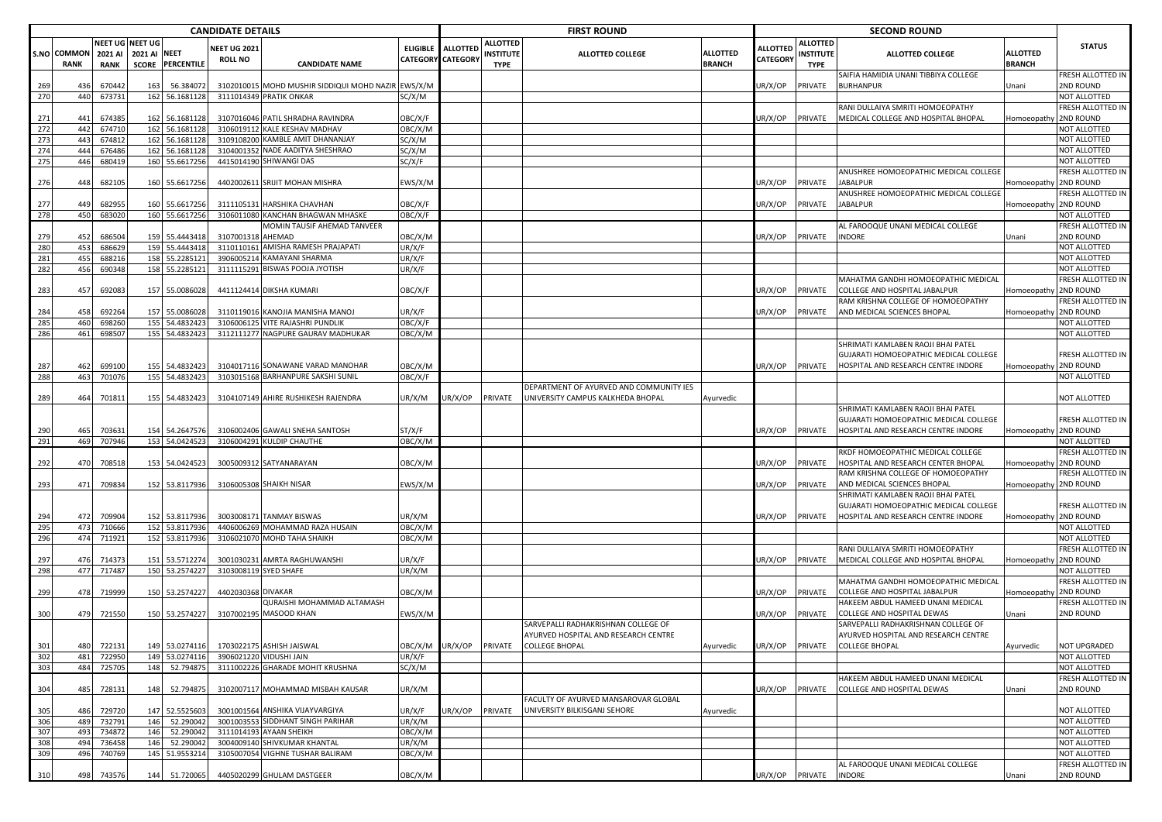| NEET UG NEET UG<br><b>ALLOTTED</b><br><b>ALLOTTED</b><br>ELIGIBLE ALLOTTED<br><b>ALLOTTED</b><br><b>VEET UG 2021</b><br><b>ALLOTTED</b><br>S.NO COMMON<br>2021 AI NEET<br><b>ALLOTTED</b><br>2021 AI<br><b>INSTITUTE</b><br><b>ALLOTTED COLLEGE</b><br>INSTITUTE<br><b>ALLOTTED COLLEGE</b><br>CATEGORY CATEGORY<br>CATEGORY<br><b>ROLL NO</b><br><b>PERCENTILE</b><br><b>RANK</b><br><b>RANK</b><br><b>SCORE</b><br><b>CANDIDATE NAME</b><br><b>BRANCH</b><br><b>BRANCH</b><br><b>TYPE</b><br><b>TYPE</b><br>SAIFIA HAMIDIA UNANI TIBBIYA COLLEGE<br>3102010015 MOHD MUSHIR SIDDIQUI MOHD NAZIR<br>EWS/X/M<br><b>BURHANPUR</b><br>269<br>670442<br>56.384072<br>JR/X/OP<br>436<br>163<br>PRIVATE<br>Unani<br>270<br>440<br>673731<br>3111014349 PRATIK ONKAR<br>162 56.1681128<br>SC/X/M<br>RANI DULLAIYA SMRITI HOMOEOPATHY<br>271<br>441<br>674385<br>162 56.1681128<br>3107016046 PATIL SHRADHA RAVINDRA<br>OBC/X/F<br>JR/X/OP<br>PRIVATE<br>MEDICAL COLLEGE AND HOSPITAL BHOPAL<br>272<br>442<br>162 56.1681128<br>3106019112 KALE KESHAV MADHAV<br>OBC/X/M<br>674710<br>273<br>44<br>674812<br>162<br>56.1681128<br>3109108200 KAMBLE AMIT DHANANJAY<br>SC/X/M<br>274<br>3104001352 NADE AADITYA SHESHRAO<br>444<br>676486<br>162 56.1681128<br>SC/X/M<br>275<br>446<br>160 55.6617256<br>4415014190 SHIWANGI DAS<br>SC/X/F<br>680419<br>ANUSHREE HOMOEOPATHIC MEDICAL COLLEGE<br>276<br>448<br>682105<br>55.6617256<br>4402002611 SRIJIT MOHAN MISHRA<br>EWS/X/M<br>JR/X/OP<br>PRIVATE<br>160<br><b>ABALPUR</b><br>ANUSHREE HOMOEOPATHIC MEDICAL COLLEGE<br>277<br>682955<br>160 55.6617256<br>3111105131 HARSHIKA CHAVHAN<br>OBC/X/F<br>JR/X/OP<br>PRIVATE<br>JABALPUR<br>449<br>278<br>450<br>160 55.6617256<br>3106011080 KANCHAN BHAGWAN MHASKE<br>683020<br>OBC/X/F<br>MOMIN TAUSIF AHEMAD TANVEER<br>AL FAROOQUE UNANI MEDICAL COLLEGE<br>159 55.4443418<br>279<br>452<br>686504<br>3107001318 AHEMAD<br>OBC/X/M<br>JR/X/OP<br>PRIVATE<br><b>INDORE</b><br>Jnani<br>280<br>45<br>686629<br>159 55.4443418<br>3110110161 AMISHA RAMESH PRAJAPATI<br>JR/X/F<br>281<br>3906005214 KAMAYANI SHARMA<br>455<br>688216<br>158 55.2285121<br>JR/X/F<br>282<br>456<br>158 55.2285121<br>3111115291 BISWAS POOJA JYOTISH<br>690348<br>JR/X/F<br>MAHATMA GANDHI HOMOEOPATHIC MEDICAL<br>283<br>457<br>692083<br>157 55.0086028<br>4411124414 DIKSHA KUMARI<br>OBC/X/F<br>JR/X/OP<br>PRIVATE<br>COLLEGE AND HOSPITAL JABALPUR<br>Iomoeopathy<br>RAM KRISHNA COLLEGE OF HOMOEOPATHY<br>284<br>692264<br>157 55.0086028<br>3110119016 KANOJIA MANISHA MANOJ<br>JR/X/F<br>JR/X/OP<br>PRIVATE<br>AND MEDICAL SCIENCES BHOPAL<br>458<br>285<br>155<br>54.4832423<br>3106006125 VITE RAJASHRI PUNDLIK<br>460<br>698260<br>OBC/X/F<br>286<br>54.4832423<br>3112111277 NAGPURE GAURAV MADHUKAR<br>461<br>698507<br>155<br>OBC/X/M<br>SHRIMATI KAMLABEN RAOJI BHAI PATEL<br>GUJARATI HOMOEOPATHIC MEDICAL COLLEGE<br>699100<br>155 54.4832423<br>287<br>462<br>3104017116 SONAWANE VARAD MANOHAR<br>ОВС/Х/М<br>JR/X/OP<br>PRIVATE<br>HOSPITAL AND RESEARCH CENTRE INDORE<br>288<br>463<br>155 54.4832423<br>3103015168 BARHANPURE SAKSHI SUNIL<br>OBC/X/F<br>701076<br>DEPARTMENT OF AYURVED AND COMMUNITY IES<br>JR/X/OP<br>UNIVERSITY CAMPUS KALKHEDA BHOPAL<br>289<br>464<br>701811<br>155 54.4832423<br>3104107149 AHIRE RUSHIKESH RAJENDRA<br>PRIVATE<br>JR/X/M<br>Ayurvedic<br>SHRIMATI KAMLABEN RAOJI BHAI PATEL<br>GUJARATI HOMOEOPATHIC MEDICAL COLLEGE<br>HOSPITAL AND RESEARCH CENTRE INDORE<br>Iomoeopathy 2ND ROUND<br>465<br>703631<br>54.2647576<br>3106002406 GAWALI SNEHA SANTOSH<br>ST/X/F<br>JR/X/OP<br>PRIVATE<br>290<br>154<br>291<br>469<br>707946<br>153<br>54.0424523<br>3106004291 KULDIP CHAUTHE<br>OBC/X/M<br>RKDF HOMOEOPATHIC MEDICAL COLLEGE<br>HOSPITAL AND RESEARCH CENTER BHOPAL<br>292<br>153 54.0424523<br>3005009312 SATYANARAYAN<br>JR/X/OP<br>PRIVATE<br>470<br>708518<br>ОВС/Х/М<br>RAM KRISHNA COLLEGE OF HOMOEOPATHY<br>293<br>471<br>709834<br>152 53.8117936<br>3106005308 SHAIKH NISAR<br>EWS/X/M<br>JR/X/OP<br>PRIVATE<br>AND MEDICAL SCIENCES BHOPAL<br>Iomoeopathy 2ND ROUND<br>SHRIMATI KAMLABEN RAOJI BHAI PATEL<br>GUJARATI HOMOEOPATHIC MEDICAL COLLEGE<br>HOSPITAL AND RESEARCH CENTRE INDORE<br>709904<br>152 53.8117936<br>3003008171 TANMAY BISWAS<br>JR/X/M<br>JR/X/OP<br>PRIVATE<br>294<br>472<br>295<br>473<br>152 53.8117936<br>710666<br>4406006269 MOHAMMAD RAZA HUSAIN<br>OBC/X/M<br>296<br>474<br>711921<br>152 53.8117936<br>3106021070 MOHD TAHA SHAIKH<br>ОВС/Х/М<br>RANI DULLAIYA SMRITI HOMOEOPATHY<br>151 53.5712274<br>3001030231 AMRTA RAGHUWANSHI<br>MEDICAL COLLEGE AND HOSPITAL BHOPAL<br>Iomoeopathy 2ND ROUND<br>297<br>476<br>714373<br>JR/X/F<br>JR/X/OP<br>PRIVATE<br>298<br>477<br>717487<br>150 53.2574227<br>3103008119 SYED SHAFE<br>JR/X/M<br>MAHATMA GANDHI HOMOEOPATHIC MEDICAL<br>299<br>478<br>719999<br>150 53.2574227<br>4402030368 DIVAKAR<br>ОВС/Х/М<br>JR/X/OP<br>PRIVATE<br>COLLEGE AND HOSPITAL JABALPUR<br>QURAISHI MOHAMMAD ALTAMASH<br>HAKEEM ABDUL HAMEED UNANI MEDICAL<br>3107002195 MASOOD KHAN<br>300<br>150 53.2574227<br>COLLEGE AND HOSPITAL DEWAS<br>479<br>721550<br>:WS/X/M<br>JR/X/OP<br>PRIVATE<br>Jnani<br>SARVEPALLI RADHAKRISHNAN COLLEGE OF<br>SARVEPALLI RADHAKRISHNAN COLLEGE OF<br>AYURVED HOSPITAL AND RESEARCH CENTRE<br>AYURVED HOSPITAL AND RESEARCH CENTRE<br>722131<br>149 53.0274116<br>OBC/X/M UR/X/OP<br>301<br>480<br>1703022175 ASHISH JAISWAL<br><b>PRIVATE</b><br><b>COLLEGE BHOPAL</b><br>Ayurvedic<br>JR/X/OP<br>PRIVATE<br><b>COLLEGE BHOPAL</b><br>Ayurvedic<br>302<br>481<br>722950<br>149 53.0274116<br>3906021220 VIDUSHI JAIN<br>UR/X/F<br>303<br>484<br>725705<br>148<br>52.794875<br>3111002226 GHARADE MOHIT KRUSHNA<br>SC/X/M<br>HAKEEM ABDUL HAMEED UNANI MEDICAL<br>3102007117 MOHAMMAD MISBAH KAUSAR<br>304<br>485<br>728131<br>52.794875<br>JR/X/M<br>JR/X/OP<br>PRIVATE<br>COLLEGE AND HOSPITAL DEWAS<br>148<br>Jnani<br>FACULTY OF AYURVED MANSAROVAR GLOBAL<br>JR/X/F<br>305<br>486<br>729720<br>147 52.5525603<br>3001001564 ANSHIKA VIJAYVARGIYA<br>JR/X/OP<br>PRIVATE<br>UNIVERSITY BILKISGANJ SEHORE<br>Ayurvedic<br>306<br>732791<br>52.290042<br>3001003553 SIDDHANT SINGH PARIHAR<br>JR/X/M<br>489<br>146<br>307<br>OBC/X/M<br>493<br>734872<br>146<br>52.290042<br>3111014193 AYAAN SHEIKH<br>308<br>146<br>52.290042<br>3004009140 SHIVKUMAR KHANTAL<br>UR/X/M<br>494<br>736458<br>309<br>496<br>145 51.9553214<br>3105007054 VIGHNE TUSHAR BALIRAM<br>740769<br>OBC/X/M<br>AL FAROOQUE UNANI MEDICAL COLLEGE |     |     |        |     |           | <b>CANDIDATE DETAILS</b> |                            |         |  | <b>FIRST ROUND</b> |         |         | <b>SECOND ROUND</b> |                       |                                   |
|---------------------------------------------------------------------------------------------------------------------------------------------------------------------------------------------------------------------------------------------------------------------------------------------------------------------------------------------------------------------------------------------------------------------------------------------------------------------------------------------------------------------------------------------------------------------------------------------------------------------------------------------------------------------------------------------------------------------------------------------------------------------------------------------------------------------------------------------------------------------------------------------------------------------------------------------------------------------------------------------------------------------------------------------------------------------------------------------------------------------------------------------------------------------------------------------------------------------------------------------------------------------------------------------------------------------------------------------------------------------------------------------------------------------------------------------------------------------------------------------------------------------------------------------------------------------------------------------------------------------------------------------------------------------------------------------------------------------------------------------------------------------------------------------------------------------------------------------------------------------------------------------------------------------------------------------------------------------------------------------------------------------------------------------------------------------------------------------------------------------------------------------------------------------------------------------------------------------------------------------------------------------------------------------------------------------------------------------------------------------------------------------------------------------------------------------------------------------------------------------------------------------------------------------------------------------------------------------------------------------------------------------------------------------------------------------------------------------------------------------------------------------------------------------------------------------------------------------------------------------------------------------------------------------------------------------------------------------------------------------------------------------------------------------------------------------------------------------------------------------------------------------------------------------------------------------------------------------------------------------------------------------------------------------------------------------------------------------------------------------------------------------------------------------------------------------------------------------------------------------------------------------------------------------------------------------------------------------------------------------------------------------------------------------------------------------------------------------------------------------------------------------------------------------------------------------------------------------------------------------------------------------------------------------------------------------------------------------------------------------------------------------------------------------------------------------------------------------------------------------------------------------------------------------------------------------------------------------------------------------------------------------------------------------------------------------------------------------------------------------------------------------------------------------------------------------------------------------------------------------------------------------------------------------------------------------------------------------------------------------------------------------------------------------------------------------------------------------------------------------------------------------------------------------------------------------------------------------------------------------------------------------------------------------------------------------------------------------------------------------------------------------------------------------------------------------------------------------------------------------------------------------------------------------------------------------------------------------------------------------------------------------------------------------------------------------------------------------------------------------------------------------------------------------------------------------------------------------------------------------------------------------------------------------------------------------------------------------------------------------------------------------------------------------------------------------------------------------------------------------------------------------------------------------------------------------------------------------------------------------------------------------------------------------------------------------------------------------------------------------------------------------------------------------------------------------------------------------------------------------------------------------------------------------------------------------------------------------------------------------------------------------------------------------------------------------------------------------------------------------------------------------------------------------------------------------------------------------------------------------------------------------------------------------------------------------|-----|-----|--------|-----|-----------|--------------------------|----------------------------|---------|--|--------------------|---------|---------|---------------------|-----------------------|-----------------------------------|
|                                                                                                                                                                                                                                                                                                                                                                                                                                                                                                                                                                                                                                                                                                                                                                                                                                                                                                                                                                                                                                                                                                                                                                                                                                                                                                                                                                                                                                                                                                                                                                                                                                                                                                                                                                                                                                                                                                                                                                                                                                                                                                                                                                                                                                                                                                                                                                                                                                                                                                                                                                                                                                                                                                                                                                                                                                                                                                                                                                                                                                                                                                                                                                                                                                                                                                                                                                                                                                                                                                                                                                                                                                                                                                                                                                                                                                                                                                                                                                                                                                                                                                                                                                                                                                                                                                                                                                                                                                                                                                                                                                                                                                                                                                                                                                                                                                                                                                                                                                                                                                                                                                                                                                                                                                                                                                                                                                                                                                                                                                                                                                                                                                                                                                                                                                                                                                                                                                                                                                                                                                                                                                                                                                                                                                                                                                                                                                                                                                                                                                                                                                     |     |     |        |     |           |                          |                            |         |  |                    |         |         |                     |                       | <b>STATUS</b>                     |
|                                                                                                                                                                                                                                                                                                                                                                                                                                                                                                                                                                                                                                                                                                                                                                                                                                                                                                                                                                                                                                                                                                                                                                                                                                                                                                                                                                                                                                                                                                                                                                                                                                                                                                                                                                                                                                                                                                                                                                                                                                                                                                                                                                                                                                                                                                                                                                                                                                                                                                                                                                                                                                                                                                                                                                                                                                                                                                                                                                                                                                                                                                                                                                                                                                                                                                                                                                                                                                                                                                                                                                                                                                                                                                                                                                                                                                                                                                                                                                                                                                                                                                                                                                                                                                                                                                                                                                                                                                                                                                                                                                                                                                                                                                                                                                                                                                                                                                                                                                                                                                                                                                                                                                                                                                                                                                                                                                                                                                                                                                                                                                                                                                                                                                                                                                                                                                                                                                                                                                                                                                                                                                                                                                                                                                                                                                                                                                                                                                                                                                                                                                     |     |     |        |     |           |                          |                            |         |  |                    |         |         |                     |                       |                                   |
|                                                                                                                                                                                                                                                                                                                                                                                                                                                                                                                                                                                                                                                                                                                                                                                                                                                                                                                                                                                                                                                                                                                                                                                                                                                                                                                                                                                                                                                                                                                                                                                                                                                                                                                                                                                                                                                                                                                                                                                                                                                                                                                                                                                                                                                                                                                                                                                                                                                                                                                                                                                                                                                                                                                                                                                                                                                                                                                                                                                                                                                                                                                                                                                                                                                                                                                                                                                                                                                                                                                                                                                                                                                                                                                                                                                                                                                                                                                                                                                                                                                                                                                                                                                                                                                                                                                                                                                                                                                                                                                                                                                                                                                                                                                                                                                                                                                                                                                                                                                                                                                                                                                                                                                                                                                                                                                                                                                                                                                                                                                                                                                                                                                                                                                                                                                                                                                                                                                                                                                                                                                                                                                                                                                                                                                                                                                                                                                                                                                                                                                                                                     |     |     |        |     |           |                          |                            |         |  |                    |         |         |                     |                       | FRESH ALLOTTED IN<br>2ND ROUND    |
|                                                                                                                                                                                                                                                                                                                                                                                                                                                                                                                                                                                                                                                                                                                                                                                                                                                                                                                                                                                                                                                                                                                                                                                                                                                                                                                                                                                                                                                                                                                                                                                                                                                                                                                                                                                                                                                                                                                                                                                                                                                                                                                                                                                                                                                                                                                                                                                                                                                                                                                                                                                                                                                                                                                                                                                                                                                                                                                                                                                                                                                                                                                                                                                                                                                                                                                                                                                                                                                                                                                                                                                                                                                                                                                                                                                                                                                                                                                                                                                                                                                                                                                                                                                                                                                                                                                                                                                                                                                                                                                                                                                                                                                                                                                                                                                                                                                                                                                                                                                                                                                                                                                                                                                                                                                                                                                                                                                                                                                                                                                                                                                                                                                                                                                                                                                                                                                                                                                                                                                                                                                                                                                                                                                                                                                                                                                                                                                                                                                                                                                                                                     |     |     |        |     |           |                          |                            |         |  |                    |         |         |                     |                       | NOT ALLOTTED                      |
|                                                                                                                                                                                                                                                                                                                                                                                                                                                                                                                                                                                                                                                                                                                                                                                                                                                                                                                                                                                                                                                                                                                                                                                                                                                                                                                                                                                                                                                                                                                                                                                                                                                                                                                                                                                                                                                                                                                                                                                                                                                                                                                                                                                                                                                                                                                                                                                                                                                                                                                                                                                                                                                                                                                                                                                                                                                                                                                                                                                                                                                                                                                                                                                                                                                                                                                                                                                                                                                                                                                                                                                                                                                                                                                                                                                                                                                                                                                                                                                                                                                                                                                                                                                                                                                                                                                                                                                                                                                                                                                                                                                                                                                                                                                                                                                                                                                                                                                                                                                                                                                                                                                                                                                                                                                                                                                                                                                                                                                                                                                                                                                                                                                                                                                                                                                                                                                                                                                                                                                                                                                                                                                                                                                                                                                                                                                                                                                                                                                                                                                                                                     |     |     |        |     |           |                          |                            |         |  |                    |         |         |                     |                       | FRESH ALLOTTED IN                 |
|                                                                                                                                                                                                                                                                                                                                                                                                                                                                                                                                                                                                                                                                                                                                                                                                                                                                                                                                                                                                                                                                                                                                                                                                                                                                                                                                                                                                                                                                                                                                                                                                                                                                                                                                                                                                                                                                                                                                                                                                                                                                                                                                                                                                                                                                                                                                                                                                                                                                                                                                                                                                                                                                                                                                                                                                                                                                                                                                                                                                                                                                                                                                                                                                                                                                                                                                                                                                                                                                                                                                                                                                                                                                                                                                                                                                                                                                                                                                                                                                                                                                                                                                                                                                                                                                                                                                                                                                                                                                                                                                                                                                                                                                                                                                                                                                                                                                                                                                                                                                                                                                                                                                                                                                                                                                                                                                                                                                                                                                                                                                                                                                                                                                                                                                                                                                                                                                                                                                                                                                                                                                                                                                                                                                                                                                                                                                                                                                                                                                                                                                                                     |     |     |        |     |           |                          |                            |         |  |                    |         |         |                     | Iomoeopathy           | 2ND ROUND                         |
|                                                                                                                                                                                                                                                                                                                                                                                                                                                                                                                                                                                                                                                                                                                                                                                                                                                                                                                                                                                                                                                                                                                                                                                                                                                                                                                                                                                                                                                                                                                                                                                                                                                                                                                                                                                                                                                                                                                                                                                                                                                                                                                                                                                                                                                                                                                                                                                                                                                                                                                                                                                                                                                                                                                                                                                                                                                                                                                                                                                                                                                                                                                                                                                                                                                                                                                                                                                                                                                                                                                                                                                                                                                                                                                                                                                                                                                                                                                                                                                                                                                                                                                                                                                                                                                                                                                                                                                                                                                                                                                                                                                                                                                                                                                                                                                                                                                                                                                                                                                                                                                                                                                                                                                                                                                                                                                                                                                                                                                                                                                                                                                                                                                                                                                                                                                                                                                                                                                                                                                                                                                                                                                                                                                                                                                                                                                                                                                                                                                                                                                                                                     |     |     |        |     |           |                          |                            |         |  |                    |         |         |                     |                       | NOT ALLOTTED<br>NOT ALLOTTED      |
|                                                                                                                                                                                                                                                                                                                                                                                                                                                                                                                                                                                                                                                                                                                                                                                                                                                                                                                                                                                                                                                                                                                                                                                                                                                                                                                                                                                                                                                                                                                                                                                                                                                                                                                                                                                                                                                                                                                                                                                                                                                                                                                                                                                                                                                                                                                                                                                                                                                                                                                                                                                                                                                                                                                                                                                                                                                                                                                                                                                                                                                                                                                                                                                                                                                                                                                                                                                                                                                                                                                                                                                                                                                                                                                                                                                                                                                                                                                                                                                                                                                                                                                                                                                                                                                                                                                                                                                                                                                                                                                                                                                                                                                                                                                                                                                                                                                                                                                                                                                                                                                                                                                                                                                                                                                                                                                                                                                                                                                                                                                                                                                                                                                                                                                                                                                                                                                                                                                                                                                                                                                                                                                                                                                                                                                                                                                                                                                                                                                                                                                                                                     |     |     |        |     |           |                          |                            |         |  |                    |         |         |                     |                       | NOT ALLOTTED                      |
|                                                                                                                                                                                                                                                                                                                                                                                                                                                                                                                                                                                                                                                                                                                                                                                                                                                                                                                                                                                                                                                                                                                                                                                                                                                                                                                                                                                                                                                                                                                                                                                                                                                                                                                                                                                                                                                                                                                                                                                                                                                                                                                                                                                                                                                                                                                                                                                                                                                                                                                                                                                                                                                                                                                                                                                                                                                                                                                                                                                                                                                                                                                                                                                                                                                                                                                                                                                                                                                                                                                                                                                                                                                                                                                                                                                                                                                                                                                                                                                                                                                                                                                                                                                                                                                                                                                                                                                                                                                                                                                                                                                                                                                                                                                                                                                                                                                                                                                                                                                                                                                                                                                                                                                                                                                                                                                                                                                                                                                                                                                                                                                                                                                                                                                                                                                                                                                                                                                                                                                                                                                                                                                                                                                                                                                                                                                                                                                                                                                                                                                                                                     |     |     |        |     |           |                          |                            |         |  |                    |         |         |                     |                       | NOT ALLOTTED                      |
|                                                                                                                                                                                                                                                                                                                                                                                                                                                                                                                                                                                                                                                                                                                                                                                                                                                                                                                                                                                                                                                                                                                                                                                                                                                                                                                                                                                                                                                                                                                                                                                                                                                                                                                                                                                                                                                                                                                                                                                                                                                                                                                                                                                                                                                                                                                                                                                                                                                                                                                                                                                                                                                                                                                                                                                                                                                                                                                                                                                                                                                                                                                                                                                                                                                                                                                                                                                                                                                                                                                                                                                                                                                                                                                                                                                                                                                                                                                                                                                                                                                                                                                                                                                                                                                                                                                                                                                                                                                                                                                                                                                                                                                                                                                                                                                                                                                                                                                                                                                                                                                                                                                                                                                                                                                                                                                                                                                                                                                                                                                                                                                                                                                                                                                                                                                                                                                                                                                                                                                                                                                                                                                                                                                                                                                                                                                                                                                                                                                                                                                                                                     |     |     |        |     |           |                          |                            |         |  |                    |         |         |                     | Iomoeopathy           | FRESH ALLOTTED IN<br>2ND ROUND    |
|                                                                                                                                                                                                                                                                                                                                                                                                                                                                                                                                                                                                                                                                                                                                                                                                                                                                                                                                                                                                                                                                                                                                                                                                                                                                                                                                                                                                                                                                                                                                                                                                                                                                                                                                                                                                                                                                                                                                                                                                                                                                                                                                                                                                                                                                                                                                                                                                                                                                                                                                                                                                                                                                                                                                                                                                                                                                                                                                                                                                                                                                                                                                                                                                                                                                                                                                                                                                                                                                                                                                                                                                                                                                                                                                                                                                                                                                                                                                                                                                                                                                                                                                                                                                                                                                                                                                                                                                                                                                                                                                                                                                                                                                                                                                                                                                                                                                                                                                                                                                                                                                                                                                                                                                                                                                                                                                                                                                                                                                                                                                                                                                                                                                                                                                                                                                                                                                                                                                                                                                                                                                                                                                                                                                                                                                                                                                                                                                                                                                                                                                                                     |     |     |        |     |           |                          |                            |         |  |                    |         |         |                     | Homoeopathy 2ND ROUND | RESH ALLOTTED IN                  |
|                                                                                                                                                                                                                                                                                                                                                                                                                                                                                                                                                                                                                                                                                                                                                                                                                                                                                                                                                                                                                                                                                                                                                                                                                                                                                                                                                                                                                                                                                                                                                                                                                                                                                                                                                                                                                                                                                                                                                                                                                                                                                                                                                                                                                                                                                                                                                                                                                                                                                                                                                                                                                                                                                                                                                                                                                                                                                                                                                                                                                                                                                                                                                                                                                                                                                                                                                                                                                                                                                                                                                                                                                                                                                                                                                                                                                                                                                                                                                                                                                                                                                                                                                                                                                                                                                                                                                                                                                                                                                                                                                                                                                                                                                                                                                                                                                                                                                                                                                                                                                                                                                                                                                                                                                                                                                                                                                                                                                                                                                                                                                                                                                                                                                                                                                                                                                                                                                                                                                                                                                                                                                                                                                                                                                                                                                                                                                                                                                                                                                                                                                                     |     |     |        |     |           |                          |                            |         |  |                    |         |         |                     |                       | NOT ALLOTTED                      |
|                                                                                                                                                                                                                                                                                                                                                                                                                                                                                                                                                                                                                                                                                                                                                                                                                                                                                                                                                                                                                                                                                                                                                                                                                                                                                                                                                                                                                                                                                                                                                                                                                                                                                                                                                                                                                                                                                                                                                                                                                                                                                                                                                                                                                                                                                                                                                                                                                                                                                                                                                                                                                                                                                                                                                                                                                                                                                                                                                                                                                                                                                                                                                                                                                                                                                                                                                                                                                                                                                                                                                                                                                                                                                                                                                                                                                                                                                                                                                                                                                                                                                                                                                                                                                                                                                                                                                                                                                                                                                                                                                                                                                                                                                                                                                                                                                                                                                                                                                                                                                                                                                                                                                                                                                                                                                                                                                                                                                                                                                                                                                                                                                                                                                                                                                                                                                                                                                                                                                                                                                                                                                                                                                                                                                                                                                                                                                                                                                                                                                                                                                                     |     |     |        |     |           |                          |                            |         |  |                    |         |         |                     |                       | FRESH ALLOTTED IN<br>2ND ROUND    |
|                                                                                                                                                                                                                                                                                                                                                                                                                                                                                                                                                                                                                                                                                                                                                                                                                                                                                                                                                                                                                                                                                                                                                                                                                                                                                                                                                                                                                                                                                                                                                                                                                                                                                                                                                                                                                                                                                                                                                                                                                                                                                                                                                                                                                                                                                                                                                                                                                                                                                                                                                                                                                                                                                                                                                                                                                                                                                                                                                                                                                                                                                                                                                                                                                                                                                                                                                                                                                                                                                                                                                                                                                                                                                                                                                                                                                                                                                                                                                                                                                                                                                                                                                                                                                                                                                                                                                                                                                                                                                                                                                                                                                                                                                                                                                                                                                                                                                                                                                                                                                                                                                                                                                                                                                                                                                                                                                                                                                                                                                                                                                                                                                                                                                                                                                                                                                                                                                                                                                                                                                                                                                                                                                                                                                                                                                                                                                                                                                                                                                                                                                                     |     |     |        |     |           |                          |                            |         |  |                    |         |         |                     |                       | NOT ALLOTTED                      |
|                                                                                                                                                                                                                                                                                                                                                                                                                                                                                                                                                                                                                                                                                                                                                                                                                                                                                                                                                                                                                                                                                                                                                                                                                                                                                                                                                                                                                                                                                                                                                                                                                                                                                                                                                                                                                                                                                                                                                                                                                                                                                                                                                                                                                                                                                                                                                                                                                                                                                                                                                                                                                                                                                                                                                                                                                                                                                                                                                                                                                                                                                                                                                                                                                                                                                                                                                                                                                                                                                                                                                                                                                                                                                                                                                                                                                                                                                                                                                                                                                                                                                                                                                                                                                                                                                                                                                                                                                                                                                                                                                                                                                                                                                                                                                                                                                                                                                                                                                                                                                                                                                                                                                                                                                                                                                                                                                                                                                                                                                                                                                                                                                                                                                                                                                                                                                                                                                                                                                                                                                                                                                                                                                                                                                                                                                                                                                                                                                                                                                                                                                                     |     |     |        |     |           |                          |                            |         |  |                    |         |         |                     |                       | NOT ALLOTTED                      |
|                                                                                                                                                                                                                                                                                                                                                                                                                                                                                                                                                                                                                                                                                                                                                                                                                                                                                                                                                                                                                                                                                                                                                                                                                                                                                                                                                                                                                                                                                                                                                                                                                                                                                                                                                                                                                                                                                                                                                                                                                                                                                                                                                                                                                                                                                                                                                                                                                                                                                                                                                                                                                                                                                                                                                                                                                                                                                                                                                                                                                                                                                                                                                                                                                                                                                                                                                                                                                                                                                                                                                                                                                                                                                                                                                                                                                                                                                                                                                                                                                                                                                                                                                                                                                                                                                                                                                                                                                                                                                                                                                                                                                                                                                                                                                                                                                                                                                                                                                                                                                                                                                                                                                                                                                                                                                                                                                                                                                                                                                                                                                                                                                                                                                                                                                                                                                                                                                                                                                                                                                                                                                                                                                                                                                                                                                                                                                                                                                                                                                                                                                                     |     |     |        |     |           |                          |                            |         |  |                    |         |         |                     |                       | NOT ALLOTTED                      |
|                                                                                                                                                                                                                                                                                                                                                                                                                                                                                                                                                                                                                                                                                                                                                                                                                                                                                                                                                                                                                                                                                                                                                                                                                                                                                                                                                                                                                                                                                                                                                                                                                                                                                                                                                                                                                                                                                                                                                                                                                                                                                                                                                                                                                                                                                                                                                                                                                                                                                                                                                                                                                                                                                                                                                                                                                                                                                                                                                                                                                                                                                                                                                                                                                                                                                                                                                                                                                                                                                                                                                                                                                                                                                                                                                                                                                                                                                                                                                                                                                                                                                                                                                                                                                                                                                                                                                                                                                                                                                                                                                                                                                                                                                                                                                                                                                                                                                                                                                                                                                                                                                                                                                                                                                                                                                                                                                                                                                                                                                                                                                                                                                                                                                                                                                                                                                                                                                                                                                                                                                                                                                                                                                                                                                                                                                                                                                                                                                                                                                                                                                                     |     |     |        |     |           |                          |                            |         |  |                    |         |         |                     |                       | FRESH ALLOTTED IN<br>2ND ROUND    |
|                                                                                                                                                                                                                                                                                                                                                                                                                                                                                                                                                                                                                                                                                                                                                                                                                                                                                                                                                                                                                                                                                                                                                                                                                                                                                                                                                                                                                                                                                                                                                                                                                                                                                                                                                                                                                                                                                                                                                                                                                                                                                                                                                                                                                                                                                                                                                                                                                                                                                                                                                                                                                                                                                                                                                                                                                                                                                                                                                                                                                                                                                                                                                                                                                                                                                                                                                                                                                                                                                                                                                                                                                                                                                                                                                                                                                                                                                                                                                                                                                                                                                                                                                                                                                                                                                                                                                                                                                                                                                                                                                                                                                                                                                                                                                                                                                                                                                                                                                                                                                                                                                                                                                                                                                                                                                                                                                                                                                                                                                                                                                                                                                                                                                                                                                                                                                                                                                                                                                                                                                                                                                                                                                                                                                                                                                                                                                                                                                                                                                                                                                                     |     |     |        |     |           |                          |                            |         |  |                    |         |         |                     |                       | RESH ALLOTTED IN                  |
|                                                                                                                                                                                                                                                                                                                                                                                                                                                                                                                                                                                                                                                                                                                                                                                                                                                                                                                                                                                                                                                                                                                                                                                                                                                                                                                                                                                                                                                                                                                                                                                                                                                                                                                                                                                                                                                                                                                                                                                                                                                                                                                                                                                                                                                                                                                                                                                                                                                                                                                                                                                                                                                                                                                                                                                                                                                                                                                                                                                                                                                                                                                                                                                                                                                                                                                                                                                                                                                                                                                                                                                                                                                                                                                                                                                                                                                                                                                                                                                                                                                                                                                                                                                                                                                                                                                                                                                                                                                                                                                                                                                                                                                                                                                                                                                                                                                                                                                                                                                                                                                                                                                                                                                                                                                                                                                                                                                                                                                                                                                                                                                                                                                                                                                                                                                                                                                                                                                                                                                                                                                                                                                                                                                                                                                                                                                                                                                                                                                                                                                                                                     |     |     |        |     |           |                          |                            |         |  |                    |         |         |                     | Iomoeopathy 2ND ROUND |                                   |
|                                                                                                                                                                                                                                                                                                                                                                                                                                                                                                                                                                                                                                                                                                                                                                                                                                                                                                                                                                                                                                                                                                                                                                                                                                                                                                                                                                                                                                                                                                                                                                                                                                                                                                                                                                                                                                                                                                                                                                                                                                                                                                                                                                                                                                                                                                                                                                                                                                                                                                                                                                                                                                                                                                                                                                                                                                                                                                                                                                                                                                                                                                                                                                                                                                                                                                                                                                                                                                                                                                                                                                                                                                                                                                                                                                                                                                                                                                                                                                                                                                                                                                                                                                                                                                                                                                                                                                                                                                                                                                                                                                                                                                                                                                                                                                                                                                                                                                                                                                                                                                                                                                                                                                                                                                                                                                                                                                                                                                                                                                                                                                                                                                                                                                                                                                                                                                                                                                                                                                                                                                                                                                                                                                                                                                                                                                                                                                                                                                                                                                                                                                     |     |     |        |     |           |                          |                            |         |  |                    |         |         |                     |                       | NOT ALLOTTED                      |
|                                                                                                                                                                                                                                                                                                                                                                                                                                                                                                                                                                                                                                                                                                                                                                                                                                                                                                                                                                                                                                                                                                                                                                                                                                                                                                                                                                                                                                                                                                                                                                                                                                                                                                                                                                                                                                                                                                                                                                                                                                                                                                                                                                                                                                                                                                                                                                                                                                                                                                                                                                                                                                                                                                                                                                                                                                                                                                                                                                                                                                                                                                                                                                                                                                                                                                                                                                                                                                                                                                                                                                                                                                                                                                                                                                                                                                                                                                                                                                                                                                                                                                                                                                                                                                                                                                                                                                                                                                                                                                                                                                                                                                                                                                                                                                                                                                                                                                                                                                                                                                                                                                                                                                                                                                                                                                                                                                                                                                                                                                                                                                                                                                                                                                                                                                                                                                                                                                                                                                                                                                                                                                                                                                                                                                                                                                                                                                                                                                                                                                                                                                     |     |     |        |     |           |                          |                            |         |  |                    |         |         |                     |                       | <b>NOT ALLOTTED</b>               |
|                                                                                                                                                                                                                                                                                                                                                                                                                                                                                                                                                                                                                                                                                                                                                                                                                                                                                                                                                                                                                                                                                                                                                                                                                                                                                                                                                                                                                                                                                                                                                                                                                                                                                                                                                                                                                                                                                                                                                                                                                                                                                                                                                                                                                                                                                                                                                                                                                                                                                                                                                                                                                                                                                                                                                                                                                                                                                                                                                                                                                                                                                                                                                                                                                                                                                                                                                                                                                                                                                                                                                                                                                                                                                                                                                                                                                                                                                                                                                                                                                                                                                                                                                                                                                                                                                                                                                                                                                                                                                                                                                                                                                                                                                                                                                                                                                                                                                                                                                                                                                                                                                                                                                                                                                                                                                                                                                                                                                                                                                                                                                                                                                                                                                                                                                                                                                                                                                                                                                                                                                                                                                                                                                                                                                                                                                                                                                                                                                                                                                                                                                                     |     |     |        |     |           |                          |                            |         |  |                    |         |         |                     |                       | FRESH ALLOTTED IN                 |
|                                                                                                                                                                                                                                                                                                                                                                                                                                                                                                                                                                                                                                                                                                                                                                                                                                                                                                                                                                                                                                                                                                                                                                                                                                                                                                                                                                                                                                                                                                                                                                                                                                                                                                                                                                                                                                                                                                                                                                                                                                                                                                                                                                                                                                                                                                                                                                                                                                                                                                                                                                                                                                                                                                                                                                                                                                                                                                                                                                                                                                                                                                                                                                                                                                                                                                                                                                                                                                                                                                                                                                                                                                                                                                                                                                                                                                                                                                                                                                                                                                                                                                                                                                                                                                                                                                                                                                                                                                                                                                                                                                                                                                                                                                                                                                                                                                                                                                                                                                                                                                                                                                                                                                                                                                                                                                                                                                                                                                                                                                                                                                                                                                                                                                                                                                                                                                                                                                                                                                                                                                                                                                                                                                                                                                                                                                                                                                                                                                                                                                                                                                     |     |     |        |     |           |                          |                            |         |  |                    |         |         |                     | Homoeopathy 2ND ROUND |                                   |
|                                                                                                                                                                                                                                                                                                                                                                                                                                                                                                                                                                                                                                                                                                                                                                                                                                                                                                                                                                                                                                                                                                                                                                                                                                                                                                                                                                                                                                                                                                                                                                                                                                                                                                                                                                                                                                                                                                                                                                                                                                                                                                                                                                                                                                                                                                                                                                                                                                                                                                                                                                                                                                                                                                                                                                                                                                                                                                                                                                                                                                                                                                                                                                                                                                                                                                                                                                                                                                                                                                                                                                                                                                                                                                                                                                                                                                                                                                                                                                                                                                                                                                                                                                                                                                                                                                                                                                                                                                                                                                                                                                                                                                                                                                                                                                                                                                                                                                                                                                                                                                                                                                                                                                                                                                                                                                                                                                                                                                                                                                                                                                                                                                                                                                                                                                                                                                                                                                                                                                                                                                                                                                                                                                                                                                                                                                                                                                                                                                                                                                                                                                     |     |     |        |     |           |                          |                            |         |  |                    |         |         |                     |                       | NOT ALLOTTED                      |
|                                                                                                                                                                                                                                                                                                                                                                                                                                                                                                                                                                                                                                                                                                                                                                                                                                                                                                                                                                                                                                                                                                                                                                                                                                                                                                                                                                                                                                                                                                                                                                                                                                                                                                                                                                                                                                                                                                                                                                                                                                                                                                                                                                                                                                                                                                                                                                                                                                                                                                                                                                                                                                                                                                                                                                                                                                                                                                                                                                                                                                                                                                                                                                                                                                                                                                                                                                                                                                                                                                                                                                                                                                                                                                                                                                                                                                                                                                                                                                                                                                                                                                                                                                                                                                                                                                                                                                                                                                                                                                                                                                                                                                                                                                                                                                                                                                                                                                                                                                                                                                                                                                                                                                                                                                                                                                                                                                                                                                                                                                                                                                                                                                                                                                                                                                                                                                                                                                                                                                                                                                                                                                                                                                                                                                                                                                                                                                                                                                                                                                                                                                     |     |     |        |     |           |                          |                            |         |  |                    |         |         |                     |                       | NOT ALLOTTED                      |
|                                                                                                                                                                                                                                                                                                                                                                                                                                                                                                                                                                                                                                                                                                                                                                                                                                                                                                                                                                                                                                                                                                                                                                                                                                                                                                                                                                                                                                                                                                                                                                                                                                                                                                                                                                                                                                                                                                                                                                                                                                                                                                                                                                                                                                                                                                                                                                                                                                                                                                                                                                                                                                                                                                                                                                                                                                                                                                                                                                                                                                                                                                                                                                                                                                                                                                                                                                                                                                                                                                                                                                                                                                                                                                                                                                                                                                                                                                                                                                                                                                                                                                                                                                                                                                                                                                                                                                                                                                                                                                                                                                                                                                                                                                                                                                                                                                                                                                                                                                                                                                                                                                                                                                                                                                                                                                                                                                                                                                                                                                                                                                                                                                                                                                                                                                                                                                                                                                                                                                                                                                                                                                                                                                                                                                                                                                                                                                                                                                                                                                                                                                     |     |     |        |     |           |                          |                            |         |  |                    |         |         |                     |                       |                                   |
|                                                                                                                                                                                                                                                                                                                                                                                                                                                                                                                                                                                                                                                                                                                                                                                                                                                                                                                                                                                                                                                                                                                                                                                                                                                                                                                                                                                                                                                                                                                                                                                                                                                                                                                                                                                                                                                                                                                                                                                                                                                                                                                                                                                                                                                                                                                                                                                                                                                                                                                                                                                                                                                                                                                                                                                                                                                                                                                                                                                                                                                                                                                                                                                                                                                                                                                                                                                                                                                                                                                                                                                                                                                                                                                                                                                                                                                                                                                                                                                                                                                                                                                                                                                                                                                                                                                                                                                                                                                                                                                                                                                                                                                                                                                                                                                                                                                                                                                                                                                                                                                                                                                                                                                                                                                                                                                                                                                                                                                                                                                                                                                                                                                                                                                                                                                                                                                                                                                                                                                                                                                                                                                                                                                                                                                                                                                                                                                                                                                                                                                                                                     |     |     |        |     |           |                          |                            |         |  |                    |         |         |                     |                       | FRESH ALLOTTED IN                 |
|                                                                                                                                                                                                                                                                                                                                                                                                                                                                                                                                                                                                                                                                                                                                                                                                                                                                                                                                                                                                                                                                                                                                                                                                                                                                                                                                                                                                                                                                                                                                                                                                                                                                                                                                                                                                                                                                                                                                                                                                                                                                                                                                                                                                                                                                                                                                                                                                                                                                                                                                                                                                                                                                                                                                                                                                                                                                                                                                                                                                                                                                                                                                                                                                                                                                                                                                                                                                                                                                                                                                                                                                                                                                                                                                                                                                                                                                                                                                                                                                                                                                                                                                                                                                                                                                                                                                                                                                                                                                                                                                                                                                                                                                                                                                                                                                                                                                                                                                                                                                                                                                                                                                                                                                                                                                                                                                                                                                                                                                                                                                                                                                                                                                                                                                                                                                                                                                                                                                                                                                                                                                                                                                                                                                                                                                                                                                                                                                                                                                                                                                                                     |     |     |        |     |           |                          |                            |         |  |                    |         |         |                     |                       |                                   |
|                                                                                                                                                                                                                                                                                                                                                                                                                                                                                                                                                                                                                                                                                                                                                                                                                                                                                                                                                                                                                                                                                                                                                                                                                                                                                                                                                                                                                                                                                                                                                                                                                                                                                                                                                                                                                                                                                                                                                                                                                                                                                                                                                                                                                                                                                                                                                                                                                                                                                                                                                                                                                                                                                                                                                                                                                                                                                                                                                                                                                                                                                                                                                                                                                                                                                                                                                                                                                                                                                                                                                                                                                                                                                                                                                                                                                                                                                                                                                                                                                                                                                                                                                                                                                                                                                                                                                                                                                                                                                                                                                                                                                                                                                                                                                                                                                                                                                                                                                                                                                                                                                                                                                                                                                                                                                                                                                                                                                                                                                                                                                                                                                                                                                                                                                                                                                                                                                                                                                                                                                                                                                                                                                                                                                                                                                                                                                                                                                                                                                                                                                                     |     |     |        |     |           |                          |                            |         |  |                    |         |         |                     |                       | NOT ALLOTTED<br>FRESH ALLOTTED IN |
|                                                                                                                                                                                                                                                                                                                                                                                                                                                                                                                                                                                                                                                                                                                                                                                                                                                                                                                                                                                                                                                                                                                                                                                                                                                                                                                                                                                                                                                                                                                                                                                                                                                                                                                                                                                                                                                                                                                                                                                                                                                                                                                                                                                                                                                                                                                                                                                                                                                                                                                                                                                                                                                                                                                                                                                                                                                                                                                                                                                                                                                                                                                                                                                                                                                                                                                                                                                                                                                                                                                                                                                                                                                                                                                                                                                                                                                                                                                                                                                                                                                                                                                                                                                                                                                                                                                                                                                                                                                                                                                                                                                                                                                                                                                                                                                                                                                                                                                                                                                                                                                                                                                                                                                                                                                                                                                                                                                                                                                                                                                                                                                                                                                                                                                                                                                                                                                                                                                                                                                                                                                                                                                                                                                                                                                                                                                                                                                                                                                                                                                                                                     |     |     |        |     |           |                          |                            |         |  |                    |         |         |                     | Homoeopathy           | 2ND ROUND                         |
|                                                                                                                                                                                                                                                                                                                                                                                                                                                                                                                                                                                                                                                                                                                                                                                                                                                                                                                                                                                                                                                                                                                                                                                                                                                                                                                                                                                                                                                                                                                                                                                                                                                                                                                                                                                                                                                                                                                                                                                                                                                                                                                                                                                                                                                                                                                                                                                                                                                                                                                                                                                                                                                                                                                                                                                                                                                                                                                                                                                                                                                                                                                                                                                                                                                                                                                                                                                                                                                                                                                                                                                                                                                                                                                                                                                                                                                                                                                                                                                                                                                                                                                                                                                                                                                                                                                                                                                                                                                                                                                                                                                                                                                                                                                                                                                                                                                                                                                                                                                                                                                                                                                                                                                                                                                                                                                                                                                                                                                                                                                                                                                                                                                                                                                                                                                                                                                                                                                                                                                                                                                                                                                                                                                                                                                                                                                                                                                                                                                                                                                                                                     |     |     |        |     |           |                          |                            |         |  |                    |         |         |                     |                       | FRESH ALLOTTED IN                 |
|                                                                                                                                                                                                                                                                                                                                                                                                                                                                                                                                                                                                                                                                                                                                                                                                                                                                                                                                                                                                                                                                                                                                                                                                                                                                                                                                                                                                                                                                                                                                                                                                                                                                                                                                                                                                                                                                                                                                                                                                                                                                                                                                                                                                                                                                                                                                                                                                                                                                                                                                                                                                                                                                                                                                                                                                                                                                                                                                                                                                                                                                                                                                                                                                                                                                                                                                                                                                                                                                                                                                                                                                                                                                                                                                                                                                                                                                                                                                                                                                                                                                                                                                                                                                                                                                                                                                                                                                                                                                                                                                                                                                                                                                                                                                                                                                                                                                                                                                                                                                                                                                                                                                                                                                                                                                                                                                                                                                                                                                                                                                                                                                                                                                                                                                                                                                                                                                                                                                                                                                                                                                                                                                                                                                                                                                                                                                                                                                                                                                                                                                                                     |     |     |        |     |           |                          |                            |         |  |                    |         |         |                     |                       |                                   |
|                                                                                                                                                                                                                                                                                                                                                                                                                                                                                                                                                                                                                                                                                                                                                                                                                                                                                                                                                                                                                                                                                                                                                                                                                                                                                                                                                                                                                                                                                                                                                                                                                                                                                                                                                                                                                                                                                                                                                                                                                                                                                                                                                                                                                                                                                                                                                                                                                                                                                                                                                                                                                                                                                                                                                                                                                                                                                                                                                                                                                                                                                                                                                                                                                                                                                                                                                                                                                                                                                                                                                                                                                                                                                                                                                                                                                                                                                                                                                                                                                                                                                                                                                                                                                                                                                                                                                                                                                                                                                                                                                                                                                                                                                                                                                                                                                                                                                                                                                                                                                                                                                                                                                                                                                                                                                                                                                                                                                                                                                                                                                                                                                                                                                                                                                                                                                                                                                                                                                                                                                                                                                                                                                                                                                                                                                                                                                                                                                                                                                                                                                                     |     |     |        |     |           |                          |                            |         |  |                    |         |         |                     |                       | FRESH ALLOTTED IN                 |
|                                                                                                                                                                                                                                                                                                                                                                                                                                                                                                                                                                                                                                                                                                                                                                                                                                                                                                                                                                                                                                                                                                                                                                                                                                                                                                                                                                                                                                                                                                                                                                                                                                                                                                                                                                                                                                                                                                                                                                                                                                                                                                                                                                                                                                                                                                                                                                                                                                                                                                                                                                                                                                                                                                                                                                                                                                                                                                                                                                                                                                                                                                                                                                                                                                                                                                                                                                                                                                                                                                                                                                                                                                                                                                                                                                                                                                                                                                                                                                                                                                                                                                                                                                                                                                                                                                                                                                                                                                                                                                                                                                                                                                                                                                                                                                                                                                                                                                                                                                                                                                                                                                                                                                                                                                                                                                                                                                                                                                                                                                                                                                                                                                                                                                                                                                                                                                                                                                                                                                                                                                                                                                                                                                                                                                                                                                                                                                                                                                                                                                                                                                     |     |     |        |     |           |                          |                            |         |  |                    |         |         |                     | Iomoeopathy 2ND ROUND |                                   |
|                                                                                                                                                                                                                                                                                                                                                                                                                                                                                                                                                                                                                                                                                                                                                                                                                                                                                                                                                                                                                                                                                                                                                                                                                                                                                                                                                                                                                                                                                                                                                                                                                                                                                                                                                                                                                                                                                                                                                                                                                                                                                                                                                                                                                                                                                                                                                                                                                                                                                                                                                                                                                                                                                                                                                                                                                                                                                                                                                                                                                                                                                                                                                                                                                                                                                                                                                                                                                                                                                                                                                                                                                                                                                                                                                                                                                                                                                                                                                                                                                                                                                                                                                                                                                                                                                                                                                                                                                                                                                                                                                                                                                                                                                                                                                                                                                                                                                                                                                                                                                                                                                                                                                                                                                                                                                                                                                                                                                                                                                                                                                                                                                                                                                                                                                                                                                                                                                                                                                                                                                                                                                                                                                                                                                                                                                                                                                                                                                                                                                                                                                                     |     |     |        |     |           |                          |                            |         |  |                    |         |         |                     |                       | NOT ALLOTTED                      |
|                                                                                                                                                                                                                                                                                                                                                                                                                                                                                                                                                                                                                                                                                                                                                                                                                                                                                                                                                                                                                                                                                                                                                                                                                                                                                                                                                                                                                                                                                                                                                                                                                                                                                                                                                                                                                                                                                                                                                                                                                                                                                                                                                                                                                                                                                                                                                                                                                                                                                                                                                                                                                                                                                                                                                                                                                                                                                                                                                                                                                                                                                                                                                                                                                                                                                                                                                                                                                                                                                                                                                                                                                                                                                                                                                                                                                                                                                                                                                                                                                                                                                                                                                                                                                                                                                                                                                                                                                                                                                                                                                                                                                                                                                                                                                                                                                                                                                                                                                                                                                                                                                                                                                                                                                                                                                                                                                                                                                                                                                                                                                                                                                                                                                                                                                                                                                                                                                                                                                                                                                                                                                                                                                                                                                                                                                                                                                                                                                                                                                                                                                                     |     |     |        |     |           |                          |                            |         |  |                    |         |         |                     |                       | NOT ALLOTTED                      |
|                                                                                                                                                                                                                                                                                                                                                                                                                                                                                                                                                                                                                                                                                                                                                                                                                                                                                                                                                                                                                                                                                                                                                                                                                                                                                                                                                                                                                                                                                                                                                                                                                                                                                                                                                                                                                                                                                                                                                                                                                                                                                                                                                                                                                                                                                                                                                                                                                                                                                                                                                                                                                                                                                                                                                                                                                                                                                                                                                                                                                                                                                                                                                                                                                                                                                                                                                                                                                                                                                                                                                                                                                                                                                                                                                                                                                                                                                                                                                                                                                                                                                                                                                                                                                                                                                                                                                                                                                                                                                                                                                                                                                                                                                                                                                                                                                                                                                                                                                                                                                                                                                                                                                                                                                                                                                                                                                                                                                                                                                                                                                                                                                                                                                                                                                                                                                                                                                                                                                                                                                                                                                                                                                                                                                                                                                                                                                                                                                                                                                                                                                                     |     |     |        |     |           |                          |                            |         |  |                    |         |         |                     |                       | FRESH ALLOTTED IN                 |
|                                                                                                                                                                                                                                                                                                                                                                                                                                                                                                                                                                                                                                                                                                                                                                                                                                                                                                                                                                                                                                                                                                                                                                                                                                                                                                                                                                                                                                                                                                                                                                                                                                                                                                                                                                                                                                                                                                                                                                                                                                                                                                                                                                                                                                                                                                                                                                                                                                                                                                                                                                                                                                                                                                                                                                                                                                                                                                                                                                                                                                                                                                                                                                                                                                                                                                                                                                                                                                                                                                                                                                                                                                                                                                                                                                                                                                                                                                                                                                                                                                                                                                                                                                                                                                                                                                                                                                                                                                                                                                                                                                                                                                                                                                                                                                                                                                                                                                                                                                                                                                                                                                                                                                                                                                                                                                                                                                                                                                                                                                                                                                                                                                                                                                                                                                                                                                                                                                                                                                                                                                                                                                                                                                                                                                                                                                                                                                                                                                                                                                                                                                     |     |     |        |     |           |                          |                            |         |  |                    |         |         |                     |                       | NOT ALLOTTED                      |
|                                                                                                                                                                                                                                                                                                                                                                                                                                                                                                                                                                                                                                                                                                                                                                                                                                                                                                                                                                                                                                                                                                                                                                                                                                                                                                                                                                                                                                                                                                                                                                                                                                                                                                                                                                                                                                                                                                                                                                                                                                                                                                                                                                                                                                                                                                                                                                                                                                                                                                                                                                                                                                                                                                                                                                                                                                                                                                                                                                                                                                                                                                                                                                                                                                                                                                                                                                                                                                                                                                                                                                                                                                                                                                                                                                                                                                                                                                                                                                                                                                                                                                                                                                                                                                                                                                                                                                                                                                                                                                                                                                                                                                                                                                                                                                                                                                                                                                                                                                                                                                                                                                                                                                                                                                                                                                                                                                                                                                                                                                                                                                                                                                                                                                                                                                                                                                                                                                                                                                                                                                                                                                                                                                                                                                                                                                                                                                                                                                                                                                                                                                     |     |     |        |     |           |                          |                            |         |  |                    |         |         |                     |                       | FRESH ALLOTTED IN                 |
|                                                                                                                                                                                                                                                                                                                                                                                                                                                                                                                                                                                                                                                                                                                                                                                                                                                                                                                                                                                                                                                                                                                                                                                                                                                                                                                                                                                                                                                                                                                                                                                                                                                                                                                                                                                                                                                                                                                                                                                                                                                                                                                                                                                                                                                                                                                                                                                                                                                                                                                                                                                                                                                                                                                                                                                                                                                                                                                                                                                                                                                                                                                                                                                                                                                                                                                                                                                                                                                                                                                                                                                                                                                                                                                                                                                                                                                                                                                                                                                                                                                                                                                                                                                                                                                                                                                                                                                                                                                                                                                                                                                                                                                                                                                                                                                                                                                                                                                                                                                                                                                                                                                                                                                                                                                                                                                                                                                                                                                                                                                                                                                                                                                                                                                                                                                                                                                                                                                                                                                                                                                                                                                                                                                                                                                                                                                                                                                                                                                                                                                                                                     |     |     |        |     |           |                          |                            |         |  |                    |         |         |                     | Iomoeopathy           | 2ND ROUND                         |
|                                                                                                                                                                                                                                                                                                                                                                                                                                                                                                                                                                                                                                                                                                                                                                                                                                                                                                                                                                                                                                                                                                                                                                                                                                                                                                                                                                                                                                                                                                                                                                                                                                                                                                                                                                                                                                                                                                                                                                                                                                                                                                                                                                                                                                                                                                                                                                                                                                                                                                                                                                                                                                                                                                                                                                                                                                                                                                                                                                                                                                                                                                                                                                                                                                                                                                                                                                                                                                                                                                                                                                                                                                                                                                                                                                                                                                                                                                                                                                                                                                                                                                                                                                                                                                                                                                                                                                                                                                                                                                                                                                                                                                                                                                                                                                                                                                                                                                                                                                                                                                                                                                                                                                                                                                                                                                                                                                                                                                                                                                                                                                                                                                                                                                                                                                                                                                                                                                                                                                                                                                                                                                                                                                                                                                                                                                                                                                                                                                                                                                                                                                     |     |     |        |     |           |                          |                            |         |  |                    |         |         |                     |                       | FRESH ALLOTTED IN<br>2ND ROUND    |
|                                                                                                                                                                                                                                                                                                                                                                                                                                                                                                                                                                                                                                                                                                                                                                                                                                                                                                                                                                                                                                                                                                                                                                                                                                                                                                                                                                                                                                                                                                                                                                                                                                                                                                                                                                                                                                                                                                                                                                                                                                                                                                                                                                                                                                                                                                                                                                                                                                                                                                                                                                                                                                                                                                                                                                                                                                                                                                                                                                                                                                                                                                                                                                                                                                                                                                                                                                                                                                                                                                                                                                                                                                                                                                                                                                                                                                                                                                                                                                                                                                                                                                                                                                                                                                                                                                                                                                                                                                                                                                                                                                                                                                                                                                                                                                                                                                                                                                                                                                                                                                                                                                                                                                                                                                                                                                                                                                                                                                                                                                                                                                                                                                                                                                                                                                                                                                                                                                                                                                                                                                                                                                                                                                                                                                                                                                                                                                                                                                                                                                                                                                     |     |     |        |     |           |                          |                            |         |  |                    |         |         |                     |                       |                                   |
|                                                                                                                                                                                                                                                                                                                                                                                                                                                                                                                                                                                                                                                                                                                                                                                                                                                                                                                                                                                                                                                                                                                                                                                                                                                                                                                                                                                                                                                                                                                                                                                                                                                                                                                                                                                                                                                                                                                                                                                                                                                                                                                                                                                                                                                                                                                                                                                                                                                                                                                                                                                                                                                                                                                                                                                                                                                                                                                                                                                                                                                                                                                                                                                                                                                                                                                                                                                                                                                                                                                                                                                                                                                                                                                                                                                                                                                                                                                                                                                                                                                                                                                                                                                                                                                                                                                                                                                                                                                                                                                                                                                                                                                                                                                                                                                                                                                                                                                                                                                                                                                                                                                                                                                                                                                                                                                                                                                                                                                                                                                                                                                                                                                                                                                                                                                                                                                                                                                                                                                                                                                                                                                                                                                                                                                                                                                                                                                                                                                                                                                                                                     |     |     |        |     |           |                          |                            |         |  |                    |         |         |                     |                       |                                   |
|                                                                                                                                                                                                                                                                                                                                                                                                                                                                                                                                                                                                                                                                                                                                                                                                                                                                                                                                                                                                                                                                                                                                                                                                                                                                                                                                                                                                                                                                                                                                                                                                                                                                                                                                                                                                                                                                                                                                                                                                                                                                                                                                                                                                                                                                                                                                                                                                                                                                                                                                                                                                                                                                                                                                                                                                                                                                                                                                                                                                                                                                                                                                                                                                                                                                                                                                                                                                                                                                                                                                                                                                                                                                                                                                                                                                                                                                                                                                                                                                                                                                                                                                                                                                                                                                                                                                                                                                                                                                                                                                                                                                                                                                                                                                                                                                                                                                                                                                                                                                                                                                                                                                                                                                                                                                                                                                                                                                                                                                                                                                                                                                                                                                                                                                                                                                                                                                                                                                                                                                                                                                                                                                                                                                                                                                                                                                                                                                                                                                                                                                                                     |     |     |        |     |           |                          |                            |         |  |                    |         |         |                     |                       | <b>NOT UPGRADED</b>               |
|                                                                                                                                                                                                                                                                                                                                                                                                                                                                                                                                                                                                                                                                                                                                                                                                                                                                                                                                                                                                                                                                                                                                                                                                                                                                                                                                                                                                                                                                                                                                                                                                                                                                                                                                                                                                                                                                                                                                                                                                                                                                                                                                                                                                                                                                                                                                                                                                                                                                                                                                                                                                                                                                                                                                                                                                                                                                                                                                                                                                                                                                                                                                                                                                                                                                                                                                                                                                                                                                                                                                                                                                                                                                                                                                                                                                                                                                                                                                                                                                                                                                                                                                                                                                                                                                                                                                                                                                                                                                                                                                                                                                                                                                                                                                                                                                                                                                                                                                                                                                                                                                                                                                                                                                                                                                                                                                                                                                                                                                                                                                                                                                                                                                                                                                                                                                                                                                                                                                                                                                                                                                                                                                                                                                                                                                                                                                                                                                                                                                                                                                                                     |     |     |        |     |           |                          |                            |         |  |                    |         |         |                     |                       | NOT ALLOTTED<br>NOT ALLOTTED      |
|                                                                                                                                                                                                                                                                                                                                                                                                                                                                                                                                                                                                                                                                                                                                                                                                                                                                                                                                                                                                                                                                                                                                                                                                                                                                                                                                                                                                                                                                                                                                                                                                                                                                                                                                                                                                                                                                                                                                                                                                                                                                                                                                                                                                                                                                                                                                                                                                                                                                                                                                                                                                                                                                                                                                                                                                                                                                                                                                                                                                                                                                                                                                                                                                                                                                                                                                                                                                                                                                                                                                                                                                                                                                                                                                                                                                                                                                                                                                                                                                                                                                                                                                                                                                                                                                                                                                                                                                                                                                                                                                                                                                                                                                                                                                                                                                                                                                                                                                                                                                                                                                                                                                                                                                                                                                                                                                                                                                                                                                                                                                                                                                                                                                                                                                                                                                                                                                                                                                                                                                                                                                                                                                                                                                                                                                                                                                                                                                                                                                                                                                                                     |     |     |        |     |           |                          |                            |         |  |                    |         |         |                     |                       | FRESH ALLOTTED IN                 |
|                                                                                                                                                                                                                                                                                                                                                                                                                                                                                                                                                                                                                                                                                                                                                                                                                                                                                                                                                                                                                                                                                                                                                                                                                                                                                                                                                                                                                                                                                                                                                                                                                                                                                                                                                                                                                                                                                                                                                                                                                                                                                                                                                                                                                                                                                                                                                                                                                                                                                                                                                                                                                                                                                                                                                                                                                                                                                                                                                                                                                                                                                                                                                                                                                                                                                                                                                                                                                                                                                                                                                                                                                                                                                                                                                                                                                                                                                                                                                                                                                                                                                                                                                                                                                                                                                                                                                                                                                                                                                                                                                                                                                                                                                                                                                                                                                                                                                                                                                                                                                                                                                                                                                                                                                                                                                                                                                                                                                                                                                                                                                                                                                                                                                                                                                                                                                                                                                                                                                                                                                                                                                                                                                                                                                                                                                                                                                                                                                                                                                                                                                                     |     |     |        |     |           |                          |                            |         |  |                    |         |         |                     |                       | 2ND ROUND                         |
|                                                                                                                                                                                                                                                                                                                                                                                                                                                                                                                                                                                                                                                                                                                                                                                                                                                                                                                                                                                                                                                                                                                                                                                                                                                                                                                                                                                                                                                                                                                                                                                                                                                                                                                                                                                                                                                                                                                                                                                                                                                                                                                                                                                                                                                                                                                                                                                                                                                                                                                                                                                                                                                                                                                                                                                                                                                                                                                                                                                                                                                                                                                                                                                                                                                                                                                                                                                                                                                                                                                                                                                                                                                                                                                                                                                                                                                                                                                                                                                                                                                                                                                                                                                                                                                                                                                                                                                                                                                                                                                                                                                                                                                                                                                                                                                                                                                                                                                                                                                                                                                                                                                                                                                                                                                                                                                                                                                                                                                                                                                                                                                                                                                                                                                                                                                                                                                                                                                                                                                                                                                                                                                                                                                                                                                                                                                                                                                                                                                                                                                                                                     |     |     |        |     |           |                          |                            |         |  |                    |         |         |                     |                       | NOT ALLOTTED                      |
|                                                                                                                                                                                                                                                                                                                                                                                                                                                                                                                                                                                                                                                                                                                                                                                                                                                                                                                                                                                                                                                                                                                                                                                                                                                                                                                                                                                                                                                                                                                                                                                                                                                                                                                                                                                                                                                                                                                                                                                                                                                                                                                                                                                                                                                                                                                                                                                                                                                                                                                                                                                                                                                                                                                                                                                                                                                                                                                                                                                                                                                                                                                                                                                                                                                                                                                                                                                                                                                                                                                                                                                                                                                                                                                                                                                                                                                                                                                                                                                                                                                                                                                                                                                                                                                                                                                                                                                                                                                                                                                                                                                                                                                                                                                                                                                                                                                                                                                                                                                                                                                                                                                                                                                                                                                                                                                                                                                                                                                                                                                                                                                                                                                                                                                                                                                                                                                                                                                                                                                                                                                                                                                                                                                                                                                                                                                                                                                                                                                                                                                                                                     |     |     |        |     |           |                          |                            |         |  |                    |         |         |                     |                       | NOT ALLOTTED                      |
|                                                                                                                                                                                                                                                                                                                                                                                                                                                                                                                                                                                                                                                                                                                                                                                                                                                                                                                                                                                                                                                                                                                                                                                                                                                                                                                                                                                                                                                                                                                                                                                                                                                                                                                                                                                                                                                                                                                                                                                                                                                                                                                                                                                                                                                                                                                                                                                                                                                                                                                                                                                                                                                                                                                                                                                                                                                                                                                                                                                                                                                                                                                                                                                                                                                                                                                                                                                                                                                                                                                                                                                                                                                                                                                                                                                                                                                                                                                                                                                                                                                                                                                                                                                                                                                                                                                                                                                                                                                                                                                                                                                                                                                                                                                                                                                                                                                                                                                                                                                                                                                                                                                                                                                                                                                                                                                                                                                                                                                                                                                                                                                                                                                                                                                                                                                                                                                                                                                                                                                                                                                                                                                                                                                                                                                                                                                                                                                                                                                                                                                                                                     |     |     |        |     |           |                          |                            |         |  |                    |         |         |                     |                       | NOT ALLOTTED                      |
|                                                                                                                                                                                                                                                                                                                                                                                                                                                                                                                                                                                                                                                                                                                                                                                                                                                                                                                                                                                                                                                                                                                                                                                                                                                                                                                                                                                                                                                                                                                                                                                                                                                                                                                                                                                                                                                                                                                                                                                                                                                                                                                                                                                                                                                                                                                                                                                                                                                                                                                                                                                                                                                                                                                                                                                                                                                                                                                                                                                                                                                                                                                                                                                                                                                                                                                                                                                                                                                                                                                                                                                                                                                                                                                                                                                                                                                                                                                                                                                                                                                                                                                                                                                                                                                                                                                                                                                                                                                                                                                                                                                                                                                                                                                                                                                                                                                                                                                                                                                                                                                                                                                                                                                                                                                                                                                                                                                                                                                                                                                                                                                                                                                                                                                                                                                                                                                                                                                                                                                                                                                                                                                                                                                                                                                                                                                                                                                                                                                                                                                                                                     |     |     |        |     |           |                          |                            |         |  |                    |         |         |                     |                       | NOT ALLOTTED                      |
|                                                                                                                                                                                                                                                                                                                                                                                                                                                                                                                                                                                                                                                                                                                                                                                                                                                                                                                                                                                                                                                                                                                                                                                                                                                                                                                                                                                                                                                                                                                                                                                                                                                                                                                                                                                                                                                                                                                                                                                                                                                                                                                                                                                                                                                                                                                                                                                                                                                                                                                                                                                                                                                                                                                                                                                                                                                                                                                                                                                                                                                                                                                                                                                                                                                                                                                                                                                                                                                                                                                                                                                                                                                                                                                                                                                                                                                                                                                                                                                                                                                                                                                                                                                                                                                                                                                                                                                                                                                                                                                                                                                                                                                                                                                                                                                                                                                                                                                                                                                                                                                                                                                                                                                                                                                                                                                                                                                                                                                                                                                                                                                                                                                                                                                                                                                                                                                                                                                                                                                                                                                                                                                                                                                                                                                                                                                                                                                                                                                                                                                                                                     |     |     |        |     |           |                          |                            |         |  |                    |         |         |                     |                       | NOT ALLOTTED                      |
|                                                                                                                                                                                                                                                                                                                                                                                                                                                                                                                                                                                                                                                                                                                                                                                                                                                                                                                                                                                                                                                                                                                                                                                                                                                                                                                                                                                                                                                                                                                                                                                                                                                                                                                                                                                                                                                                                                                                                                                                                                                                                                                                                                                                                                                                                                                                                                                                                                                                                                                                                                                                                                                                                                                                                                                                                                                                                                                                                                                                                                                                                                                                                                                                                                                                                                                                                                                                                                                                                                                                                                                                                                                                                                                                                                                                                                                                                                                                                                                                                                                                                                                                                                                                                                                                                                                                                                                                                                                                                                                                                                                                                                                                                                                                                                                                                                                                                                                                                                                                                                                                                                                                                                                                                                                                                                                                                                                                                                                                                                                                                                                                                                                                                                                                                                                                                                                                                                                                                                                                                                                                                                                                                                                                                                                                                                                                                                                                                                                                                                                                                                     | 310 | 498 | 743576 | 144 | 51.720065 |                          | 4405020299 GHULAM DASTGEER | OBC/X/M |  |                    | JR/X/OP | PRIVATE | <b>INDORE</b>       | Unani                 | FRESH ALLOTTED IN<br>2ND ROUND    |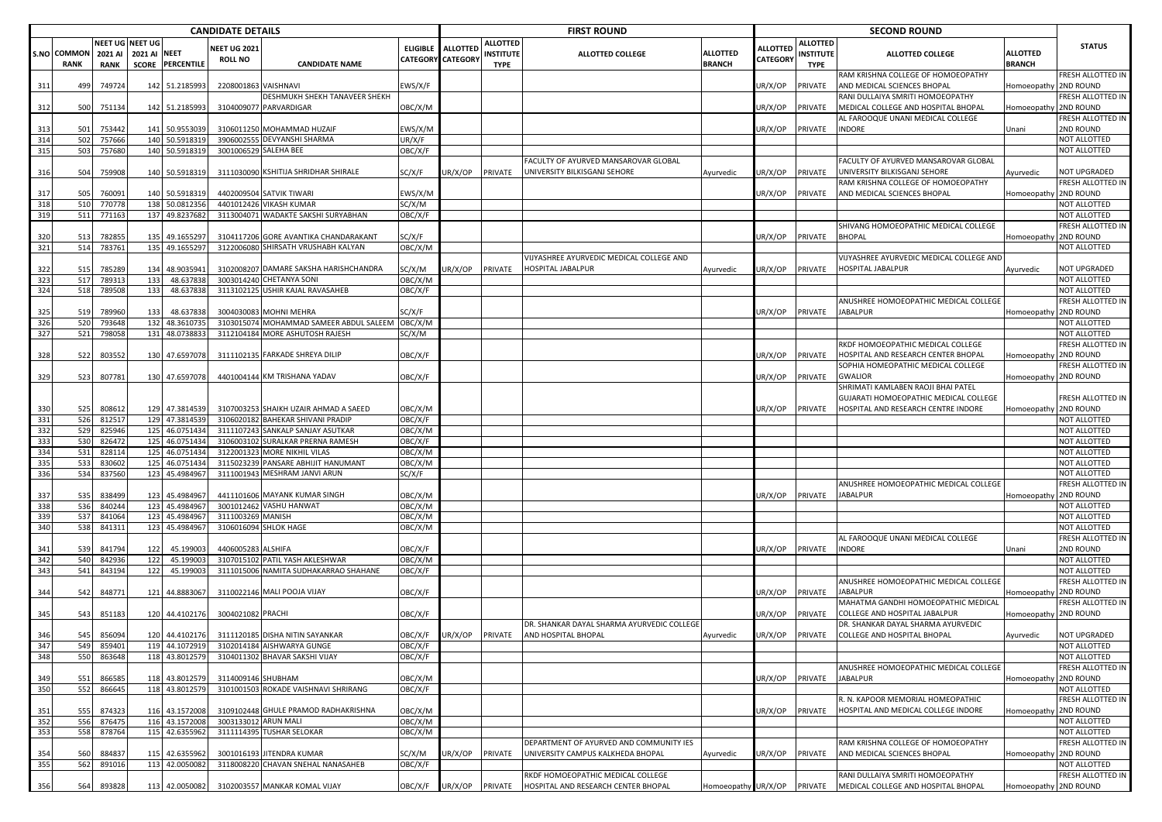|            |                                   |                                                  |              |                                  | <b>CANDIDATE DETAILS</b>              |                                                                            |                    |                                             |                                             | <b>FIRST ROUND</b>                                                           |                                  |                      |                                             | <b>SECOND ROUND</b>                                                      |                           |                                |
|------------|-----------------------------------|--------------------------------------------------|--------------|----------------------------------|---------------------------------------|----------------------------------------------------------------------------|--------------------|---------------------------------------------|---------------------------------------------|------------------------------------------------------------------------------|----------------------------------|----------------------|---------------------------------------------|--------------------------------------------------------------------------|---------------------------|--------------------------------|
|            | <b>S.NO COMMON</b><br><b>RANK</b> | <b>NEET UG NEET UG</b><br>2021 AI<br><b>RANK</b> | 2021 AI NEET | <b>SCORE PERCENTILE</b>          | <b>VEET UG 2021</b><br><b>ROLL NO</b> | <b>CANDIDATE NAME</b>                                                      | <b>ELIGIBLE</b>    | <b>ALLOTTED</b><br><b>CATEGORY CATEGORY</b> | ALLOTTED<br><b>INSTITUTE</b><br><b>TYPE</b> | <b>ALLOTTED COLLEGE</b>                                                      | <b>ALLOTTED</b><br><b>BRANCH</b> | ALLOTTED<br>CATEGORY | <b>ALLOTTED</b><br>INSTITUTE<br><b>TYPE</b> | ALLOTTED COLLEGE                                                         | ALLOTTED<br><b>BRANCH</b> | <b>STATUS</b>                  |
| 311        | 499                               | 749724                                           |              | 142 51.218599                    | 2208001863                            | VAISHNAVI                                                                  | EWS/X/F            |                                             |                                             |                                                                              |                                  | JR/X/OP              | <b>PRIVATE</b>                              | RAM KRISHNA COLLEGE OF HOMOEOPATHY<br>AND MEDICAL SCIENCES BHOPAL        | Iomoeopath                | FRESH ALLOTTED IN<br>2ND ROUND |
|            |                                   |                                                  |              |                                  |                                       | DESHMUKH SHEKH TANAVEER SHEKH                                              |                    |                                             |                                             |                                                                              |                                  |                      |                                             | RANI DULLAIYA SMRITI HOMOEOPATHY                                         |                           | FRESH ALLOTTED IN              |
| 312        | 500                               | 751134                                           |              | 142 51.218599                    |                                       | 3104009077 PARVARDIGAR                                                     | OBC/X/M            |                                             |                                             |                                                                              |                                  | JR/X/OP              | PRIVATE                                     | MEDICAL COLLEGE AND HOSPITAL BHOPAL<br>AL FAROOQUE UNANI MEDICAL COLLEGE | Iomoeopath                | 2ND ROUND<br>FRESH ALLOTTED IN |
| 313        | 501                               | 753442                                           |              | 141 50.9553039                   |                                       | 3106011250 MOHAMMAD HUZAIF                                                 | EWS/X/M            |                                             |                                             |                                                                              |                                  | JR/X/OP              | PRIVATE                                     | <b>INDORE</b>                                                            | Jnani                     | 2ND ROUND                      |
| 314<br>315 | 502<br>503                        | 757666<br>757680                                 | 140<br>140   | 50.5918319<br>50.5918319         | 390600255                             | DEVYANSHI SHARMA<br>3001006529 SALEHA BEE                                  | UR/X/F<br>OBC/X/F  |                                             |                                             |                                                                              |                                  |                      |                                             |                                                                          |                           | NOT ALLOTTED<br>NOT ALLOTTED   |
|            |                                   |                                                  |              |                                  |                                       |                                                                            |                    |                                             |                                             | FACULTY OF AYURVED MANSAROVAR GLOBAL                                         |                                  |                      |                                             | FACULTY OF AYURVED MANSAROVAR GLOBAL                                     |                           |                                |
| 316        | 504                               | 759908                                           |              | 140 50.5918319                   |                                       | 3111030090 KSHITIJA SHRIDHAR SHIRALE                                       | SC/X/F             | UR/X/OP                                     | PRIVATE                                     | UNIVERSITY BILKISGANJ SEHORE                                                 | Ayurvedic                        | JR/X/OP              | PRIVATE                                     | UNIVERSITY BILKISGANJ SEHORE                                             | Ayurvedic                 | NOT UPGRADED                   |
| 317        | 505                               | 76009                                            |              | 140 50.5918319                   |                                       | 4402009504 SATVIK TIWARI                                                   | EWS/X/M            |                                             |                                             |                                                                              |                                  | JR/X/OP              | PRIVATE                                     | RAM KRISHNA COLLEGE OF HOMOEOPATHY<br>AND MEDICAL SCIENCES BHOPAL        | Iomoeopathy               | RESH ALLOTTED IN<br>2ND ROUND  |
| 318        | 510                               | 770778                                           |              | 138 50.0812356                   |                                       | 4401012426 VIKASH KUMAR                                                    | SC/X/M             |                                             |                                             |                                                                              |                                  |                      |                                             |                                                                          |                           | NOT ALLOTTED                   |
| 319        | 511                               | 771163                                           |              | 137 49.8237682                   |                                       | 3113004071 WADAKTE SAKSHI SURYABHAN                                        | OBC/X/F            |                                             |                                             |                                                                              |                                  |                      |                                             |                                                                          |                           | NOT ALLOTTED                   |
| 320        | 513                               | 782855                                           |              | 135 49.165529                    | 3104117206                            | GORE AVANTIKA CHANDARAKANT                                                 | SC/X/F             |                                             |                                             |                                                                              |                                  | JR/X/OP              | PRIVATE                                     | SHIVANG HOMOEOPATHIC MEDICAL COLLEGE<br><b>BHOPAL</b>                    | Homoeopathy               | FRESH ALLOTTED IN<br>2ND ROUND |
| 321        | 514                               | 783761                                           | 135          | 49.1655297                       |                                       | 3122006080 SHIRSATH VRUSHABH KALYAN                                        | OBC/X/M            |                                             |                                             |                                                                              |                                  |                      |                                             |                                                                          |                           | NOT ALLOTTED                   |
|            |                                   |                                                  |              |                                  |                                       |                                                                            |                    |                                             |                                             | VIJYASHREE AYURVEDIC MEDICAL COLLEGE AND                                     |                                  |                      |                                             | VIJYASHREE AYURVEDIC MEDICAL COLLEGE AND                                 |                           |                                |
| 322<br>323 | 515<br>517                        | 78528<br>78931                                   | 134<br>133   | 48.903594<br>48.637838           |                                       | 3102008207 DAMARE SAKSHA HARISHCHANDRA<br>3003014240 CHETANYA SONI         | SC/X/M<br>OBC/X/M  | JR/X/OP                                     | PRIVATE                                     | HOSPITAL JABALPUR                                                            | Ayurvedic                        | JR/X/OP              | PRIVATE                                     | HOSPITAL JABALPUR                                                        | Ayurvedic                 | NOT UPGRADED<br>NOT ALLOTTED   |
| 324        | 518                               | 789508                                           | 133          | 48.637838                        |                                       | 3113102125 USHIR KAJAL RAVASAHEB                                           | OBC/X/F            |                                             |                                             |                                                                              |                                  |                      |                                             |                                                                          |                           | NOT ALLOTTED                   |
|            |                                   |                                                  |              |                                  |                                       |                                                                            |                    |                                             |                                             |                                                                              |                                  |                      |                                             | ANUSHREE HOMOEOPATHIC MEDICAL COLLEGE                                    |                           | FRESH ALLOTTED IN              |
| 325        | 519                               | 789960                                           | 133          | 48.637838                        |                                       | 3004030083 MOHNI MEHRA                                                     | SC/X/F             |                                             |                                             |                                                                              |                                  | JR/X/OP              | PRIVATE                                     | <b>JABALPUR</b>                                                          | Homoeopath                | 2ND ROUND                      |
| 326<br>327 | 520<br>521                        | 793648<br>798058                                 | 131          | 132 48.3610735<br>48.0738833     |                                       | 3103015074 MOHAMMAD SAMEER ABDUL SALEEM<br>3112104184 MORE ASHUTOSH RAJESH | OBC/X/M<br>SC/X/M  |                                             |                                             |                                                                              |                                  |                      |                                             |                                                                          |                           | NOT ALLOTTED<br>NOT ALLOTTED   |
|            |                                   |                                                  |              |                                  |                                       |                                                                            |                    |                                             |                                             |                                                                              |                                  |                      |                                             | RKDF HOMOEOPATHIC MEDICAL COLLEGE                                        |                           | FRESH ALLOTTED IN              |
| 328        | 522                               | 803552                                           |              | 130 47.6597078                   |                                       | 3111102135 FARKADE SHREYA DILIP                                            | OBC/X/F            |                                             |                                             |                                                                              |                                  | JR/X/OP              | PRIVATE                                     | HOSPITAL AND RESEARCH CENTER BHOPAL                                      | Iomoeopath                | 2ND ROUND                      |
| 329        | 523                               | 807781                                           |              | 130 47.6597078                   |                                       | 4401004144 KM TRISHANA YADAV                                               | OBC/X/F            |                                             |                                             |                                                                              |                                  | JR/X/OP              | PRIVATE                                     | SOPHIA HOMEOPATHIC MEDICAL COLLEGE<br><b>GWALIOR</b>                     | Iomoeopathy               | RESH ALLOTTED IN<br>2ND ROUND  |
|            |                                   |                                                  |              |                                  |                                       |                                                                            |                    |                                             |                                             |                                                                              |                                  |                      |                                             | SHRIMATI KAMLABEN RAOJI BHAI PATEL                                       |                           |                                |
|            |                                   |                                                  |              |                                  |                                       |                                                                            |                    |                                             |                                             |                                                                              |                                  |                      |                                             | GUJARATI HOMOEOPATHIC MEDICAL COLLEGE                                    |                           | FRESH ALLOTTED IN              |
| 330        | 525                               | 80861                                            |              | 129 47.3814539                   |                                       | 3107003253 SHAIKH UZAIR AHMAD A SAEED                                      | OBC/X/M            |                                             |                                             |                                                                              |                                  | JR/X/OP              | PRIVATE                                     | HOSPITAL AND RESEARCH CENTRE INDORE                                      | Iomoeopathy 2ND ROUND     |                                |
| 331<br>332 | 526<br>529                        | 812517<br>825946                                 |              | 129 47.3814539<br>125 46.0751434 | 3111107243                            | 3106020182 BAHEKAR SHIVANI PRADIP<br><b>SANKALP SANJAY ASUTKAR</b>         | OBC/X/F<br>OBC/X/M |                                             |                                             |                                                                              |                                  |                      |                                             |                                                                          |                           | NOT ALLOTTED<br>NOT ALLOTTED   |
| 333        | 530                               | 826472                                           |              | 125 46.0751434                   | 310600310                             | SURALKAR PRERNA RAMESH                                                     | OBC/X/F            |                                             |                                             |                                                                              |                                  |                      |                                             |                                                                          |                           | NOT ALLOTTED                   |
| 334        | 531                               | 82811                                            | 125          | 46.0751434                       | 3122001323                            | MORE NIKHIL VILAS                                                          | OBC/X/M            |                                             |                                             |                                                                              |                                  |                      |                                             |                                                                          |                           | NOT ALLOTTED                   |
| 335<br>336 | 533<br>534                        | 830602<br>837560                                 | 125<br>123   | 46.0751434<br>45.498496          | 3115023239                            | PANSARE ABHIJIT HANUMANT<br>3111001943 MESHRAM JANVI ARUN                  | OBC/X/M<br>SC/X/F  |                                             |                                             |                                                                              |                                  |                      |                                             |                                                                          |                           | NOT ALLOTTED<br>NOT ALLOTTED   |
|            |                                   |                                                  |              |                                  |                                       |                                                                            |                    |                                             |                                             |                                                                              |                                  |                      |                                             | ANUSHREE HOMOEOPATHIC MEDICAL COLLEGE                                    |                           | FRESH ALLOTTED IN              |
| 337        | 535                               | 838499                                           |              | 123 45.4984967                   |                                       | 4411101606 MAYANK KUMAR SINGH                                              | OBC/X/M            |                                             |                                             |                                                                              |                                  | UR/X/OP              | PRIVATE                                     | <b>JABALPUR</b>                                                          | Homoeopathy               | 2ND ROUND                      |
| 338        | 536                               | 840244                                           |              | 123 45.4984967                   |                                       | 3001012462 VASHU HANWAT<br><b>MANISH</b>                                   | OBC/X/M<br>OBC/X/M |                                             |                                             |                                                                              |                                  |                      |                                             |                                                                          |                           | NOT ALLOTTED<br>NOT ALLOTTED   |
| 339<br>340 | 537<br>538                        | 841064<br>841311                                 |              | 123 45.4984967<br>123 45.4984967 | 3111003269<br>3106016094              | <b>SHLOK HAGE</b>                                                          | OBC/X/M            |                                             |                                             |                                                                              |                                  |                      |                                             |                                                                          |                           | NOT ALLOTTED                   |
|            |                                   |                                                  |              |                                  |                                       |                                                                            |                    |                                             |                                             |                                                                              |                                  |                      |                                             | AL FAROOQUE UNANI MEDICAL COLLEGE                                        |                           | FRESH ALLOTTED IN              |
| 341        | 539                               | 841794                                           | 122          | 45.199003                        | 4406005283 ALSHIFA                    |                                                                            | OBC/X/F            |                                             |                                             |                                                                              |                                  | JR/X/OP              | PRIVATE                                     | <b>INDORE</b>                                                            | Jnani                     | 2ND ROUND                      |
| 342<br>343 | 540<br>541                        | 842936<br>843194                                 | 122<br>122   | 45.199003<br>45.199003           |                                       | 3107015102 PATIL YASH AKLESHWAR<br>3111015006 NAMITA SUDHAKARRAO SHAHANE   | OBC/X/M<br>OBC/X/F |                                             |                                             |                                                                              |                                  |                      |                                             |                                                                          |                           | NOT ALLOTTED<br>NOT ALLOTTED   |
|            |                                   |                                                  |              |                                  |                                       |                                                                            |                    |                                             |                                             |                                                                              |                                  |                      |                                             | ANUSHREE HOMOEOPATHIC MEDICAL COLLEGE                                    |                           | FRESH ALLOTTED IN              |
| 344        | 542                               | 848771                                           |              | 121 44.8883067                   |                                       | 3110022146 MALI POOJA VIJAY                                                | OBC/X/F            |                                             |                                             |                                                                              |                                  | JR/X/OP              | PRIVATE                                     | JABALPUR                                                                 | Iomoeopath <sup>,</sup>   | 2ND ROUND                      |
| 345        | 543                               | 851183                                           |              | 120 44.4102176                   | 3004021082 PRACHI                     |                                                                            | OBC/X/F            |                                             |                                             |                                                                              |                                  | JR/X/OP              | PRIVATE                                     | MAHATMA GANDHI HOMOEOPATHIC MEDICAL<br>COLLEGE AND HOSPITAL JABALPUR     | Iomoeopathy               | FRESH ALLOTTED IN<br>2ND ROUND |
|            |                                   |                                                  |              |                                  |                                       |                                                                            |                    |                                             |                                             | DR. SHANKAR DAYAL SHARMA AYURVEDIC COLLEGE                                   |                                  |                      |                                             | DR. SHANKAR DAYAL SHARMA AYURVEDIC                                       |                           |                                |
| 346        | 545                               | 856094                                           |              |                                  |                                       | 120 44 4102176 3111120185 DISHA NITIN SAYANKAR                             | OBC/X/F            |                                             |                                             | LIR/X/OP PRIVATE AND HOSPITAL BHOPAL                                         | Avurvedic                        | UR/X/OP              | PRIVATE                                     | COLLEGE AND HOSPITAL BHOPAL                                              | Ayurvedic                 | <b>NOT UPGRADED</b>            |
| 347<br>348 | 549<br>550                        | 859401<br>863648                                 |              | 119 44.1072919<br>118 43.8012579 | 3104011302                            | 3102014184 AISHWARYA GUNGE<br><b>BHAVAR SAKSHI VIJAY</b>                   | OBC/X/F<br>OBC/X/F |                                             |                                             |                                                                              |                                  |                      |                                             |                                                                          |                           | NOT ALLOTTED<br>NOT ALLOTTED   |
|            |                                   |                                                  |              |                                  |                                       |                                                                            |                    |                                             |                                             |                                                                              |                                  |                      |                                             | ANUSHREE HOMOEOPATHIC MEDICAL COLLEGE                                    |                           | FRESH ALLOTTED IN              |
| 349        | 551                               | 866585                                           |              | 118 43.8012579                   | 3114009146 SHUBHAM                    |                                                                            | OBC/X/M            |                                             |                                             |                                                                              |                                  | UR/X/OP              | PRIVATE                                     | <b>JABALPUR</b>                                                          | Homoeopath <sup>®</sup>   | 2ND ROUND                      |
| 350        | 552                               | 866645                                           |              | 118 43.801257                    | 3101001503                            | ROKADE VAISHNAVI SHRIRANG                                                  | OBC/X/F            |                                             |                                             |                                                                              |                                  |                      |                                             |                                                                          |                           | NOT ALLOTTED                   |
| 351        | 555                               | 874323                                           |              | 116 43.1572008                   |                                       | 3109102448 GHULE PRAMOD RADHAKRISHNA                                       | OBC/X/M            |                                             |                                             |                                                                              |                                  | UR/X/OP              | PRIVATE                                     | R. N. KAPOOR MEMORIAL HOMEOPATHIC<br>HOSPITAL AND MEDICAL COLLEGE INDORE | Iomoeopathy 2ND ROUND     | FRESH ALLOTTED IN              |
| 352        | 556                               | 876475                                           |              | 116 43.1572008                   | 3003133012 ARUN MALI                  |                                                                            | OBC/X/M            |                                             |                                             |                                                                              |                                  |                      |                                             |                                                                          |                           | NOT ALLOTTED                   |
| 353        | 558                               | 878764                                           |              | 115 42.6355962                   | 3111114395                            | <b>TUSHAR SELOKAR</b>                                                      | OBC/X/M            |                                             |                                             |                                                                              |                                  |                      |                                             |                                                                          |                           | NOT ALLOTTED                   |
| 354        | 560                               | 884837                                           |              | 115 42.6355962                   | 3001016193                            | JITENDRA KUMAR                                                             | SC/X/M             | UR/X/OP                                     | PRIVATE                                     | DEPARTMENT OF AYURVED AND COMMUNITY IES<br>UNIVERSITY CAMPUS KALKHEDA BHOPAL | Ayurvedic                        | JR/X/OP              | PRIVATE                                     | RAM KRISHNA COLLEGE OF HOMOEOPATHY<br>AND MEDICAL SCIENCES BHOPAL        | Iomoeopath                | FRESH ALLOTTED IN<br>2ND ROUND |
| 355        | 562                               | 891016                                           |              | 113 42.0050082                   | 311800822                             | CHAVAN SNEHAL NANASAHEB                                                    | OBC/X/F            |                                             |                                             |                                                                              |                                  |                      |                                             |                                                                          |                           | NOT ALLOTTED                   |
|            |                                   |                                                  |              |                                  |                                       |                                                                            |                    |                                             |                                             | RKDF HOMOEOPATHIC MEDICAL COLLEGE                                            |                                  |                      |                                             | RANI DULLAIYA SMRITI HOMOEOPATHY                                         |                           | FRESH ALLOTTED IN              |
| 356        | 564                               | 893828                                           |              | 113 42.0050082                   |                                       | 3102003557 MANKAR KOMAL VIJAY                                              | OBC/X/F            |                                             |                                             | UR/X/OP PRIVATE HOSPITAL AND RESEARCH CENTER BHOPAL                          | Homoeopathy UR/X/OP PRIVATE      |                      |                                             | MEDICAL COLLEGE AND HOSPITAL BHOPAL                                      | Iomoeopathy 2ND ROUND     |                                |